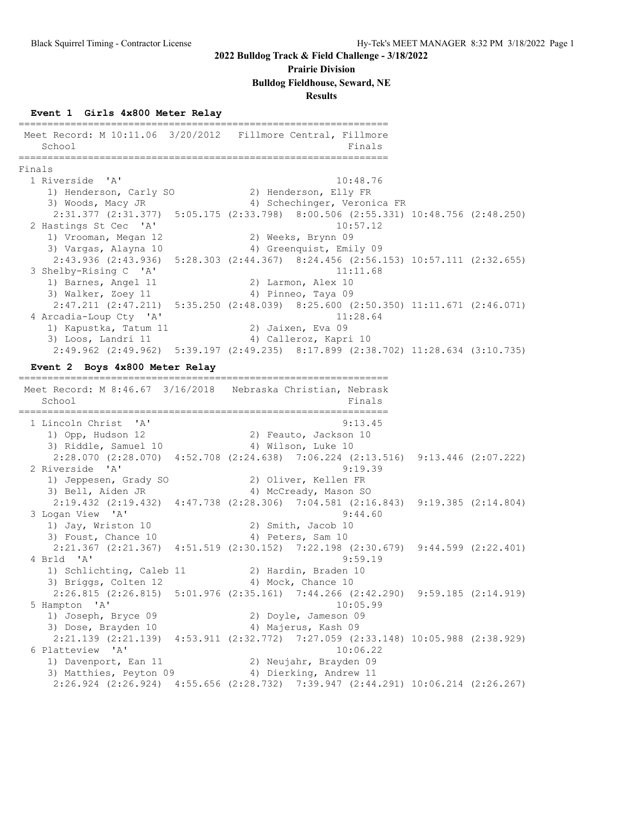#### **Prairie Division**

#### **Bulldog Fieldhouse, Seward, NE**

#### **Results**

#### **Event 1 Girls 4x800 Meter Relay**

================================================================ Meet Record: M 10:11.06 3/20/2012 Fillmore Central, Fillmore School Finals ================================================================ Finals 1 Riverside 'A' 10:48.76 1) Henderson, Carly SO 2) Henderson, Elly FR 3) Woods, Macy JR 4) Schechinger, Veronica FR 2:31.377 (2:31.377) 5:05.175 (2:33.798) 8:00.506 (2:55.331) 10:48.756 (2:48.250) 2 Hastings St Cec 'A' 10:57.12 1) Vrooman, Megan 12 2) Weeks, Brynn 09 3) Vargas, Alayna 10 4) Greenquist, Emily 09 2:43.936 (2:43.936) 5:28.303 (2:44.367) 8:24.456 (2:56.153) 10:57.111 (2:32.655) 3 Shelby-Rising C 'A' 11:11.68 1) Barnes, Angel 11 2) Larmon, Alex 10 3) Walker, Zoey 11 4) Pinneo, Taya 09 2:47.211 (2:47.211) 5:35.250 (2:48.039) 8:25.600 (2:50.350) 11:11.671 (2:46.071)<br>4 Arcadia-Loup Cty 'A' 11:28.64 4 Arcadia-Loup Cty 'A' 11:28.64 1) Kapustka, Tatum 11 and 2) Jaixen, Eva 09 3) Loos, Landri 11 4) Calleroz, Kapri 10

2:49.962 (2:49.962) 5:39.197 (2:49.235) 8:17.899 (2:38.702) 11:28.634 (3:10.735)

================================================================

**Event 2 Boys 4x800 Meter Relay**

 Meet Record: M 8:46.67 3/16/2018 Nebraska Christian, Nebrask School Finals ================================================================ 1 Lincoln Christ 'A' 9:13.45 1) Opp, Hudson 12 2) Feauto, Jackson 10 3) Riddle, Samuel 10 4) Wilson, Luke 10 2:28.070 (2:28.070) 4:52.708 (2:24.638) 7:06.224 (2:13.516) 9:13.446 (2:07.222) 2 Riverside 'A' 9:19.39 1) Jeppesen, Grady SO 2) Oliver, Kellen FR 3) Bell, Aiden JR 4) McCready, Mason SO 2:19.432 (2:19.432) 4:47.738 (2:28.306) 7:04.581 (2:16.843) 9:19.385 (2:14.804) 3 Logan View 'A' 9:44.60 1) Jay, Wriston 10 2) Smith, Jacob 10 3) Foust, Chance 10 4) Peters, Sam 10 2:21.367 (2:21.367)  $4:51.519$  (2:30.152)  $7:22.198$  (2:30.679)  $9:44.599$  (2:22.401)<br>4 Brld 'A' 9:59.19 4 Brld 'A' 9:59.19 1) Schlichting, Caleb 11 (2) Hardin, Braden 10 3) Briggs, Colten 12 4) Mock, Chance 10 2:26.815 (2:26.815) 5:01.976 (2:35.161) 7:44.266 (2:42.290) 9:59.185 (2:14.919) 5 Hampton 'A' 10:05.99 1) Joseph, Bryce 09 2) Doyle, Jameson 09 3) Dose, Brayden 10  $\hskip1cm$  4) Majerus, Kash 09 2:21.139 (2:21.139) 4:53.911 (2:32.772) 7:27.059 (2:33.148) 10:05.988 (2:38.929) 6 Platteview 'A' 10:06.22 1) Davenport, Ean 11 2) Neujahr, Brayden 09 3) Matthies, Peyton 09 4) Dierking, Andrew 11 2:26.924 (2:26.924) 4:55.656 (2:28.732) 7:39.947 (2:44.291) 10:06.214 (2:26.267)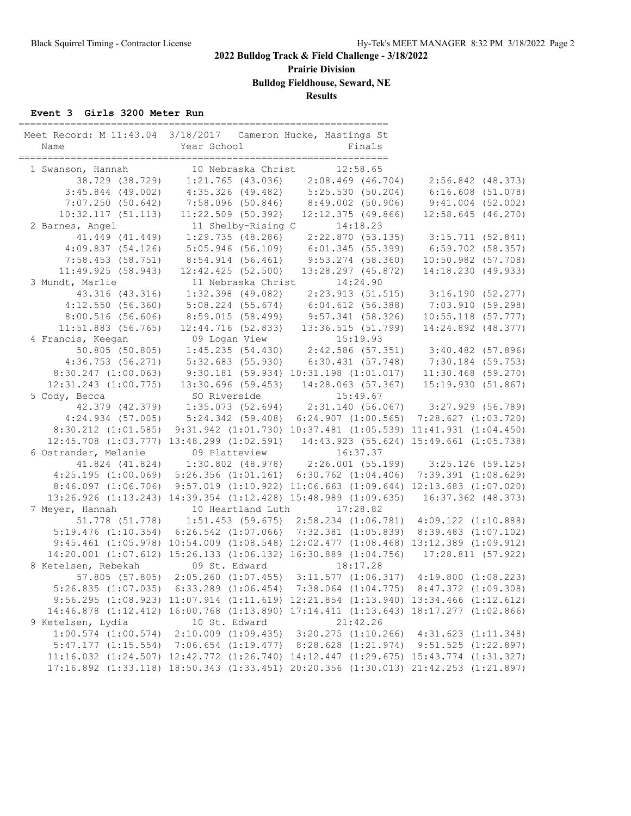**Prairie Division**

**Bulldog Fieldhouse, Seward, NE**

**Results**

#### **Event 3 Girls 3200 Meter Run**

| Meet Record: M 11:43.04 3/18/2017 Cameron Hucke, Hastings St                                                                     |                                                                                     |                                                             |                                                                                                                    |
|----------------------------------------------------------------------------------------------------------------------------------|-------------------------------------------------------------------------------------|-------------------------------------------------------------|--------------------------------------------------------------------------------------------------------------------|
| 1 Swanson, Hannah                                                                                                                |                                                                                     |                                                             |                                                                                                                    |
|                                                                                                                                  |                                                                                     |                                                             |                                                                                                                    |
|                                                                                                                                  | 3:45.844 (49.002) 4:35.326 (49.482) 5:25.530 (50.204) 6:16.608 (51.078)             |                                                             |                                                                                                                    |
| 7:07.250(50.642)                                                                                                                 |                                                                                     | 7:58.096 (50.846) 8:49.002 (50.906) 9:41.004 (52.002)       |                                                                                                                    |
| 10:32.117(51.113)                                                                                                                | $11:22.509$ (50.392)                                                                | $12:12.375$ (49.866)                                        | 12:58.645 (46.270)                                                                                                 |
| 2 Barnes, Angel                                                                                                                  | 11 Shelby-Rising C 14:18.23<br>1:29.735 (48.286) 2:22.870 (53.                      |                                                             |                                                                                                                    |
| 41.449 (41.449)                                                                                                                  |                                                                                     |                                                             | $2:22.870$ (53.135) 3:15.711 (52.841)                                                                              |
| 4:09.837(54.126)                                                                                                                 | 5:05.946 (56.109)                                                                   |                                                             | $6:01.345$ (55.399) $6:59.702$ (58.357)                                                                            |
| $7:58.453$ (58.751)                                                                                                              | 8:54.914(56.461)                                                                    | $9:53.274$ (58.360)                                         | $10:50.982$ (57.708)                                                                                               |
| 11:49.925(58.943)                                                                                                                | $12:42.425$ (52.500)                                                                | $13:28.297$ $(45.872)$                                      | 14:18.230(49.933)                                                                                                  |
| 3 Mundt, Marlie                                                                                                                  | 11 Nebraska Christ                                                                  | 14:24.90                                                    |                                                                                                                    |
| 43.316 (43.316)                                                                                                                  | $1:32.398$ (49.082)                                                                 |                                                             | 2:23.913 (51.515) 3:16.190 (52.277)<br>6:04.612 (56.388) 7:03.910 (59.298)<br>9:57.341 (58.326) 10:55.118 (57.777) |
| 4:12.550(56.360)                                                                                                                 | $5:08.224$ (55.674)                                                                 |                                                             |                                                                                                                    |
| 8:00.516(56.606)                                                                                                                 | 8:59.015 (58.499)                                                                   |                                                             |                                                                                                                    |
| $11:51.883$ (56.765)                                                                                                             | 12:44.716 (52.833)                                                                  | 13:36.515(51.799)                                           | 14:24.892 (48.377)                                                                                                 |
| 4 Francis, Keegan                                                                                                                |                                                                                     |                                                             |                                                                                                                    |
| 50.805 (50.805)                                                                                                                  |                                                                                     |                                                             |                                                                                                                    |
| 4:36.753(56.271)                                                                                                                 |                                                                                     |                                                             |                                                                                                                    |
| 8:30.247(1:00.063)                                                                                                               |                                                                                     |                                                             |                                                                                                                    |
|                                                                                                                                  | 12:31.243 (1:00.775) 13:30.696 (59.453) 14:28.063 (57.367) 15:19.930 (51.867)       |                                                             |                                                                                                                    |
| 5 Cody, Becca                                                                                                                    | SO Riverside                                                                        | $\overline{a}$<br>15:49.67                                  |                                                                                                                    |
|                                                                                                                                  | 42.379 (42.379) 1:35.073 (52.694) 2:31.140 (56.067) 3:27.929 (56.789)               |                                                             |                                                                                                                    |
|                                                                                                                                  | 4:24.934 (57.005) 5:24.342 (59.408) 6:24.907 (1:00.565) 7:28.627 (1:03.720)         |                                                             |                                                                                                                    |
|                                                                                                                                  | 8:30.212 (1:01.585) 9:31.942 (1:01.730) 10:37.481 (1:05.539) 11:41.931 (1:04.450)   |                                                             |                                                                                                                    |
| 12:45.708 (1:03.777) 13:48.299 (1:02.591) 14:43.923 (55.624) 15:49.661 (1:05.738)<br>6 Ostrander, Melanie 09 Platteview 16:37.37 |                                                                                     |                                                             |                                                                                                                    |
|                                                                                                                                  |                                                                                     |                                                             |                                                                                                                    |
|                                                                                                                                  | 41.824 (41.824) 1:30.802 (48.978) 2:26.001 (55.199) 3:25.126 (59.125)               |                                                             |                                                                                                                    |
|                                                                                                                                  | 4:25.195 (1:00.069) 5:26.356 (1:01.161) 6:30.762 (1:04.406) 7:39.391 (1:08.629)     |                                                             |                                                                                                                    |
|                                                                                                                                  | 8:46.097 (1:06.706) 9:57.019 (1:10.922) 11:06.663 (1:09.644) 12:13.683 (1:07.020)   |                                                             |                                                                                                                    |
|                                                                                                                                  | 13:26.926 (1:13.243) 14:39.354 (1:12.428) 15:48.989 (1:09.635) 16:37.362 (48.373)   |                                                             |                                                                                                                    |
| 7 Meyer, Hannah                                                                                                                  | 10 Heartland Luth 17:28.82                                                          |                                                             |                                                                                                                    |
|                                                                                                                                  |                                                                                     |                                                             |                                                                                                                    |
|                                                                                                                                  | 5:19.476 (1:10.354) 6:26.542 (1:07.066) 7:32.381 (1:05.839) 8:39.483 (1:07.102)     |                                                             |                                                                                                                    |
|                                                                                                                                  | 9:45.461 (1:05.978) 10:54.009 (1:08.548) 12:02.477 (1:08.468) 13:12.389 (1:09.912)  |                                                             |                                                                                                                    |
|                                                                                                                                  | 14:20.001 (1:07.612) 15:26.133 (1:06.132) 16:30.889 (1:04.756) 17:28.811 (57.922)   |                                                             |                                                                                                                    |
| 8 Ketelsen, Rebekah (19 St. Edward 18:17.28<br>57.805 (57.805) 2:05.260 (1:07.455) 3:11.577 (1:06.317) 4:19.800 (1:08.223)       |                                                                                     |                                                             |                                                                                                                    |
|                                                                                                                                  |                                                                                     |                                                             |                                                                                                                    |
|                                                                                                                                  | 5:26.835 (1:07.035) 6:33.289 (1:06.454) 7:38.064 (1:04.775) 8:47.372 (1:09.308)     |                                                             |                                                                                                                    |
|                                                                                                                                  | 9:56.295 (1:08.923) 11:07.914 (1:11.619) 12:21.854 (1:13.940) 13:34.466 (1:12.612)  |                                                             |                                                                                                                    |
|                                                                                                                                  | 14:46.878 (1:12.412) 16:00.768 (1:13.890) 17:14.411 (1:13.643) 18:17.277 (1:02.866) |                                                             |                                                                                                                    |
| 9 Ketelsen, Lydia                                                                                                                | 10 St. Edward                                                                       | 21:42.26                                                    |                                                                                                                    |
| $1:00.574$ $(1:00.574)$                                                                                                          |                                                                                     | 2:10.009 (1:09.435) 3:20.275 (1:10.266) 4:31.623 (1:11.348) |                                                                                                                    |
| 5:47.177(1:15.554)                                                                                                               |                                                                                     | 7:06.654 (1:19.477) 8:28.628 (1:21.974) 9:51.525 (1:22.897) |                                                                                                                    |
|                                                                                                                                  | 11:16.032 (1:24.507) 12:42.772 (1:26.740) 14:12.447 (1:29.675) 15:43.774 (1:31.327) |                                                             |                                                                                                                    |
|                                                                                                                                  | 17:16.892 (1:33.118) 18:50.343 (1:33.451) 20:20.356 (1:30.013) 21:42.253 (1:21.897) |                                                             |                                                                                                                    |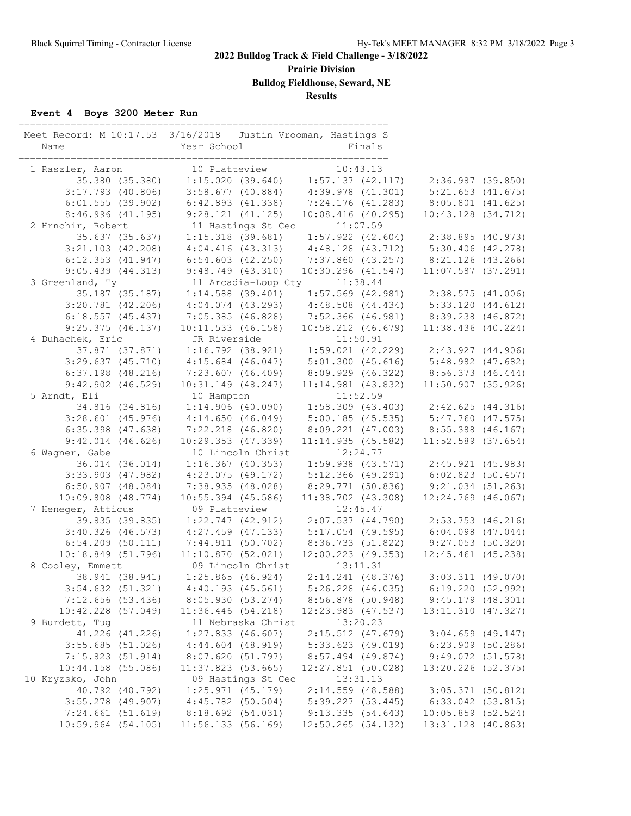**Prairie Division**

**Bulldog Fieldhouse, Seward, NE**

**Results**

#### **Event 4 Boys 3200 Meter Run**

| Meet Record: M 10:17.53 3/16/2018 Justin Vrooman, Hastings S<br>Name | Year School                                                                                                                | Finals                                  |                        |  |
|----------------------------------------------------------------------|----------------------------------------------------------------------------------------------------------------------------|-----------------------------------------|------------------------|--|
| 1 Raszler, Aaron                                                     | 10 Platteview                                                                                                              | 10:43.13                                |                        |  |
|                                                                      | er, Aaron 10 Platteview 10:43.13<br>35.380 (35.380) 1:15.020 (39.640) 1:57.137 (42.117) 2:36.987 (39.850)                  |                                         |                        |  |
| $3:17.793$ (40.806)                                                  | $3:58.677$ (40.884) $4:39.978$ (41.301) $5:21.653$ (41.675)                                                                |                                         |                        |  |
| 6:01.555(39.902)                                                     | 6:42.893 (41.338) 7:24.176 (41.283) 8:05.801 (41.625)                                                                      |                                         |                        |  |
| 8:46.996(41.195)                                                     | 9:28.121(41.125)                                                                                                           | $10:08.416$ (40.295)                    | $10:43.128$ $(34.712)$ |  |
| 2 Hrnchir, Robert                                                    | 11 Hastings St Cec 11:07.59                                                                                                |                                         |                        |  |
| 35.637 (35.637)                                                      | 1:15.318 (39.681) 1:57.922 (42.604) 2:38.895 (40.973)                                                                      |                                         |                        |  |
| $3:21.103$ $(42.208)$                                                | $4:04.416$ (43.313) $4:48.128$ (43.712) $5:30.406$ (42.278)                                                                |                                         |                        |  |
| $6:12.353$ $(41.947)$                                                | $6:54.603$ $(42.250)$                                                                                                      | 7:37.860 (43.257) 8:21.126 (43.266)     |                        |  |
| 9:05.439(44.313)                                                     | $9:48.749$ (43.310)                                                                                                        | $10:30.296$ $(41.547)$                  | $11:07.587$ (37.291)   |  |
| 3 Greenland, Ty                                                      | 11 Arcadia-Loup Cty 11:38.44                                                                                               |                                         |                        |  |
| 35.187 (35.187)                                                      | $1:14.588$ (39.401) $1:57.569$ (42.981) $2:38.575$ (41.006)<br>$4:04.074$ (43.293) $4:48.508$ (44.434) $5:33.120$ (44.612) |                                         |                        |  |
| $3:20.781$ (42.206)                                                  |                                                                                                                            |                                         |                        |  |
| $6:18.557$ (45.437)                                                  | 7:05.385 (46.828) 7:52.366 (46.981) 8:39.238 (46.872)                                                                      |                                         |                        |  |
| $9:25.375$ (46.137)                                                  | $10:11.533$ (46.158)                                                                                                       | $10:58.212$ $(46.679)$                  | $11:38.436$ (40.224)   |  |
| 4 Duhachek, Eric                                                     | JR Riverside                                                                                                               | 11:50.91                                |                        |  |
| 37.871 (37.871)                                                      | $1:16.792$ (38.921) $1:59.021$ (42.229) $2:43.927$ (44.906)                                                                |                                         |                        |  |
| $3:29.637$ $(45.710)$                                                | 4:15.684 (46.047) 5:01.300 (45.616) 5:48.982 (47.682)                                                                      |                                         |                        |  |
| $6:37.198$ $(48.216)$                                                | 7:23.607 (46.409)                                                                                                          | 8:09.929 (46.322)                       | 8:56.373 (46.444)      |  |
| $9:42.902$ $(46.529)$                                                | $10:31.149$ $(48.247)$                                                                                                     | $11:14.981$ (43.832)                    | $11:50.907$ (35.926)   |  |
| 5 Arndt, Eli                                                         | 10 Hampton                                                                                                                 | 11:52.59                                |                        |  |
| 34.816 (34.816)                                                      | 1:14.906(40.090)                                                                                                           | $1:58.309$ (43.403) $2:42.625$ (44.316) |                        |  |
| $3:28.601$ (45.976)                                                  | 4:14.650(46.049)                                                                                                           | 5:00.185 (45.535) 5:47.760 (47.575)     |                        |  |
| $6:35.398$ $(47.638)$                                                | 7:22.218 (46.820)                                                                                                          | 8:09.221 (47.003) 8:55.388 (46.167)     |                        |  |
| $9:42.014$ (46.626)                                                  | 10:29.353 (47.339)                                                                                                         | 11:14.935(45.582)                       | $11:52.589$ (37.654)   |  |
| 6 Wagner, Gabe                                                       | 10 Lincoln Christ                                                                                                          | 12:24.77                                |                        |  |
| 36.014 (36.014)                                                      | $1:16.367$ (40.353)                                                                                                        | $1:59.938$ (43.571) $2:45.921$ (45.983) |                        |  |
| $3:33.903$ $(47.982)$                                                | 4:23.075 (49.172)                                                                                                          | 5:12.366 (49.291) 6:02.823 (50.457)     |                        |  |
| $6:50.907$ $(48.084)$                                                | 7:38.935 (48.028)                                                                                                          | 8:29.771 (50.836) 9:21.034 (51.263)     |                        |  |
| $10:09.808$ $(48.774)$                                               | $10:55.394$ (45.586)                                                                                                       | $11:38.702$ (43.308)                    | 12:24.769 (46.067)     |  |
| 7 Heneger, Atticus                                                   | 09 Platteview<br>39.835 (39.835) 1:22.747 (42.912) 2:07.537 (44.790) 2:53.753 (46.216)                                     | 12:45.47                                |                        |  |
|                                                                      | 3:40.326 (46.573) 4:27.459 (47.133) 5:17.054 (49.595) 6:04.098 (47.044)                                                    |                                         |                        |  |
|                                                                      | 6:54.209 (50.111) 7:44.911 (50.702) 8:36.733 (51.822) 9:27.053 (50.320)                                                    |                                         |                        |  |
| 10:18.849 (51.796)                                                   | 11:10.870(52.021)                                                                                                          | $12:00.223$ (49.353)                    | $12:45.461$ (45.238)   |  |
| 8 Cooley, Emmett                                                     |                                                                                                                            | 13:11.31                                |                        |  |
| 38.941 (38.941)                                                      | 09 Lincoln Christ<br>1:25.865 (46.924)                                                                                     | $2:14.241$ (48.376) 3:03.311 (49.070)   |                        |  |
| $3:54.632$ $(51.321)$                                                | 4:40.193 (45.561)                                                                                                          | $5:26.228$ $(46.035)$                   | 6:19.220(52.992)       |  |
| 7:12.656(53.436)                                                     | 8:05.930 (53.274)                                                                                                          | 8:56.878 (50.948)                       | 9:45.179(48.301)       |  |
| $10:42.228$ (57.049)                                                 | $11:36.446$ (54.218)                                                                                                       | 12:23.983 (47.537)                      | 13:11.310 (47.327)     |  |
| 9 Burdett, Tug                                                       | 11 Nebraska Christ                                                                                                         | 13:20.23                                |                        |  |
| 41.226 (41.226)                                                      | $1:27.833$ (46.607)                                                                                                        | $2:15.512$ (47.679)                     | $3:04.659$ (49.147)    |  |
| $3:55.685$ (51.026)                                                  | $4:44.604$ $(48.919)$                                                                                                      | $5:33.623$ (49.019)                     | 6:23.909 (50.286)      |  |
| 7:15.823(51.914)                                                     | 8:07.620 (51.797)                                                                                                          | 8:57.494 (49.874)                       | 9:49.072(51.578)       |  |
| $10:44.158$ (55.086)                                                 | $11:37.823$ (53.665)                                                                                                       | $12:27.851$ (50.028)                    | 13:20.226 (52.375)     |  |
| 10 Kryzsko, John                                                     | 09 Hastings St Cec                                                                                                         | 13:31.13                                |                        |  |
| 40.792 (40.792)                                                      | $1:25.971$ (45.179)                                                                                                        | $2:14.559$ (48.588)                     | 3:05.371(50.812)       |  |
| $3:55.278$ (49.907)                                                  | $4:45.782$ (50.504)                                                                                                        | 5:39.227(53.445)                        | $6:33.042$ $(53.815)$  |  |
| 7:24.661(51.619)                                                     | 8:18.692 (54.031)                                                                                                          | 9:13.335(54.643)                        | $10:05.859$ (52.524)   |  |
| $10:59.964$ (54.105)                                                 | 11:56.133(56.169)                                                                                                          | $12:50.265$ (54.132)                    | 13:31.128 (40.863)     |  |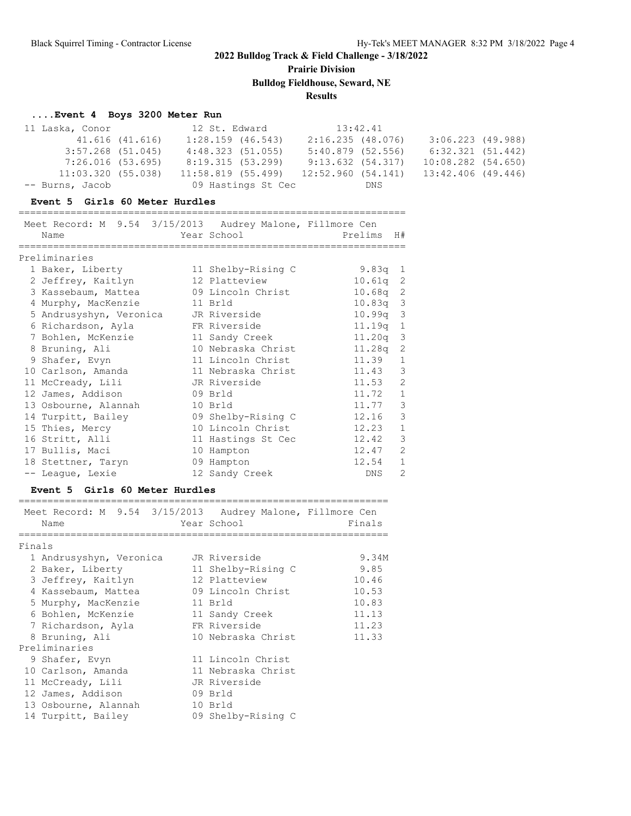**Prairie Division**

**Bulldog Fieldhouse, Seward, NE**

#### **Results**

#### **....Event 4 Boys 3200 Meter Run**

| 11 Laska, Conor     |                 | 12 St. Edward        | 13:42.41            |                       |  |
|---------------------|-----------------|----------------------|---------------------|-----------------------|--|
|                     | 41.616 (41.616) | $1:28.159$ (46.543)  | 2:16.235(48.076)    | $3:06.223$ (49.988)   |  |
| $3:57.268$ (51.045) |                 | 4:48.323(51.055)     | $5:40.879$ (52.556) | $6:32.321$ $(51.442)$ |  |
| 7:26.016(53.695)    |                 | 8:19.315 (53.299)    | 9:13.632(54.317)    | 10:08.282 (54.650)    |  |
| 11:03.320(55.038)   |                 | $11:58.819$ (55.499) | 12:52.960(54.141)   | 13:42.406 (49.446)    |  |
| -- Burns, Jacob     |                 | 09 Hastings St Cec   | DNS                 |                       |  |

#### **Event 5 Girls 60 Meter Hurdles**

# ===================================================================

| Meet Record: M 9.54 3/15/2013 Audrey Malone, Fillmore Cen |              |                    |         |            |                |
|-----------------------------------------------------------|--------------|--------------------|---------|------------|----------------|
| Name                                                      |              | Year School        | Prelims |            | H#             |
| Preliminaries                                             |              |                    |         |            |                |
| 1 Baker, Liberty                                          |              | 11 Shelby-Rising C |         | 9.83 $q$ 1 |                |
| 2 Jeffrey, Kaitlyn                                        |              | 12 Platteview      |         | $10.61q$ 2 |                |
| 3 Kassebaum, Mattea 69 Lincoln Christ                     |              |                    |         | 10.68q 2   |                |
| 4 Murphy, MacKenzie                                       | 11 Brld      |                    |         | $10.83q$ 3 |                |
| 5 Andrusyshyn, Veronica JR Riverside                      |              |                    |         | $10.99q$ 3 |                |
| 6 Richardson, Ayla                                        | FR Riverside |                    |         | 11.19q 1   |                |
| 7 Bohlen, McKenzie                                        |              | 11 Sandy Creek     |         | $11.20q$ 3 |                |
| 8 Bruning, Ali                                            |              | 10 Nebraska Christ |         | $11.28q$ 2 |                |
| 9 Shafer, Evyn                                            |              | 11 Lincoln Christ  |         | 11.39      | $\mathbf{1}$   |
| 10 Carlson, Amanda                                        |              | 11 Nebraska Christ |         | 11.43 3    |                |
| 11 McCready, Lili                                         |              | JR Riverside       |         | 11.53      | $\overline{c}$ |
| 12 James, Addison                                         |              | 09 Brld            |         | 11.72      | $\mathbf{1}$   |
| 13 Osbourne, Alannah                                      |              | 10 Brld            |         | 11.77      | $\mathcal{S}$  |
| 14 Turpitt, Bailey                                        |              | 09 Shelby-Rising C |         | 12.16      | $\mathcal{S}$  |
| 15 Thies, Mercy                                           |              | 10 Lincoln Christ  |         | 12.23      | $\mathbf{1}$   |
| 16 Stritt, Alli                                           |              | 11 Hastings St Cec |         | 12.42      | 3              |
| 17 Bullis, Maci                                           |              | 10 Hampton         |         | 12.47      | 2              |
| 18 Stettner, Taryn                                        |              | 09 Hampton         |         | 12.54      | $\mathbf{1}$   |
| -- Leaque, Lexie                                          |              | 12 Sandy Creek     |         | DNS        | $\overline{2}$ |

#### **Event 5 Girls 60 Meter Hurdles**

|        | Meet Record: M 9.54 3/15/2013 Audrey Malone, Fillmore Cen<br>Name | Year School        | Finals |
|--------|-------------------------------------------------------------------|--------------------|--------|
| Finals |                                                                   |                    |        |
|        | 1 Andrusyshyn, Veronica                                           | JR Riverside       | 9.34M  |
|        | 2 Baker, Liberty                                                  | 11 Shelby-Rising C | 9.85   |
|        | 3 Jeffrey, Kaitlyn                                                | 12 Platteview      | 10.46  |
|        | 4 Kassebaum, Mattea                                               | 09 Lincoln Christ  | 10.53  |
|        | 5 Murphy, MacKenzie                                               | 11 Brld            | 10.83  |
|        | 6 Bohlen, McKenzie                                                | 11 Sandy Creek     | 11.13  |
|        | 7 Richardson, Ayla                                                | FR Riverside       | 11.23  |
|        | 8 Bruning, Ali                                                    | 10 Nebraska Christ | 11.33  |
|        | Preliminaries                                                     |                    |        |
|        | 9 Shafer, Evyn                                                    | 11 Lincoln Christ  |        |
|        | 10 Carlson, Amanda                                                | 11 Nebraska Christ |        |
|        | 11 McCready, Lili                                                 | JR Riverside       |        |
|        | 12 James, Addison                                                 | 09 Brld            |        |
|        | 13 Osbourne, Alannah                                              | 10 Brld            |        |
|        | 14 Turpitt, Bailey                                                | 09 Shelby-Rising C |        |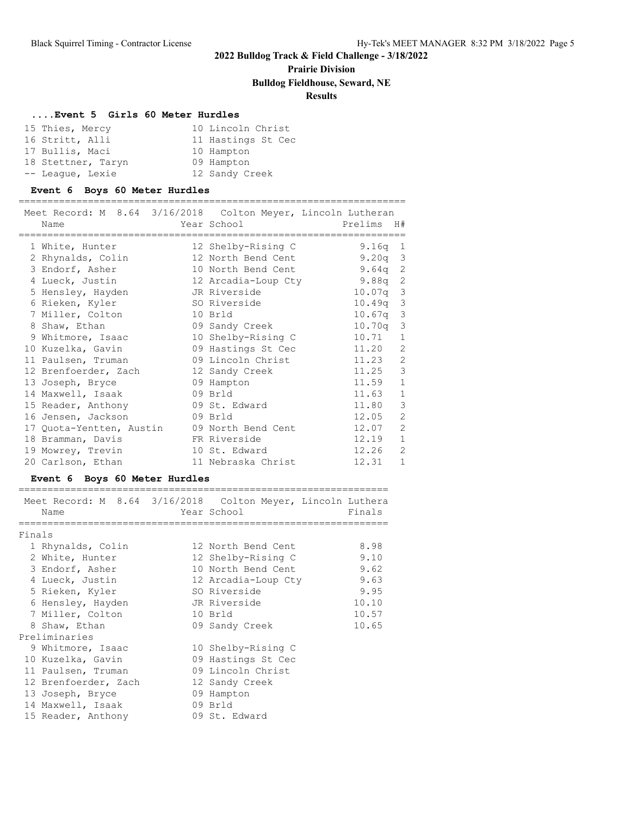### **Prairie Division**

#### **Bulldog Fieldhouse, Seward, NE**

### **Results**

===================================================================

#### **....Event 5 Girls 60 Meter Hurdles**

| 15 Thies, Mercy    |  | 10 Lincoln Christ  |
|--------------------|--|--------------------|
| 16 Stritt, Alli    |  | 11 Hastings St Cec |
| 17 Bullis, Maci    |  | 10 Hampton         |
| 18 Stettner, Taryn |  | 09 Hampton         |
| -- League, Lexie   |  | 12 Sandy Creek     |

#### **Event 6 Boys 60 Meter Hurdles**

| Meet Record: M 8.64 3/16/2018 Colton Meyer, Lincoln Lutheran<br>Name |         | Year School         | Prelims<br>H#            |
|----------------------------------------------------------------------|---------|---------------------|--------------------------|
| 1 White, Hunter                                                      |         | 12 Shelby-Rising C  | 9.16q<br>$\mathbf{1}$    |
| 2 Rhynalds, Colin                                                    |         | 12 North Bend Cent  | $\mathcal{E}$<br>9.20q   |
| 3 Endorf, Asher                                                      |         | 10 North Bend Cent  | $\overline{c}$<br>9.64q  |
| 4 Lueck, Justin                                                      |         | 12 Arcadia-Loup Cty | $\overline{c}$<br>9.88q  |
| 5 Hensley, Hayden                                                    |         | JR Riverside        | $\mathbf{3}$<br>10.07q   |
| 6 Rieken, Kyler                                                      |         | SO Riverside        | $10.49q$ 3               |
| 7 Miller, Colton                                                     |         | 10 Brld             | $\mathfrak{Z}$<br>10.67q |
| 8 Shaw, Ethan                                                        |         | 09 Sandy Creek      | $\mathfrak{Z}$<br>10.70q |
| 9 Whitmore, Isaac                                                    |         | 10 Shelby-Rising C  | 10.71<br>$\mathbf{1}$    |
| 10 Kuzelka, Gavin                                                    |         | 09 Hastings St Cec  | $\overline{2}$<br>11.20  |
| 11 Paulsen, Truman                                                   |         | 09 Lincoln Christ   | $\overline{c}$<br>11.23  |
| 12 Brenfoerder, Zach                                                 |         | 12 Sandy Creek      | 3<br>11.25               |
| 13 Joseph, Bryce                                                     |         | 09 Hampton          | $1\,$<br>11.59           |
| 14 Maxwell, Isaak                                                    |         | 09 Brld             | $1\,$<br>11.63           |
| 15 Reader, Anthony                                                   |         | 09 St. Edward       | 3<br>11.80               |
| 16 Jensen, Jackson                                                   | 09 Brld |                     | $\overline{2}$<br>12.05  |
| 17 Quota-Yentten, Austin 09 North Bend Cent                          |         |                     | $\overline{c}$<br>12.07  |
| 18 Bramman, Davis                                                    |         | FR Riverside        | $\mathbf{1}$<br>12.19    |
| 19 Mowrey, Trevin                                                    |         | 10 St. Edward       | $\overline{2}$<br>12.26  |
| 20 Carlson, Ethan                                                    |         | 11 Nebraska Christ  | 1<br>12.31               |

#### **Event 6 Boys 60 Meter Hurdles**

|        | Name                 |         | Meet Record: M 8.64 3/16/2018 Colton Meyer, Lincoln Luthera<br>Year School | Finals |
|--------|----------------------|---------|----------------------------------------------------------------------------|--------|
| Finals |                      |         |                                                                            |        |
|        | 1 Rhynalds, Colin    |         | 12 North Bend Cent                                                         | 8.98   |
|        | 2 White, Hunter      |         | 12 Shelby-Rising C                                                         | 9.10   |
|        | 3 Endorf, Asher      |         | 10 North Bend Cent                                                         | 9.62   |
|        | 4 Lueck, Justin      |         | 12 Arcadia-Loup Cty                                                        | 9.63   |
|        | 5 Rieken, Kyler      |         | SO Riverside                                                               | 9.95   |
|        | 6 Hensley, Hayden    |         | JR Riverside                                                               | 10.10  |
|        | 7 Miller, Colton     | 10 Brld |                                                                            | 10.57  |
|        | 8 Shaw, Ethan        |         | 09 Sandy Creek                                                             | 10.65  |
|        | Preliminaries        |         |                                                                            |        |
|        | 9 Whitmore, Isaac    |         | 10 Shelby-Rising C                                                         |        |
|        | 10 Kuzelka, Gavin    |         | 09 Hastings St Cec                                                         |        |
|        | 11 Paulsen, Truman   |         | 09 Lincoln Christ                                                          |        |
|        | 12 Brenfoerder, Zach |         | 12 Sandy Creek                                                             |        |
|        | 13 Joseph, Bryce     |         | 09 Hampton                                                                 |        |
|        | 14 Maxwell, Isaak    |         | 09 Brld                                                                    |        |
|        | 15 Reader, Anthony   |         | 09 St. Edward                                                              |        |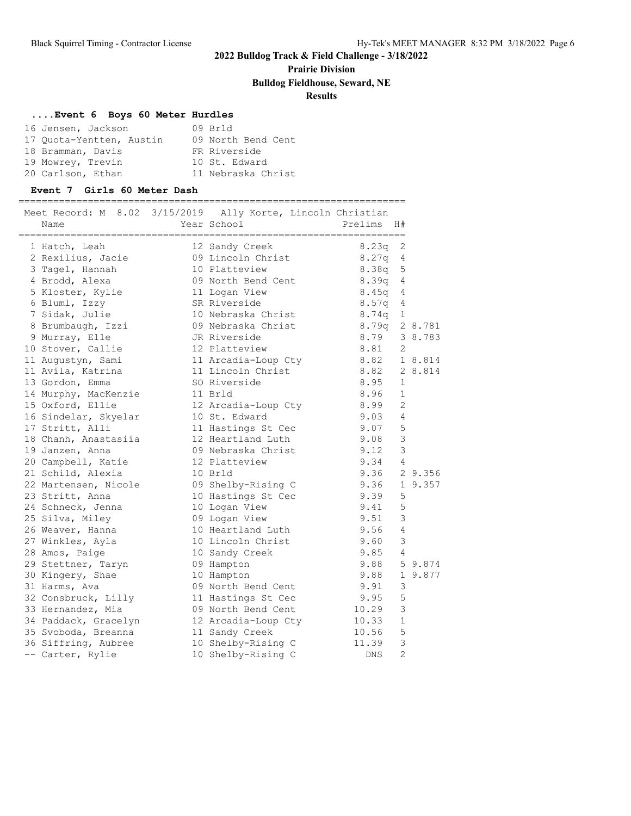**Prairie Division**

**Bulldog Fieldhouse, Seward, NE**

### **Results**

#### **....Event 6 Boys 60 Meter Hurdles**

| 16 Jensen, Jackson       | 09 Brld            |
|--------------------------|--------------------|
| 17 Ouota-Yentten, Austin | 09 North Bend Cent |
| 18 Bramman, Davis        | FR Riverside       |
| 19 Mowrey, Trevin        | 10 St. Edward      |
| 20 Carlson, Ethan        | 11 Nebraska Christ |

#### **Event 7 Girls 60 Meter Dash**

| Name                 | Meet Record: M 8.02 3/15/2019 Ally Korte, Lincoln Christian<br>Year School | Prelims    | H#             |         |
|----------------------|----------------------------------------------------------------------------|------------|----------------|---------|
|                      |                                                                            |            |                |         |
| 1 Hatch, Leah        | 12 Sandy Creek                                                             | 8.23q      | 2              |         |
| 2 Rexilius, Jacie    | 09 Lincoln Christ                                                          | 8.27q      | 4              |         |
| 3 Tagel, Hannah      | 10 Platteview                                                              | 8.38q      | 5              |         |
| 4 Brodd, Alexa       | 09 North Bend Cent                                                         | 8.39q      | 4              |         |
| 5 Kloster, Kylie     | 11 Logan View                                                              | 8.45q      | 4              |         |
| 6 Bluml, Izzy        | SR Riverside                                                               | 8.57q      | 4              |         |
| 7 Sidak, Julie       | 10 Nebraska Christ                                                         | 8.74q      | 1              |         |
| 8 Brumbaugh, Izzi    | 09 Nebraska Christ                                                         | 8.79q      |                | 2 8.781 |
| 9 Murray, Elle       | JR Riverside                                                               | 8.79       |                | 3 8.783 |
| 10 Stover, Callie    | 12 Platteview                                                              | 8.81       | 2              |         |
| 11 Augustyn, Sami    | 11 Arcadia-Loup Cty 8.82                                                   |            |                | 1 8.814 |
| 11 Avila, Katrina    | 11 Lincoln Christ                                                          | 8.82       |                | 2 8.814 |
| 13 Gordon, Emma      | SO Riverside                                                               | 8.95       | 1              |         |
| 14 Murphy, MacKenzie | 11 Brld                                                                    | 8.96       | $\mathbf{1}$   |         |
| 15 Oxford, Ellie     | 12 Arcadia-Loup Cty                                                        | 8.99       | 2              |         |
| 16 Sindelar, Skyelar | 10 St. Edward                                                              | 9.03       | 4              |         |
| 17 Stritt, Alli      | 11 Hastings St Cec                                                         | 9.07       | 5              |         |
| 18 Chanh, Anastasiia | 12 Heartland Luth                                                          | 9.08       | $\mathsf 3$    |         |
| 19 Janzen, Anna      | 09 Nebraska Christ                                                         | 9.12       | $\mathcal{S}$  |         |
| 20 Campbell, Katie   | 12 Platteview                                                              | 9.34       | $\overline{4}$ |         |
| 21 Schild, Alexia    | 10 Brld                                                                    | 9.36       |                | 2 9.356 |
| 22 Martensen, Nicole | 09 Shelby-Rising C                                                         | 9.36       |                | 1 9.357 |
| 23 Stritt, Anna      | 10 Hastings St Cec                                                         | 9.39       | 5              |         |
| 24 Schneck, Jenna    | 10 Logan View                                                              | 9.41       | 5              |         |
| 25 Silva, Miley      | 09 Logan View                                                              | 9.51       | $\mathcal{E}$  |         |
| 26 Weaver, Hanna     | 10 Heartland Luth                                                          | 9.56       | $\overline{4}$ |         |
| 27 Winkles, Ayla     | 10 Lincoln Christ                                                          | 9.60       | 3              |         |
| 28 Amos, Paige       | 10 Sandy Creek                                                             | 9.85       | 4              |         |
| 29 Stettner, Taryn   | 09 Hampton                                                                 | 9.88       |                | 5 9.874 |
| 30 Kingery, Shae     | 10 Hampton                                                                 | 9.88       | $\mathbf{1}$   | 9.877   |
| 31 Harms, Ava        | 09 North Bend Cent                                                         | 9.91       | 3              |         |
| 32 Consbruck, Lilly  | 11 Hastings St Cec                                                         | 9.95       | 5              |         |
| 33 Hernandez, Mia    | 09 North Bend Cent                                                         | 10.29      | 3              |         |
| 34 Paddack, Gracelyn | 12 Arcadia-Loup Cty                                                        | 10.33      | $\mathbf{1}$   |         |
| 35 Svoboda, Breanna  | 11 Sandy Creek                                                             | 10.56      | 5              |         |
| 36 Siffring, Aubree  | 10 Shelby-Rising C                                                         | 11.39      | 3              |         |
| -- Carter, Rylie     | 10 Shelby-Rising C                                                         | <b>DNS</b> | $\overline{c}$ |         |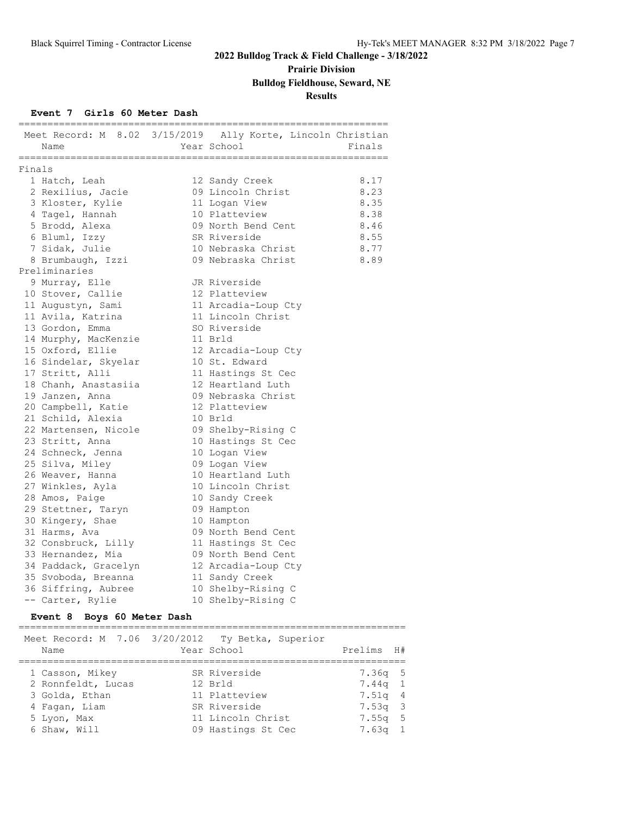# **Prairie Division**

# **Bulldog Fieldhouse, Seward, NE**

### **Results**

#### **Event 7 Girls 60 Meter Dash**

|        | Name                 | Meet Record: M 8.02 3/15/2019 Ally Korte, Lincoln Christian<br>Year School | Finals       |
|--------|----------------------|----------------------------------------------------------------------------|--------------|
| Finals | =============        | -----------------------------                                              | ------       |
|        | 1 Hatch, Leah        |                                                                            | 8.17         |
|        |                      | 12 Sandy Creek<br>09 Lincoln Christ                                        | 8.23         |
|        | 2 Rexilius, Jacie    |                                                                            | 8.35         |
|        | 3 Kloster, Kylie     | 11 Logan View<br>10 Platteview                                             | 8.38         |
|        | 4 Tagel, Hannah      | 09 North Bend Cent                                                         |              |
|        | 5 Brodd, Alexa       | SR Riverside                                                               | 8.46<br>8.55 |
|        | 6 Bluml, Izzy        | 10 Nebraska Christ                                                         | 8.77         |
|        | 7 Sidak, Julie       | 09 Nebraska Christ                                                         |              |
|        | 8 Brumbaugh, Izzi    |                                                                            | 8.89         |
|        | Preliminaries        |                                                                            |              |
|        | 9 Murray, Elle       | JR Riverside                                                               |              |
|        | 10 Stover, Callie    | 12 Platteview                                                              |              |
|        | 11 Augustyn, Sami    | 11 Arcadia-Loup Cty                                                        |              |
|        | 11 Avila, Katrina    | 11 Lincoln Christ                                                          |              |
|        | 13 Gordon, Emma      | SO Riverside                                                               |              |
|        | 14 Murphy, MacKenzie | 11 Brld                                                                    |              |
|        | 15 Oxford, Ellie     | 12 Arcadia-Loup Cty                                                        |              |
|        | 16 Sindelar, Skyelar | 10 St. Edward                                                              |              |
|        | 17 Stritt, Alli      | 11 Hastings St Cec                                                         |              |
|        | 18 Chanh, Anastasiia | 12 Heartland Luth                                                          |              |
|        | 19 Janzen, Anna      | 09 Nebraska Christ                                                         |              |
|        | 20 Campbell, Katie   | 12 Platteview                                                              |              |
|        | 21 Schild, Alexia    | 10 Brld                                                                    |              |
|        | 22 Martensen, Nicole | 09 Shelby-Rising C                                                         |              |
|        | 23 Stritt, Anna      | 10 Hastings St Cec                                                         |              |
|        | 24 Schneck, Jenna    | 10 Logan View                                                              |              |
|        | 25 Silva, Miley      | 09 Logan View                                                              |              |
|        | 26 Weaver, Hanna     | 10 Heartland Luth                                                          |              |
|        | 27 Winkles, Ayla     | 10 Lincoln Christ                                                          |              |
|        | 28 Amos, Paige       | 10 Sandy Creek                                                             |              |
|        | 29 Stettner, Taryn   | 09 Hampton                                                                 |              |
|        | 30 Kingery, Shae     | 10 Hampton                                                                 |              |
|        | 31 Harms, Ava        | 09 North Bend Cent                                                         |              |
|        | 32 Consbruck, Lilly  | 11 Hastings St Cec                                                         |              |
|        | 33 Hernandez, Mia    | 09 North Bend Cent                                                         |              |
|        | 34 Paddack, Gracelyn | 12 Arcadia-Loup Cty                                                        |              |
|        | 35 Svoboda, Breanna  | 11 Sandy Creek                                                             |              |
|        | 36 Siffring, Aubree  | 10 Shelby-Rising C                                                         |              |
|        | -- Carter, Rylie     | 10 Shelby-Rising C                                                         |              |

#### **Event 8 Boys 60 Meter Dash**

| Meet Record: M 7.06 3/20/2012 Ty Betka, Superior<br>Name | Year School        | Prelims H# |
|----------------------------------------------------------|--------------------|------------|
| 1 Casson, Mikey                                          | SR Riverside       | $7.36q$ 5  |
| 2 Ronnfeldt, Lucas                                       | 12 Brld            | $7.44q$ 1  |
| 3 Golda, Ethan                                           | 11 Platteview      | 7.51q 4    |
| 4 Fagan, Liam                                            | SR Riverside       | 7.53q 3    |
| 5 Lyon, Max                                              | 11 Lincoln Christ  | 7.55q 5    |
| 6 Shaw, Will                                             | 09 Hastings St Cec | $7.63q$ 1  |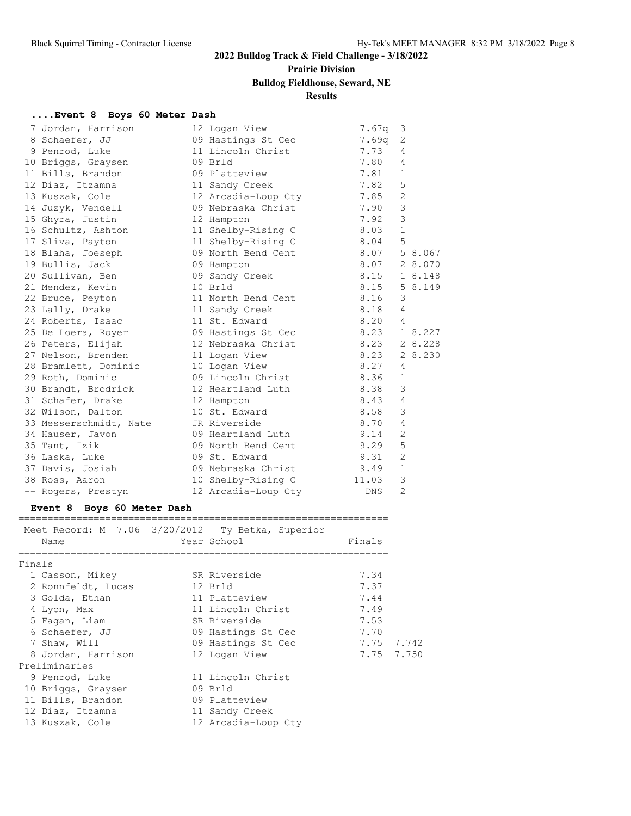# **Prairie Division**

# **Bulldog Fieldhouse, Seward, NE**

### **Results**

#### **....Event 8 Boys 60 Meter Dash**

| 7 Jordan, Harrison                  | 12 Logan View             | 7.67q      | 3              |         |
|-------------------------------------|---------------------------|------------|----------------|---------|
| 8 Schaefer, JJ                      | 09 Hastings St Cec        | 7.69q      | 2              |         |
| 9 Penrod, Luke                      | 11 Lincoln Christ         | 7.73       | 4              |         |
| 10 Briggs, Graysen                  | 09 Brld                   | 7.80       | 4              |         |
| 11 Bills, Brandon                   | 09 Platteview             | 7.81       | $\mathbf{1}$   |         |
| 12 Diaz, Itzamna                    | 11 Sandy Creek            | 7.82       | 5              |         |
| 13 Kuszak, Cole                     | 12 Arcadia-Loup Cty       | 7.85       | $\overline{2}$ |         |
| 14 Juzyk, Vendell                   | 09 Nebraska Christ        | 7.90       | 3              |         |
| 15 Ghyra, Justin                    | 12 Hampton                | 7.92       | 3              |         |
| 16 Schultz, Ashton                  | 11 Shelby-Rising C        | 8.03       | $\mathbf{1}$   |         |
| 17 Sliva, Payton                    | 11 Shelby-Rising C        | 8.04       | 5              |         |
| 18 Blaha, Joeseph                   | 09 North Bend Cent        | 8.07       |                | 5 8.067 |
| 19 Bullis, Jack                     | 09 Hampton                | 8.07       |                | 2 8.070 |
| 20 Sullivan, Ben                    | 09 Sandy Creek            | 8.15       |                | 1 8.148 |
| 21 Mendez, Kevin                    | 10 Brld                   | 8.15       |                | 5 8.149 |
| 22 Bruce, Peyton                    | 11 North Bend Cent        | 8.16       | 3              |         |
| 23 Lally, Drake                     | 11 Sandy Creek            | 8.18       | $\overline{4}$ |         |
| 24 Roberts, Isaac                   | 11 St. Edward             | 8.20       | $\overline{4}$ |         |
| 25 De Loera, Royer                  | 09 Hastings St Cec        | 8.23       |                | 1 8.227 |
| 26 Peters, Elijah                   | 12 Nebraska Christ        | 8.23       |                | 2 8.228 |
| 27 Nelson, Brenden                  | 11 Logan View             | 8.23       |                | 2 8.230 |
| 28 Bramlett, Dominic                | 10 Logan View             | 8.27       | 4              |         |
| 29 Roth, Dominic                    | 09 Lincoln Christ         | 8.36       | $\mathbf{1}$   |         |
| 30 Brandt, Brodrick                 | 8.38<br>12 Heartland Luth |            | 3              |         |
| 31 Schafer, Drake                   | 12 Hampton                | 8.43       | 4              |         |
| 32 Wilson, Dalton                   | 10 St. Edward             | 8.58       | 3              |         |
| 33 Messerschmidt, Nate JR Riverside |                           | 8.70       | 4              |         |
| 34 Hauser, Javon                    | 09 Heartland Luth         | 9.14       | 2              |         |
| 35 Tant, Izik                       | 09 North Bend Cent        | 9.29       | 5              |         |
| 36 Laska, Luke                      | 09 St. Edward             | 9.31       | 2              |         |
| 37 Davis, Josiah                    | 09 Nebraska Christ        | 9.49       | $\mathbf{1}$   |         |
| 38 Ross, Aaron                      | 10 Shelby-Rising C        | 11.03      | 3              |         |
| -- Rogers, Prestyn                  | 12 Arcadia-Loup Cty       | <b>DNS</b> | $\overline{2}$ |         |

# **Event 8 Boys 60 Meter Dash**

|        |                    | Meet Record: M 7.06 3/20/2012 Ty Betka, Superior |            |  |
|--------|--------------------|--------------------------------------------------|------------|--|
|        | Name               | Year School                                      | Finals     |  |
|        |                    |                                                  |            |  |
| Finals |                    |                                                  |            |  |
|        | 1 Casson, Mikey    | SR Riverside                                     | 7.34       |  |
|        | 2 Ronnfeldt, Lucas | 12 Brld                                          | 7.37       |  |
|        | 3 Golda, Ethan     | 11 Platteview                                    | 7.44       |  |
|        | 4 Lyon, Max        | 11 Lincoln Christ                                | 7.49       |  |
|        | 5 Fagan, Liam      | SR Riverside                                     | 7.53       |  |
|        | 6 Schaefer, JJ     | 09 Hastings St Cec                               | 7.70       |  |
|        | 7 Shaw, Will       | 09 Hastings St Cec                               | 7.75 7.742 |  |
|        | 8 Jordan, Harrison | 12 Logan View                                    | 7.75 7.750 |  |
|        | Preliminaries      |                                                  |            |  |
|        | 9 Penrod, Luke     | 11 Lincoln Christ                                |            |  |
|        | 10 Briggs, Graysen | 09 Brld                                          |            |  |
|        | 11 Bills, Brandon  | 09 Platteview                                    |            |  |
|        | 12 Diaz, Itzamna   | 11 Sandy Creek                                   |            |  |
|        | 13 Kuszak, Cole    | 12 Arcadia-Loup Cty                              |            |  |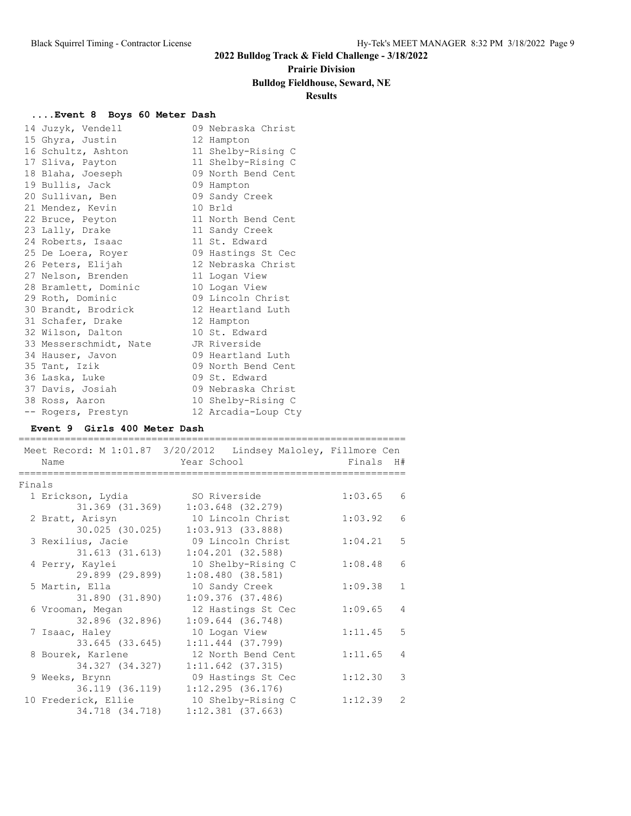#### **Prairie Division**

### **Bulldog Fieldhouse, Seward, NE**

### **Results**

#### **....Event 8 Boys 60 Meter Dash**

| 14 Juzyk, Vendell                   | 09 Nebraska Christ  |
|-------------------------------------|---------------------|
| 15 Ghyra, Justin                    | 12 Hampton          |
| 16 Schultz, Ashton                  | 11 Shelby-Rising C  |
| 17 Sliva, Payton                    | 11 Shelby-Rising C  |
| 18 Blaha, Joeseph                   | 09 North Bend Cent  |
| 19 Bullis, Jack                     | 09 Hampton          |
| 20 Sullivan, Ben                    | 09 Sandy Creek      |
| 21 Mendez, Kevin                    | 10 Brld             |
| 22 Bruce, Peyton                    | 11 North Bend Cent  |
| 23 Lally, Drake                     | 11 Sandy Creek      |
| 24 Roberts, Isaac                   | 11 St. Edward       |
| 25 De Loera, Royer                  | 09 Hastings St Cec  |
| 26 Peters, Elijah                   | 12 Nebraska Christ  |
| 27 Nelson, Brenden                  | 11 Logan View       |
| 28 Bramlett, Dominic                | 10 Logan View       |
| 29 Roth, Dominic                    | 09 Lincoln Christ   |
| 30 Brandt, Brodrick                 | 12 Heartland Luth   |
| 31 Schafer, Drake                   | 12 Hampton          |
| 32 Wilson, Dalton                   | 10 St. Edward       |
| 33 Messerschmidt, Nate JR Riverside |                     |
| 34 Hauser, Javon                    | 09 Heartland Luth   |
| 35 Tant, Izik                       | 09 North Bend Cent  |
| 36 Laska, Luke                      | 09 St. Edward       |
| 37 Davis, Josiah                    | 09 Nebraska Christ  |
| 38 Ross, Aaron                      | 10 Shelby-Rising C  |
| -- Rogers, Prestyn                  | 12 Arcadia-Loup Cty |

#### **Event 9 Girls 400 Meter Dash**

|        |                     | Meet Record: M 1:01.87 3/20/2012 Lindsey Maloley, Fillmore Cen |           |                 |
|--------|---------------------|----------------------------------------------------------------|-----------|-----------------|
|        | Name                | Year School                                                    | Finals H# |                 |
|        |                     |                                                                |           |                 |
| Finals |                     |                                                                |           |                 |
|        | 1 Erickson, Lydia   | SO Riverside                                                   | 1:03.65   | 6               |
|        | 31.369 (31.369)     | $1:03.648$ (32.279)                                            |           |                 |
|        | 2 Bratt, Arisyn     | 10 Lincoln Christ                                              | 1:03.92   | $6\overline{6}$ |
|        | $30.025$ $(30.025)$ | 1:03.913(33.888)                                               |           |                 |
|        | 3 Rexilius, Jacie   | 09 Lincoln Christ                                              | 1:04.21   | 5               |
|        | $31.613$ $(31.613)$ | $1:04.201$ (32.588)                                            |           |                 |
|        | 4 Perry, Kaylei     | 10 Shelby-Rising C                                             | 1:08.48   | 6               |
|        | 29.899 (29.899)     | 1:08.480(38.581)                                               |           |                 |
|        | 5 Martin, Ella      | 10 Sandy Creek                                                 | 1:09.38   | $\mathbf{1}$    |
|        | 31.890 (31.890)     | $1:09.376$ (37.486)                                            |           |                 |
|        | 6 Vrooman, Megan    | 12 Hastings St Cec                                             | 1:09.65   | $\overline{4}$  |
|        | 32.896 (32.896)     | $1:09.644$ (36.748)                                            |           |                 |
|        | 7 Isaac, Haley      | 10 Logan View                                                  | 1:11.45   | 5               |
|        | 33.645 (33.645)     | $1:11.444$ (37.799)                                            |           |                 |
|        | 8 Bourek, Karlene   | 12 North Bend Cent                                             | 1:11.65   | $\overline{4}$  |
|        | 34.327 (34.327)     | $1:11.642$ (37.315)                                            |           |                 |
|        | 9 Weeks, Brynn      | 09 Hastings St Cec                                             | 1:12.30   | 3               |
|        | 36.119 (36.119)     | 1:12.295(36.176)                                               |           |                 |
|        | 10 Frederick, Ellie | 10 Shelby-Rising C                                             | 1:12.39   | $\mathcal{L}$   |
|        | 34.718 (34.718)     | $1:12.381$ (37.663)                                            |           |                 |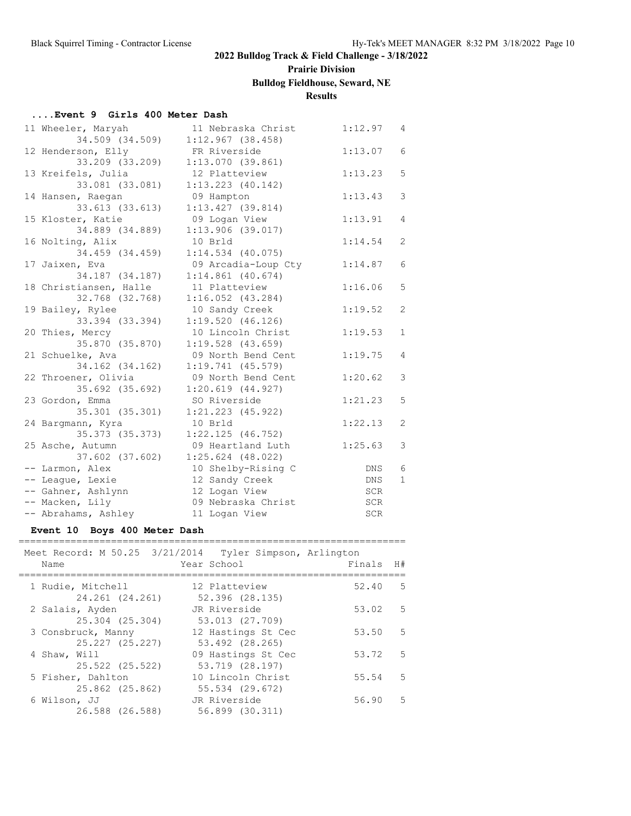# **Prairie Division**

# **Bulldog Fieldhouse, Seward, NE**

### **Results**

#### **....Event 9 Girls 400 Meter Dash**

| 11 Wheeler, Maryah     | 11 Nebraska Christ    | 1:12.97 | 4              |
|------------------------|-----------------------|---------|----------------|
| 34.509 (34.509)        | 1:12.967(38.458)      |         |                |
| 12 Henderson, Elly     | FR Riverside          | 1:13.07 | 6              |
| 33.209 (33.209)        | 1:13.070(39.861)      |         |                |
| 13 Kreifels, Julia     | 12 Platteview         | 1:13.23 | 5              |
| 33.081 (33.081)        | $1:13.223$ (40.142)   |         |                |
| 14 Hansen, Raegan      | 09 Hampton            | 1:13.43 | 3              |
| 33.613 (33.613)        | $1:13.427$ (39.814)   |         |                |
| 15 Kloster, Katie      | 09 Logan View         | 1:13.91 | $\overline{4}$ |
| 34.889 (34.889)        | 1:13.906(39.017)      |         |                |
| 16 Nolting, Alix       | 10 Brld               | 1:14.54 | 2              |
| 34.459 (34.459)        | $1:14.534$ (40.075)   |         |                |
| 17 Jaixen, Eva         | 09 Arcadia-Loup Cty   | 1:14.87 | 6              |
| 34.187 (34.187)        | $1:14.861$ (40.674)   |         |                |
| 18 Christiansen, Halle | 11 Platteview         | 1:16.06 | 5              |
| 32.768 (32.768)        | $1:16.052$ $(43.284)$ |         |                |
| 19 Bailey, Rylee       | 10 Sandy Creek        | 1:19.52 | 2              |
| 33.394 (33.394)        | 1:19.520(46.126)      |         |                |
| 20 Thies, Mercy        | 10 Lincoln Christ     | 1:19.53 | $\mathbf{1}$   |
| 35.870 (35.870)        | $1:19.528$ (43.659)   |         |                |
| 21 Schuelke, Ava       | 09 North Bend Cent    | 1:19.75 | $\overline{4}$ |
| 34.162 (34.162)        | $1:19.741$ (45.579)   |         |                |
| 22 Throener, Olivia    | 09 North Bend Cent    | 1:20.62 | 3              |
| 35.692 (35.692)        | 1:20.619(44.927)      |         |                |
| 23 Gordon, Emma        | SO Riverside          | 1:21.23 | 5              |
| 35.301 (35.301)        | $1:21.223$ (45.922)   |         |                |
| 24 Bargmann, Kyra      | 10 Brld               | 1:22.13 | 2              |
| 35.373 (35.373)        | $1:22.125$ (46.752)   |         |                |
| 25 Asche, Autumn       | 09 Heartland Luth     | 1:25.63 | 3              |
| 37.602 (37.602)        | $1:25.624$ (48.022)   |         |                |
| -- Larmon, Alex        | 10 Shelby-Rising C    | DNS     | 6              |
| -- League, Lexie       | 12 Sandy Creek        | DNS     | $\mathbf{1}$   |
| -- Gahner, Ashlynn     | 12 Logan View         | SCR     |                |
| -- Macken, Lily        | 09 Nebraska Christ    | SCR     |                |
| -- Abrahams, Ashley    | 11 Logan View         | SCR     |                |

#### **Event 10 Boys 400 Meter Dash**

| Meet Record: M 50.25 3/21/2014 Tyler Simpson, Arlington<br>Name | Year School                           | Finals | H# |
|-----------------------------------------------------------------|---------------------------------------|--------|----|
| 1 Rudie, Mitchell<br>24.261 (24.261)                            | 12 Platteview<br>52.396 (28.135)      | 52.40  | .5 |
| 2 Salais, Ayden<br>25.304 (25.304)                              | JR Riverside<br>53.013 (27.709)       | 53.02  | .5 |
| 3 Consbruck, Manny<br>25.227 (25.227)                           | 12 Hastings St Cec<br>53.492 (28.265) | 53.50  | -5 |
| 4 Shaw, Will<br>25.522 (25.522)                                 | 09 Hastings St Cec<br>53.719 (28.197) | 53.72  | -5 |
| 5 Fisher, Dahlton<br>25.862 (25.862)                            | 10 Lincoln Christ<br>55.534 (29.672)  | 55.54  | .5 |
| 6 Wilson, JJ<br>26.588 (26.588)                                 | JR Riverside<br>56.899 (30.311)       | 56.90  | .5 |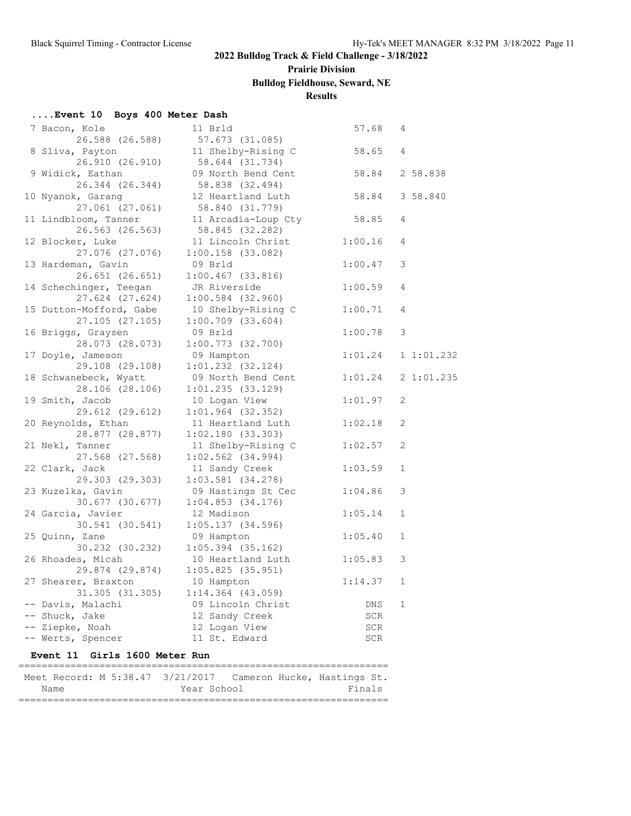# **Prairie Division**

# **Bulldog Fieldhouse, Seward, NE**

#### **Results**

#### **....Event 10 Boys 400 Meter Dash**

| 7 Bacon, Kole                  | 11 Brld                                                      | 57.68   | 4            |
|--------------------------------|--------------------------------------------------------------|---------|--------------|
| 26.588 (26.588)                | 57.673 (31.085)                                              |         |              |
| 8 Sliva, Payton                | 11 Shelby-Rising C                                           | 58.65   | 4            |
| 26.910 (26.910)                | 58.644 (31.734)                                              |         |              |
| 9 Widick, Eathan               | 09 North Bend Cent                                           | 58.84   | 2 58.838     |
| 26.344 (26.344)                | 58.838 (32.494)                                              |         |              |
| 10 Nyanok, Garang              | 12 Heartland Luth                                            | 58.84   | 3 58.840     |
| $27.061$ $(27.061)$            | 58.840 (31.779)                                              |         |              |
| 11 Lindbloom, Tanner           | 11 Arcadia-Loup Cty                                          | 58.85   | 4            |
| $26.563$ $(26.563)$            | 58.845 (32.282)                                              |         |              |
| 12 Blocker, Luke               | 11 Lincoln Christ                                            | 1:00.16 | 4            |
| 27.076 (27.076)                | $1:00.158$ (33.082)                                          |         |              |
| 13 Hardeman, Gavin             | 09 Brld                                                      | 1:00.47 | 3            |
| $26.651$ $(26.651)$            | $1:00.467$ (33.816)                                          |         |              |
| 14 Schechinger, Teegan         | JR Riverside                                                 | 1:00.59 | 4            |
| 27.624 (27.624)                | $1:00.584$ (32.960)                                          |         |              |
| 15 Dutton-Mofford, Gabe        | 10 Shelby-Rising C                                           | 1:00.71 | 4            |
| 27.105(27.105)                 | $1:00.709$ (33.604)                                          |         |              |
| 16 Briggs, Graysen             | 09 Brld                                                      | 1:00.78 | 3            |
| 28.073 (28.073)                | $1:00.773$ (32.700)                                          |         |              |
| 17 Doyle, Jameson              | 09 Hampton                                                   | 1:01.24 | 11:01.232    |
| 29.108 (29.108)                | $1:01.232$ $(32.124)$                                        |         |              |
| 18 Schwanebeck, Wyatt          | 09 North Bend Cent                                           | 1:01.24 | 21:01.235    |
| 28.106 (28.106)                | $1:01.235$ (33.129)                                          |         |              |
| 19 Smith, Jacob                | 10 Logan View                                                | 1:01.97 | 2            |
| 29.612 (29.612)                | $1:01.964$ (32.352)                                          |         |              |
| 20 Reynolds, Ethan             | 11 Heartland Luth                                            | 1:02.18 | 2            |
| 28.877 (28.877)                | 1:02.180(33.303)                                             |         |              |
| 21 Nekl, Tanner                | 11 Shelby-Rising C                                           | 1:02.57 | 2            |
| 27.568 (27.568)                | $1:02.562$ (34.994)                                          |         |              |
| 22 Clark, Jack                 | 11 Sandy Creek                                               | 1:03.59 | $\mathbf{1}$ |
| 29.303 (29.303)                | $1:03.581$ (34.278)                                          |         |              |
|                                |                                                              |         | 3            |
| 23 Kuzelka, Gavin              | 09 Hastings St Cec                                           | 1:04.86 |              |
| $30.677$ (30.677)              | $1:04.853$ (34.176)                                          |         |              |
| 24 Garcia, Javier              | 12 Madison                                                   | 1:05.14 | $\mathbf{1}$ |
| 30.541 (30.541)                | $1:05.137$ (34.596)                                          |         |              |
| 25 Quinn, Zane                 | 09 Hampton                                                   | 1:05.40 | $\mathbf{1}$ |
| 30.232 (30.232)                | $1:05.394$ (35.162)                                          |         |              |
| 26 Rhoades, Micah              | 10 Heartland Luth                                            | 1:05.83 | 3            |
|                                | 29.874 (29.874) 1:05.825 (35.951)                            |         |              |
| 27 Shearer, Braxton 10 Hampton |                                                              | 1:14.37 | $\mathbf{1}$ |
| 31.305 (31.305)                | 1:14.364 (43.059)                                            |         |              |
| -- Davis, Malachi              | 09 Lincoln Christ                                            | DNS     | 1            |
| -- Shuck, Jake                 | 12 Sandy Creek                                               | SCR     |              |
| -- Ziepke, Noah                | 12 Logan View                                                | SCR     |              |
| -- Werts, Spencer              | 11 St. Edward                                                | SCR     |              |
| Event 11 Girls 1600 Meter Run  |                                                              |         |              |
|                                |                                                              |         |              |
|                                | Meet Record: M 5:38.47 3/21/2017 Cameron Hucke, Hastings St. |         |              |

Name Year School Finals ================================================================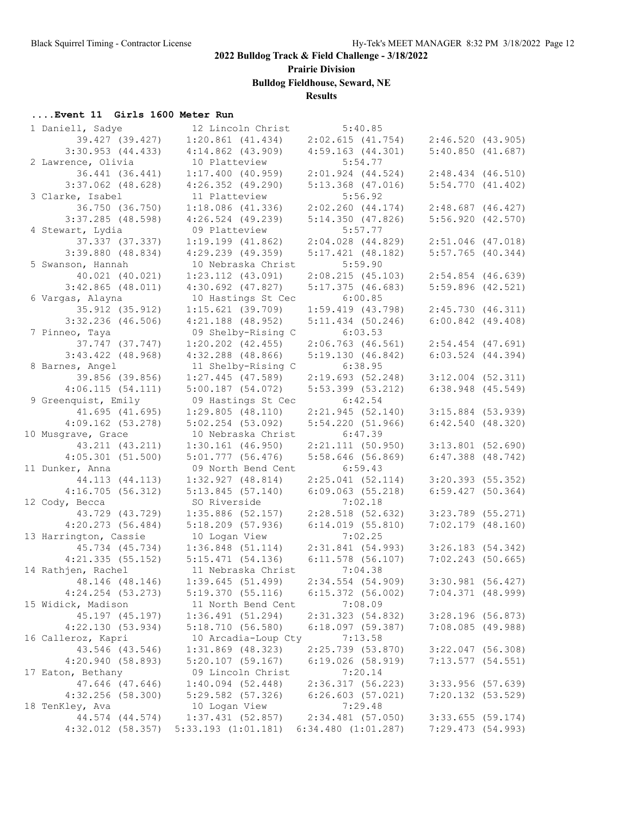**Prairie Division**

**Bulldog Fieldhouse, Seward, NE**

#### **Results**

# **....Event 11 Girls 1600 Meter Run**

| 1 Daniell, Sadye                         | 12 Lincoln Christ                    | 5:40.85                             |                       |  |
|------------------------------------------|--------------------------------------|-------------------------------------|-----------------------|--|
| 39.427 (39.427)                          | $1:20.861$ $(41.434)$                | 2:02.615(41.754)                    | 2:46.520 (43.905)     |  |
| $3:30.953$ $(44.433)$                    | $4:14.862$ $(43.909)$                | 4:59.163(44.301)                    | 5:40.850(41.687)      |  |
| 2 Lawrence, Olivia                       | 10 Platteview                        | 5:54.77                             |                       |  |
| 36.441 (36.441)                          | 1:17.400(40.959)                     | $2:01.924$ $(44.524)$               | $2:48.434$ $(46.510)$ |  |
| $3:37.062$ (48.628)                      | $4:26.352$ $(49.290)$                | $5:13.368$ (47.016)                 | 5:54.770(41.402)      |  |
| 3 Clarke, Isabel                         | 11 Platteview                        | 5:56.92                             |                       |  |
| 36.750 (36.750)                          | $1:18.086$ (41.336)                  | 2:02.260(44.174)                    | $2:48.687$ (46.427)   |  |
| $3:37.285$ (48.598)                      | $4:26.524$ (49.239)                  | 5:14.350(47.826)                    | 5:56.920(42.570)      |  |
| 4 Stewart, Lydia                         | 09 Platteview                        | 5:57.77                             |                       |  |
| 37.337 (37.337)                          | $1:19.199$ $(41.862)$                | $2:04.028$ $(44.829)$               | $2:51.046$ (47.018)   |  |
| $3:39.880$ (48.834)                      | $4:29.239$ $(49.359)$                | $5:17.421$ (48.182)                 | $5:57.765$ (40.344)   |  |
| 5 Swanson, Hannah                        | 10 Nebraska Christ                   | 5:59.90                             |                       |  |
| 40.021 (40.021)                          | $1:23.112$ $(43.091)$                | 2:08.215(45.103)                    | $2:54.854$ (46.639)   |  |
| $3:42.865$ (48.011)                      | $4:30.692$ $(47.827)$                | $5:17.375$ (46.683)                 | $5:59.896$ (42.521)   |  |
| 6 Vargas, Alayna                         | 10 Hastings St Cec                   | 6:00.85                             |                       |  |
| 35.912 (35.912)                          | $1:15.621$ (39.709)                  | $1:59.419$ $(43.798)$               | 2:45.730(46.311)      |  |
| $3:32.236$ (46.506)                      | $4:21.188$ (48.952)                  | $5:11.434$ (50.246)                 | $6:00.842$ (49.408)   |  |
| 7 Pinneo, Taya                           | 09 Shelby-Rising C                   | 6:03.53                             |                       |  |
| 37.747 (37.747)                          | $1:20.202$ $(42.455)$                | $2:06.763$ (46.561)                 | $2:54.454$ (47.691)   |  |
| $3:43.422$ (48.968)                      | $4:32.288$ (48.866)                  | 5:19.130(46.842)                    | $6:03.524$ $(44.394)$ |  |
| 8 Barnes, Angel                          | 11 Shelby-Rising C 6:38.95           |                                     |                       |  |
| 39.856 (39.856)                          | $1:27.445$ (47.589)                  | 2:19.693(52.248)                    | $3:12.004$ $(52.311)$ |  |
| 4:06.115(54.111)                         | $5:00.187$ (54.072)                  | $5:53.399$ (53.212)                 | $6:38.948$ $(45.549)$ |  |
| 9 Greenquist, Emily                      | 09 Hastings St Cec                   | 6:42.54                             |                       |  |
| 41.695(41.695)                           | 1:29.805(48.110)                     | 2:21.945(52.140)                    | $3:15.884$ (53.939)   |  |
| $4:09.162$ $(53.278)$                    | $5:02.254$ (53.092)                  | 5:54.220(51.966)                    | $6:42.540$ $(48.320)$ |  |
| 10 Musgrave, Grace                       | 10 Nebraska Christ                   | 6:47.39                             |                       |  |
| 43.211 (43.211)                          | $1:30.161$ (46.950)                  | 2:21.111(50.950)                    | $3:13.801$ (52.690)   |  |
| 4:05.301(51.500)                         | $5:01.777$ (56.476)                  | $5:58.646$ (56.869)                 | $6:47.388$ $(48.742)$ |  |
| 11 Dunker, Anna                          | 09 North Bend Cent                   | 6:59.43                             |                       |  |
| 44.113 (44.113)                          | $1:32.927$ $(48.814)$                | $2:25.041$ (52.114)                 | $3:20.393$ (55.352)   |  |
| 4:16.705(56.312)                         | 5:13.845(57.140)                     | $6:09.063$ $(55.218)$               | $6:59.427$ (50.364)   |  |
| 12 Cody, Becca                           | SO Riverside                         | 7:02.18                             |                       |  |
| 43.729 (43.729)                          | $1:35.886$ (52.157)                  | $2:28.518$ (52.632)                 | $3:23.789$ (55.271)   |  |
| $4:20.273$ (56.484)                      | $5:18.209$ (57.936)<br>10 Logan View | $6:14.019$ $(55.810)$<br>7:02.25    | $7:02.179$ (48.160)   |  |
| 13 Harrington, Cassie<br>45.734 (45.734) | $1:36.848$ (51.114)                  | 2:31.841(54.993)                    | 3:26.183(54.342)      |  |
| $4:21.335$ (55.152)                      | 5:15.471(54.136)                     | $6:11.578$ (56.107)                 | $7:02.243$ (50.665)   |  |
| 14 Rathjen, Rachel                       | 11 Nebraska Christ                   | 7:04.38                             |                       |  |
| 48.146 (48.146)                          | 1:39.645(51.499)                     | 2:34.554 (54.909) 3:30.981 (56.427) |                       |  |
| $4:24.254$ (53.273)                      | 5:19.370(55.116)                     | $6:15.372$ (56.002)                 | 7:04.371(48.999)      |  |
| 15 Widick, Madison                       | 11 North Bend Cent                   | 7:08.09                             |                       |  |
| 45.197 (45.197)                          | 1:36.491(51.294)                     | 2:31.323 (54.832)                   | $3:28.196$ (56.873)   |  |
| 4:22.130(53.934)                         | 5:18.710(56.580)                     | 6:18.097(59.387)                    | $7:08.085$ (49.988)   |  |
| 16 Calleroz, Kapri                       | 10 Arcadia-Loup Cty                  | 7:13.58                             |                       |  |
| 43.546 (43.546)                          | $1:31.869$ (48.323)                  | 2:25.739 (53.870)                   | 3:22.047 (56.308)     |  |
| 4:20.940(58.893)                         | $5:20.107$ (59.167)                  | $6:19.026$ (58.919)                 | $7:13.577$ (54.551)   |  |
| 17 Eaton, Bethany                        | 09 Lincoln Christ                    | 7:20.14                             |                       |  |
| 47.646 (47.646)                          | $1:40.094$ (52.448)                  | 2:36.317 (56.223)                   | 3:33.956 (57.639)     |  |
| $4:32.256$ (58.300)                      | $5:29.582$ (57.326)                  | $6:26.603$ $(57.021)$               | 7:20.132(53.529)      |  |
| 18 TenKley, Ava                          | 10 Logan View                        | 7:29.48                             |                       |  |
| 44.574 (44.574)                          | 1:37.431(52.857)                     | $2:34.481$ (57.050)                 | $3:33.655$ (59.174)   |  |
| $4:32.012$ (58.357)                      | $5:33.193$ $(1:01.181)$              | $6:34.480$ $(1:01.287)$             | 7:29.473 (54.993)     |  |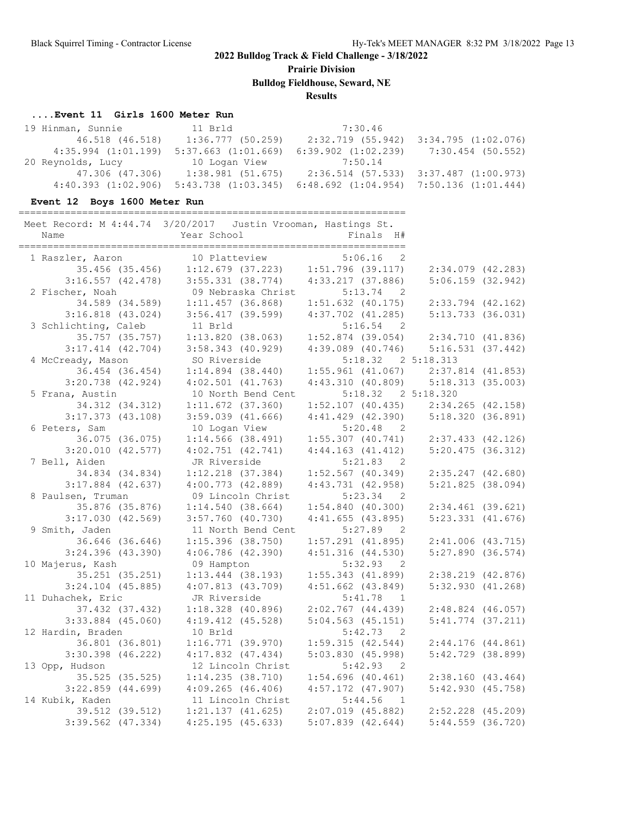**Prairie Division**

**Bulldog Fieldhouse, Seward, NE**

**Results**

#### **....Event 11 Girls 1600 Meter Run**

| 19 Hinman, Sunnie       | 11 Brld                 | 7:30.46                                       |                                         |
|-------------------------|-------------------------|-----------------------------------------------|-----------------------------------------|
| 46.518 (46.518)         | 1:36.777(50.259)        |                                               | 2:32.719 (55.942) 3:34.795 (1:02.076)   |
| $4:35.994$ $(1:01.199)$ | $5:37.663$ $(1:01.669)$ | $6:39.902$ $(1:02.239)$ $7:30.454$ $(50.552)$ |                                         |
| 20 Reynolds, Lucy       | 10 Logan View 7:50.14   |                                               |                                         |
| 47.306 (47.306)         | $1:38.981$ (51.675)     |                                               | $2:36.514$ (57.533) 3:37.487 (1:00.973) |
| $4:40.393$ $(1:02.906)$ | $5:43.738$ $(1:03.345)$ | $6:48.692$ $(1:04.954)$ 7:50.136 $(1:01.444)$ |                                         |

#### **Event 12 Boys 1600 Meter Run**

===================================================================

| Meet Record: M 4:44.74 3/20/2017 Justin Vrooman, Hastings St.<br>Name | Year School<br>__________________________                        | Finals H#<br>=============              |                       |  |
|-----------------------------------------------------------------------|------------------------------------------------------------------|-----------------------------------------|-----------------------|--|
| 1 Raszler, Aaron                                                      | 10 Platteview                                                    | $5:06.16$ 2                             |                       |  |
|                                                                       | 3.00.10 2<br>35.456 (35.456) 1:12.679 (37.223) 1:51.796 (39.117) |                                         | $2:34.079$ (42.283)   |  |
| 3:16.557(42.478)                                                      | $3:55.331$ $(38.774)$                                            | 4:33.217(37.886)                        | $5:06.159$ (32.942)   |  |
| 2 Fischer, Noah                                                       | 09 Nebraska Christ 5:13.74 2                                     |                                         |                       |  |
| 34.589 (34.589)                                                       | 1:11.457(36.868)                                                 | $1:51.632$ (40.175)                     | $2:33.794$ $(42.162)$ |  |
| $3:16.818$ $(43.024)$                                                 | $3:56.417$ (39.599)                                              | $4:37.702$ $(41.285)$                   | $5:13.733$ (36.031)   |  |
| 3 Schlichting, Caleb                                                  | 11 Brld                                                          | $5:16.54$ 2                             |                       |  |
| 35.757 (35.757)                                                       | 1:13.820(38.063)                                                 | $1:52.874$ (39.054) $2:34.710$ (41.836) |                       |  |
| $3:17.414$ $(42.704)$                                                 | $3:58.343$ (40.929)                                              | 4:39.089 (40.746) 5:16.531 (37.442)     |                       |  |
| 4 McCready, Mason                                                     | SO Riverside                                                     | 5:18.32 2 5:18.313                      |                       |  |
| 36.454 (36.454)                                                       | $1:14.894$ (38.440)                                              | $1:55.961$ (41.067) $2:37.814$ (41.853) |                       |  |
| $3:20.738$ (42.924)                                                   | $4:02.501$ $(41.763)$                                            | 4:43.310 (40.809) 5:18.313 (35.003)     |                       |  |
| 5 Frana, Austin                                                       | 10 North Bend Cent                                               | 5:18.32 2 5:18.320                      |                       |  |
| 34.312 (34.312)                                                       | $1:11.672$ (37.360)                                              | $1:52.107$ (40.435) $2:34.265$ (42.158) |                       |  |
| $3:17.373$ (43.108)                                                   | $3:59.039$ $(41.666)$                                            | $4:41.429$ (42.390) $5:18.320$ (36.891) |                       |  |
| 6 Peters, Sam                                                         | 10 Logan View                                                    | $5:20.48$ 2                             |                       |  |
| 36.075 (36.075)                                                       | $1:14.566$ (38.491)                                              | $1:55.307$ (40.741) $2:37.433$ (42.126) |                       |  |
| 3:20.010(42.577)                                                      | $4:02.751$ $(42.741)$                                            | 4:44.163(41.412)                        | 5:20.475(36.312)      |  |
| 7 Bell, Aiden                                                         | JR Riverside                                                     | $5:21.83$ 2                             |                       |  |
| 34.834 (34.834)                                                       | $1:12.218$ $(37.384)$                                            | $1:52.567$ (40.349)                     | $2:35.247$ $(42.680)$ |  |
| $3:17.884$ (42.637)                                                   | 4:00.773(42.889)                                                 | $4:43.731$ $(42.958)$                   | 5:21.825(38.094)      |  |
| 8 Paulsen, Truman                                                     | 09 Lincoln Christ                                                | $5:23.34$ 2                             |                       |  |
| 35.876 (35.876)                                                       | 1:14.540(38.664)                                                 | 1:54.840(40.300)                        | $2:34.461$ (39.621)   |  |
| $3:17.030$ (42.569)                                                   | $3:57.760$ (40.730)                                              | 4:41.655(43.895)                        | $5:23.331$ $(41.676)$ |  |
| 9 Smith, Jaden                                                        | 11 North Bend Cent                                               | $5:27.89$ 2                             |                       |  |
| 36.646 (36.646)                                                       | $1:15.396$ (38.750)                                              | $1:57.291$ (41.895)                     | $2:41.006$ $(43.715)$ |  |
| $3:24.396$ (43.390)                                                   | $4:06.786$ (42.390)                                              | $4:51.316$ $(44.530)$                   | $5:27.890$ (36.574)   |  |
| 10 Majerus, Kash                                                      | 09 Hampton                                                       | $5:32.93$ 2                             |                       |  |
| 35.251 (35.251)                                                       | $1:13.444$ (38.193)                                              | $1:55.343$ (41.899)                     | $2:38.219$ $(42.876)$ |  |
| $3:24.104$ (45.885)                                                   | 4:07.813(43.709)                                                 | $4:51.662$ $(43.849)$                   | 5:32.930(41.268)      |  |
| 11 Duhachek, Eric                                                     | JR Riverside                                                     | $5:41.78$ 1                             |                       |  |
| 37.432 (37.432)                                                       | $1:18.328$ (40.896)                                              | $2:02.767$ (44.439)                     | $2:48.824$ (46.057)   |  |
| $3:33.884$ (45.060)                                                   | $4:19.412$ $(45.528)$                                            | $5:04.563$ (45.151)                     | $5:41.774$ $(37.211)$ |  |
| 12 Hardin, Braden                                                     | 10 Brld                                                          | $5:42.73$ 2                             |                       |  |
| 36.801 (36.801)                                                       | 1:16.771(39.970)                                                 | 1:59.315(42.544)                        | 2:44.176 (44.861)     |  |
| $3:30.398$ (46.222)                                                   | $4:17.832$ $(47.434)$                                            | 5:03.830(45.998)                        | $5:42.729$ (38.899)   |  |
| 13 Opp, Hudson                                                        | 12 Lincoln Christ                                                | $5:42.93$ 2                             |                       |  |
| 35.525 (35.525)                                                       | 1:14.235(38.710)                                                 | $1:54.696$ (40.461)                     | 2:38.160(43.464)      |  |
| $3:22.859$ (44.699)                                                   | $4:09.265$ $(46.406)$                                            | $4:57.172$ $(47.907)$                   | 5:42.930(45.758)      |  |
| 14 Kubik, Kaden                                                       | 11 Lincoln Christ                                                | $5:44.56$ 1                             |                       |  |
| 39.512 (39.512)                                                       | $1:21.137$ $(41.625)$                                            | $2:07.019$ $(45.882)$                   | 2:52.228 (45.209)     |  |
| $3:39.562$ (47.334)                                                   | 4:25.195(45.633)                                                 | $5:07.839$ $(42.644)$                   | $5:44.559$ (36.720)   |  |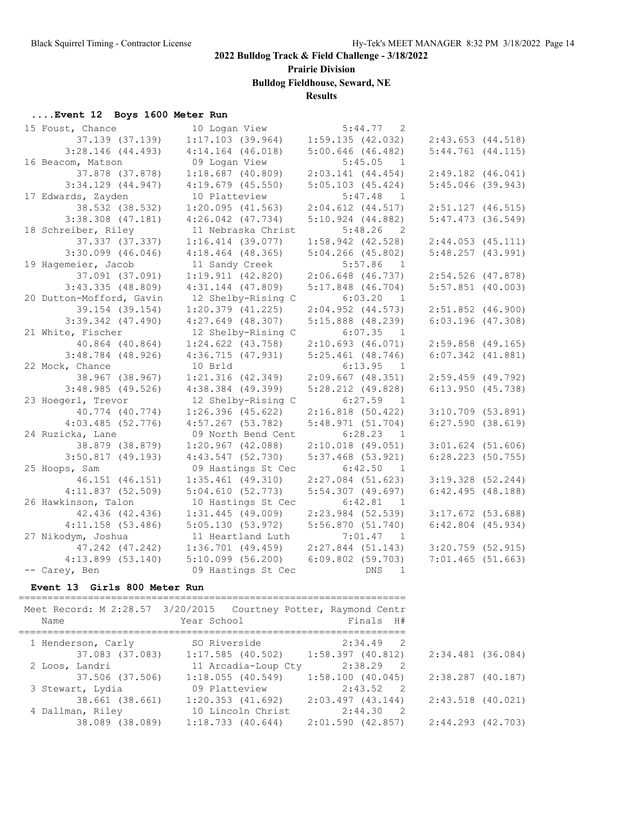**Prairie Division**

**Bulldog Fieldhouse, Seward, NE**

### **Results**

### **....Event 12 Boys 1600 Meter Run**

| 15 Foust, Chance         | 10 Logan View         | 5:44.77<br>$\overline{2}$ |                       |
|--------------------------|-----------------------|---------------------------|-----------------------|
| 37.139 (37.139)          | $1:17.103$ (39.964)   | 1:59.135(42.032)          | 2:43.653(44.518)      |
| $3:28.146$ (44.493)      | $4:14.164$ $(46.018)$ | $5:00.646$ (46.482)       | $5:44.761$ $(44.115)$ |
| 16 Beacom, Matson        | 09 Logan View         | 5:45.05<br>$\overline{1}$ |                       |
| 37.878 (37.878)          | $1:18.687$ (40.809)   | $2:03.141$ (44.454)       | $2:49.182$ (46.041)   |
| $3:34.129$ $(44.947)$    | $4:19.679$ (45.550)   | $5:05.103$ (45.424)       | $5:45.046$ (39.943)   |
| 17 Edwards, Zayden       | 10 Platteview         | $5:47.48$ 1               |                       |
| 38.532 (38.532)          | $1:20.095$ (41.563)   | $2:04.612$ $(44.517)$     | $2:51.127$ (46.515)   |
| $3:38.308$ $(47.181)$    | $4:26.042$ $(47.734)$ | $5:10.924$ $(44.882)$     | $5:47.473$ (36.549)   |
| 18 Schreiber, Riley      | 11 Nebraska Christ    | $5:48.26$ 2               |                       |
| 37.337 (37.337)          | $1:16.414$ (39.077)   | $1:58.942$ (42.528)       | $2:44.053$ $(45.111)$ |
| $3:30.099$ (46.046)      | $4:18.464$ (48.365)   | $5:04.266$ (45.802)       | 5:48.257(43.991)      |
| 19 Hagemeier, Jacob      | 11 Sandy Creek        | $5:57.86$ 1               |                       |
| 37.091 (37.091)          | 1:19.911(42.820)      | $2:06.648$ (46.737)       | $2:54.526$ (47.878)   |
| 3:43.335(48.809)         | $4:31.144$ $(47.809)$ | $5:17.848$ (46.704)       | $5:57.851$ (40.003)   |
| 20 Dutton-Mofford, Gavin | 12 Shelby-Rising C    | $6:03.20$ 1               |                       |
| 39.154 (39.154)          | $1:20.379$ $(41.225)$ | $2:04.952$ $(44.573)$     | $2:51.852$ (46.900)   |
| $3:39.342$ $(47.490)$    | $4:27.649$ $(48.307)$ | $5:15.888$ (48.239)       | $6:03.196$ (47.308)   |
| 21 White, Fischer        | 12 Shelby-Rising C    | 6:07.35<br>$\overline{1}$ |                       |
| 40.864 (40.864)          | $1:24.622$ $(43.758)$ | 2:10.693(46.071)          | $2:59.858$ (49.165)   |
| $3:48.784$ (48.926)      | 4:36.715(47.931)      | $5:25.461$ (48.746)       | $6:07.342$ $(41.881)$ |
| 22 Mock, Chance          | 10 Brld               | 6:13.95<br>$\overline{1}$ |                       |
| 38.967 (38.967)          | $1:21.316$ $(42.349)$ | $2:09.667$ (48.351)       | $2:59.459$ (49.792)   |
| 3:48.985(49.526)         | $4:38.384$ (49.399)   | $5:28.212$ (49.828)       | $6:13.950$ $(45.738)$ |
| 23 Hoegerl, Trevor       | 12 Shelby-Rising C    | $6:27.59$ 1               |                       |
| 40.774 (40.774)          | $1:26.396$ (45.622)   | $2:16.818$ (50.422)       | $3:10.709$ (53.891)   |
| 4:03.485(52.776)         | $4:57.267$ (53.782)   | 5:48.971(51.704)          | 6:27.590(38.619)      |
| 24 Ruzicka, Lane         | 09 North Bend Cent    | 6:28.23 1                 |                       |
| 38.879 (38.879)          | $1:20.967$ $(42.088)$ | $2:10.018$ (49.051)       | $3:01.624$ (51.606)   |
| $3:50.817$ (49.193)      | $4:43.547$ (52.730)   | $5:37.468$ (53.921)       | $6:28.223$ (50.755)   |
| 25 Hoops, Sam            | 09 Hastings St Cec    | 6:42.50 1                 |                       |
| 46.151 (46.151)          | $1:35.461$ (49.310)   | $2:27.084$ (51.623)       | $3:19.328$ (52.244)   |
| 4:11.837(52.509)         | 5:04.610(52.773)      | $5:54.307$ (49.697)       | 6:42.495(48.188)      |
| 26 Hawkinson, Talon      | 10 Hastings St Cec    | 6:42.81<br>$\overline{1}$ |                       |
| 42.436 (42.436)          | $1:31.445$ (49.009)   | $2:23.984$ (52.539)       | $3:17.672$ (53.688)   |
| $4:11.158$ (53.486)      | 5:05.130(53.972)      | 5:56.870(51.740)          | $6:42.804$ $(45.934)$ |
| 27 Nikodym, Joshua       | 11 Heartland Luth     | 7:01.47 1                 |                       |
| 47.242 (47.242)          | $1:36.701$ (49.459)   | $2:27.844$ (51.143)       | $3:20.759$ (52.915)   |
| $4:13.899$ (53.140)      | $5:10.099$ $(56.200)$ | $6:09.802$ (59.703)       | 7:01.465(51.663)      |
| -- Carey, Ben            | 09 Hastings St Cec    | DNS<br>1                  |                       |

#### **Event 13 Girls 800 Meter Run**

|                    | Meet Record: M 2:28.57 3/20/2015 Courtney Potter, Raymond Centr |                                     |                     |  |
|--------------------|-----------------------------------------------------------------|-------------------------------------|---------------------|--|
| Name               | Year School                                                     | Finals H#                           |                     |  |
|                    |                                                                 |                                     |                     |  |
| 1 Henderson, Carly | SO Riverside                                                    | 2:34.49 2                           |                     |  |
|                    | $37.083$ (37.083) 1:17.585 (40.502) 1:58.397 (40.812)           |                                     | 2:34.481 (36.084)   |  |
| 2 Loos, Landri     | 11 Arcadia-Loup Cty                                             | 2:38.29 2                           |                     |  |
| 37.506 (37.506)    | 1:18.055(40.549)                                                | $1:58.100$ (40.045)                 | 2:38.287 (40.187)   |  |
| 3 Stewart, Lydia   | 09 Platteview                                                   | 2:43.52 2                           |                     |  |
| 38.661 (38.661)    | $1:20.353$ (41.692) $2:03.497$ (43.144)                         |                                     | $2:43.518$ (40.021) |  |
| 4 Dallman, Riley   | 10 Lincoln Christ                                               | 2:44.30 2                           |                     |  |
| 38.089 (38.089)    | $1:18.733$ $(40.644)$                                           | 2:01.590 (42.857) 2:44.293 (42.703) |                     |  |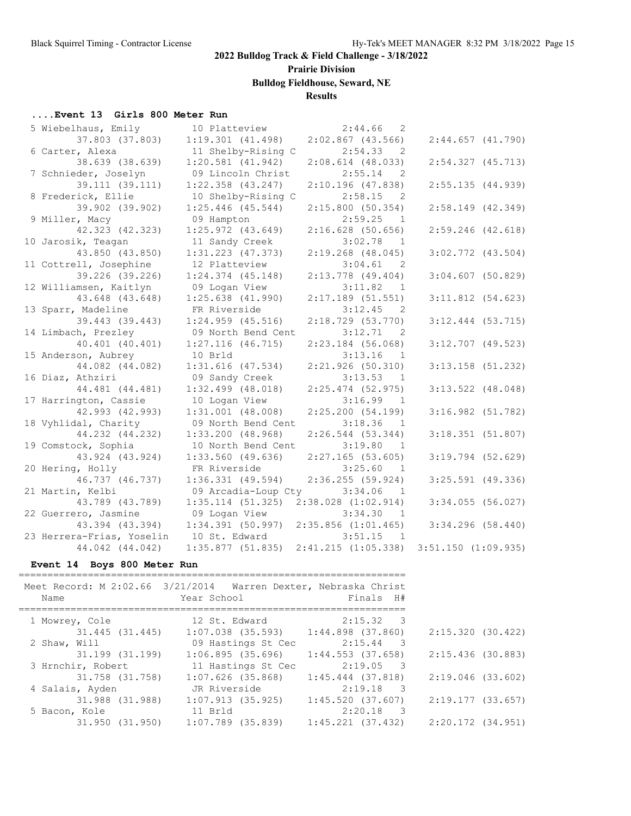# **Prairie Division**

**Bulldog Fieldhouse, Seward, NE**

### **Results**

#### **....Event 13 Girls 800 Meter Run**

| 5 Wiebelhaus, Emily       | 10 Platteview         | 2:44.66<br>$\overline{2}$ |                         |
|---------------------------|-----------------------|---------------------------|-------------------------|
| 37.803 (37.803)           | $1:19.301$ $(41.498)$ | $2:02.867$ (43.566)       | $2:44.657$ (41.790)     |
| 6 Carter, Alexa           | 11 Shelby-Rising C    | 2:54.33<br>$\overline{2}$ |                         |
| 38.639 (38.639)           | $1:20.581$ $(41.942)$ | $2:08.614$ (48.033)       | $2:54.327$ (45.713)     |
| 7 Schnieder, Joselyn      | 09 Lincoln Christ     | 2:55.14<br>$\overline{2}$ |                         |
| 39.111 (39.111)           | $1:22.358$ $(43.247)$ | $2:10.196$ (47.838)       | 2:55.135(44.939)        |
| 8 Frederick, Ellie        | 10 Shelby-Rising C    | 2:58.15<br>$\overline{2}$ |                         |
| 39.902 (39.902)           | $1:25.446$ (45.544)   | 2:15.800(50.354)          | $2:58.149$ (42.349)     |
| 9 Miller, Macy            | 09 Hampton            | 2:59.25<br>$\overline{1}$ |                         |
| 42.323 (42.323)           | $1:25.972$ $(43.649)$ | $2:16.628$ (50.656)       | $2:59.246$ (42.618)     |
| 10 Jarosik, Teagan        | 11 Sandy Creek        | 3:02.78<br>-1             |                         |
| 43.850 (43.850)           | $1:31.223$ $(47.373)$ | $2:19.268$ (48.045)       | $3:02.772$ $(43.504)$   |
| 11 Cottrell, Josephine    | 12 Platteview         | 3:04.61<br>2              |                         |
| 39.226 (39.226)           | $1:24.374$ $(45.148)$ | $2:13.778$ (49.404)       | $3:04.607$ (50.829)     |
| 12 Williamsen, Kaitlyn    | 09 Logan View         | 3:11.82<br>1              |                         |
| 43.648 (43.648)           | $1:25.638$ $(41.990)$ | $2:17.189$ (51.551)       | $3:11.812$ $(54.623)$   |
| 13 Sparr, Madeline        | FR Riverside          | 3:12.45<br>$\overline{2}$ |                         |
| 39.443 (39.443)           | $1:24.959$ $(45.516)$ | $2:18.729$ (53.770)       | $3:12.444$ (53.715)     |
| 14 Limbach, Prezley       | 09 North Bend Cent    | 3:12.71<br>- 2            |                         |
| 40.401 (40.401)           | $1:27.116$ (46.715)   | $2:23.184$ (56.068)       | $3:12.707$ (49.523)     |
| 15 Anderson, Aubrey       | 10 Brld               | 3:13.16<br>1              |                         |
| 44.082 (44.082)           | $1:31.616$ $(47.534)$ | 2:21.926(50.310)          | $3:13.158$ (51.232)     |
| 16 Diaz, Athziri          | 09 Sandy Creek        | 3:13.53<br>$\overline{1}$ |                         |
| 44.481 (44.481)           | $1:32.499$ (48.018)   | $2:25.474$ (52.975)       | $3:13.522$ (48.048)     |
| 17 Harrington, Cassie     | 10 Logan View         | 3:16.99<br>$\overline{1}$ |                         |
| 42.993 (42.993)           | $1:31.001$ (48.008)   | 2:25.200(54.199)          | $3:16.982$ $(51.782)$   |
| 18 Vyhlidal, Charity      | 09 North Bend Cent    | 3:18.36<br>$\overline{1}$ |                         |
| 44.232 (44.232)           | $1:33.200$ (48.968)   | $2:26.544$ (53.344)       | 3:18.351(51.807)        |
| 19 Comstock, Sophia       | 10 North Bend Cent    | 3:19.80<br>$\overline{1}$ |                         |
| 43.924 (43.924)           | $1:33.560$ (49.636)   | $2:27.165$ (53.605)       | $3:19.794$ (52.629)     |
| 20 Hering, Holly          | FR Riverside          | 3:25.60<br>$\overline{1}$ |                         |
| 46.737 (46.737)           | $1:36.331$ (49.594)   | 2:36.255(59.924)          | $3:25.591$ (49.336)     |
| 21 Martin, Kelbi          | 09 Arcadia-Loup Cty   | 3:34.06<br>$\overline{1}$ |                         |
| 43.789 (43.789)           | $1:35.114$ (51.325)   | $2:38.028$ $(1:02.914)$   | $3:34.055$ (56.027)     |
| 22 Guerrero, Jasmine      | 09 Logan View         | 3:34.30<br>$\overline{1}$ |                         |
| 43.394 (43.394)           | 1:34.391(50.997)      | $2:35.856$ $(1:01.465)$   | $3:34.296$ (58.440)     |
| 23 Herrera-Frias, Yoselin | 10 St. Edward         | 3:51.15<br>$\overline{1}$ |                         |
| 44.042 (44.042)           | 1:35.877(51.835)      | 2:41.215(1:05.338)        | $3:51.150$ $(1:09.935)$ |
|                           |                       |                           |                         |

#### **Event 14 Boys 800 Meter Run**

| Meet Record: M 2:02.66 3/21/2014 Warren Dexter, Nebraska Christ |                                         |                                    |                   |
|-----------------------------------------------------------------|-----------------------------------------|------------------------------------|-------------------|
| Name                                                            | Year School                             | Finals H#                          |                   |
|                                                                 |                                         |                                    |                   |
| 1 Mowrey, Cole                                                  | 12 St. Edward                           | $2:15.32$ 3                        |                   |
| 31.445 (31.445)                                                 | $1:07.038$ (35.593) $1:44.898$ (37.860) |                                    | 2:15.320 (30.422) |
| 2 Shaw, Will                                                    | 09 Hastings St Cec                      | $2:15.44$ 3                        |                   |
| 31.199 (31.199)                                                 | 1:06.895(35.696)                        | 1:44.553 (37.658)                  | 2:15.436 (30.883) |
| 3 Hrnchir, Robert                                               | 11 Hastings St Cec                      | $2:19.05$ 3                        |                   |
| 31.758 (31.758)                                                 | $1:07.626$ (35.868)                     | $1:45.444$ (37.818)                | 2:19.046 (33.602) |
| 4 Salais, Ayden                                                 | JR Riverside                            | $2:19.18$ 3                        |                   |
| 31.988 (31.988)                                                 | $1:07.913$ (35.925)                     | 1:45.520(37.607)                   | 2:19.177(33.657)  |
| 5 Bacon, Kole                                                   | 11 Brld                                 | 2:20.18<br>$\overline{\mathbf{3}}$ |                   |
| 31.950 (31.950)                                                 | $1:07.789$ (35.839)                     | $1:45.221$ (37.432)                | 2:20.172 (34.951) |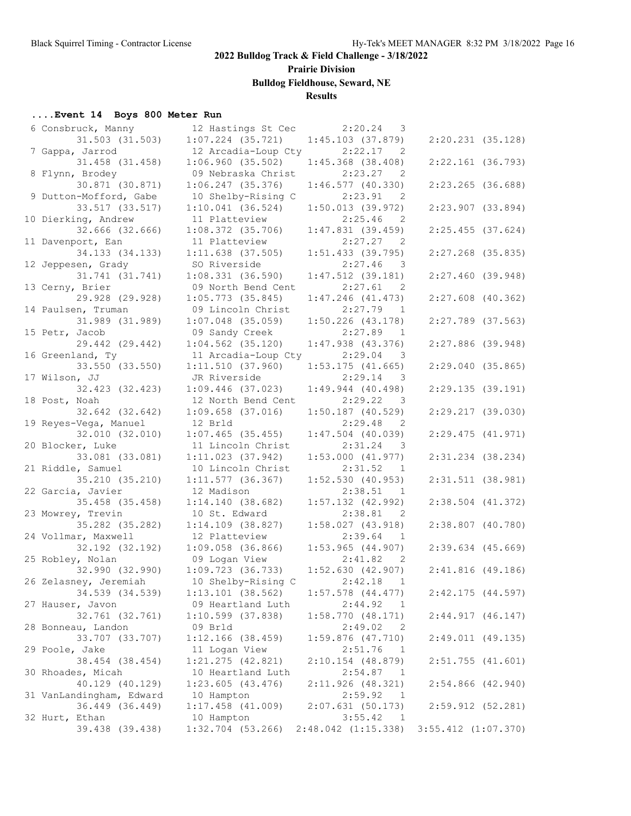**Prairie Division**

**Bulldog Fieldhouse, Seward, NE**

### **Results**

#### **....Event 14 Boys 800 Meter Run**

| 6 Consbruck, Manny       | 12 Hastings St Cec  | 2:20.24<br>3                          |                         |  |
|--------------------------|---------------------|---------------------------------------|-------------------------|--|
| 31.503 (31.503)          | $1:07.224$ (35.721) | $1:45.103$ (37.879)                   | $2:20.231$ (35.128)     |  |
| 7 Gappa, Jarrod          | 12 Arcadia-Loup Cty | 2:22.17<br>2                          |                         |  |
| 31.458 (31.458)          | 1:06.960(35.502)    | $1:45.368$ (38.408)                   | $2:22.161$ (36.793)     |  |
| 8 Flynn, Brodey          | 09 Nebraska Christ  | 2:23.27<br>2                          |                         |  |
| 30.871 (30.871)          | $1:06.247$ (35.376) | 1:46.577(40.330)                      | $2:23.265$ (36.688)     |  |
|                          |                     | 2:23.91                               |                         |  |
| 9 Dutton-Mofford, Gabe   | 10 Shelby-Rising C  | $\overline{2}$                        |                         |  |
| 33.517 (33.517)          | $1:10.041$ (36.524) | 1:50.013(39.972)                      | $2:23.907$ (33.894)     |  |
| 10 Dierking, Andrew      | 11 Platteview       | 2:25.46<br>2                          |                         |  |
| 32.666 (32.666)          | $1:08.372$ (35.706) | $1:47.831$ (39.459)                   | $2:25.455$ (37.624)     |  |
| 11 Davenport, Ean        | 11 Platteview       | 2:27.27<br>2                          |                         |  |
| 34.133 (34.133)          | $1:11.638$ (37.505) | $1:51.433$ (39.795)                   | $2:27.268$ (35.835)     |  |
| 12 Jeppesen, Grady       | SO Riverside        | 2:27.46<br>$\overline{\phantom{a}}$ 3 |                         |  |
| 31.741 (31.741)          | $1:08.331$ (36.590) | $1:47.512$ (39.181)                   | $2:27.460$ (39.948)     |  |
| 13 Cerny, Brier          | 09 North Bend Cent  | 2:27.61<br>$\overline{2}$             |                         |  |
| 29.928 (29.928)          | $1:05.773$ (35.845) | $1:47.246$ $(41.473)$                 | $2:27.608$ (40.362)     |  |
| 14 Paulsen, Truman       | 09 Lincoln Christ   | $2:27.79$ 1                           |                         |  |
| 31.989 (31.989)          | $1:07.048$ (35.059) | $1:50.226$ (43.178)                   | $2:27.789$ (37.563)     |  |
|                          |                     | 2:27.89                               |                         |  |
| 15 Petr, Jacob           | 09 Sandy Creek      | $\overline{1}$                        |                         |  |
| 29.442 (29.442)          | $1:04.562$ (35.120) | $1:47.938$ $(43.376)$                 | $2:27.886$ (39.948)     |  |
| 16 Greenland, Ty         | 11 Arcadia-Loup Cty | 2:29.04<br>$\overline{\phantom{a}}$   |                         |  |
| 33.550 (33.550)          | 1:11.510(37.960)    | $1:53.175$ (41.665)                   | 2:29.040(35.865)        |  |
| 17 Wilson, JJ            | JR Riverside        | 2:29.14<br>$\overline{\phantom{a}}$   |                         |  |
| 32.423 (32.423)          | $1:09.446$ (37.023) | $1:49.944$ (40.498)                   | 2:29.135(39.191)        |  |
| 18 Post, Noah            | 12 North Bend Cent  | 2:29.22<br>3                          |                         |  |
| 32.642 (32.642)          | $1:09.658$ (37.016) | $1:50.187$ (40.529)                   | $2:29.217$ (39.030)     |  |
| 19 Reyes-Vega, Manuel    | 12 Brld             | 2:29.48<br>2                          |                         |  |
| 32.010 (32.010)          | $1:07.465$ (35.455) | $1:47.504$ (40.039)                   | 2:29.475(41.971)        |  |
| 20 Blocker, Luke         | 11 Lincoln Christ   | 2:31.24<br>$\overline{\phantom{a}}$ 3 |                         |  |
| 33.081 (33.081)          | $1:11.023$ (37.942) | 1:53.000(41.977)                      | $2:31.234$ $(38.234)$   |  |
| 21 Riddle, Samuel        | 10 Lincoln Christ   | 2:31.52<br><sup>1</sup>               |                         |  |
| 35.210 (35.210)          |                     |                                       |                         |  |
|                          | $1:11.577$ (36.367) | $1:52.530$ (40.953)                   | 2:31.511 (38.981)       |  |
| 22 Garcia, Javier        | 12 Madison          | 2:38.51<br>- 1                        |                         |  |
| 35.458 (35.458)          | 1:14.140(38.682)    | $1:57.132$ (42.992)                   | $2:38.504$ $(41.372)$   |  |
| 23 Mowrey, Trevin        | 10 St. Edward       | 2:38.81<br>2                          |                         |  |
| 35.282 (35.282)          | $1:14.109$ (38.827) | 1:58.027(43.918)                      | 2:38.807 (40.780)       |  |
| 24 Vollmar, Maxwell      | 12 Platteview       | 2:39.64<br>1                          |                         |  |
| 32.192 (32.192)          | $1:09.058$ (36.866) | $1:53.965$ (44.907)                   | $2:39.634$ (45.669)     |  |
| 25 Robley, Nolan         | 09 Logan View       | 2:41.82<br>-2                         |                         |  |
| 32.990 (32.990)          | 1:09.723(36.733)    | 1:52.630(42.907)                      | 2:41.816(49.186)        |  |
| 26 Zelasney, Jeremiah    | 10 Shelby-Rising C  | 2:42.18<br>$\mathbf{1}$               |                         |  |
| 34.539 (34.539)          | $1:13.101$ (38.562) | $1:57.578$ $(44.477)$                 | 2:42.175(44.597)        |  |
| 27 Hauser, Javon         | 09 Heartland Luth   | 2:44.92<br>1                          |                         |  |
| 32.761 (32.761)          |                     | 1:58.770(48.171)                      | 2:44.917(46.147)        |  |
|                          | $1:10.599$ (37.838) |                                       |                         |  |
| 28 Bonneau, Landon       | 09 Brld             | 2:49.02<br>2                          |                         |  |
| 33.707 (33.707)          | $1:12.166$ (38.459) | $1:59.876$ (47.710)                   | 2:49.011 (49.135)       |  |
| 29 Poole, Jake           | 11 Logan View       | 2:51.76<br>$\overline{1}$             |                         |  |
| 38.454 (38.454)          | $1:21.275$ (42.821) | $2:10.154$ (48.879)                   | $2:51.755$ $(41.601)$   |  |
| 30 Rhoades, Micah        | 10 Heartland Luth   | 2:54.87<br>- 1                        |                         |  |
| 40.129 (40.129)          | 1:23.605(43.476)    | 2:11.926 (48.321)                     | $2:54.866$ $(42.940)$   |  |
| 31 VanLandingham, Edward | 10 Hampton          | 2:59.92<br>- 1                        |                         |  |
| 36.449 (36.449)          | $1:17.458$ (41.009) | 2:07.631(50.173)                      | 2:59.912 (52.281)       |  |
| 32 Hurt, Ethan           | 10 Hampton          | 3:55.42<br>$\overline{1}$             |                         |  |
| 39.438 (39.438)          | $1:32.704$ (53.266) | $2:48.042$ $(1:15.338)$               | $3:55.412$ $(1:07.370)$ |  |
|                          |                     |                                       |                         |  |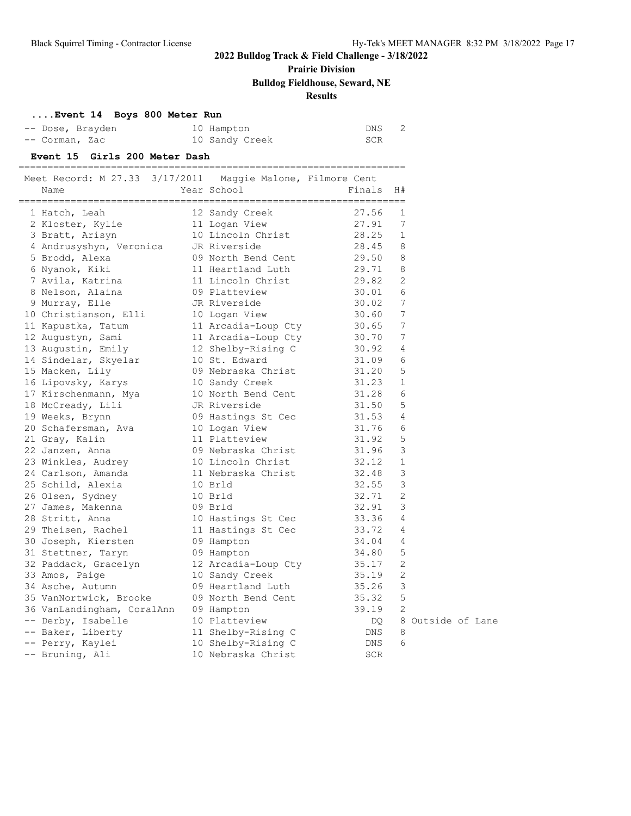# **Prairie Division**

### **Bulldog Fieldhouse, Seward, NE**

### **Results**

#### **....Event 14 Boys 800 Meter Run**

| -- Dose, Brayden | 10 Hampton     | DNS |
|------------------|----------------|-----|
| -- Corman, Zac   | 10 Sandy Creek | SCR |

#### **Event 15 Girls 200 Meter Dash**

| Meet Record: M 27.33 3/17/2011 Maggie Malone, Filmore Cent |                                           |                |                   |
|------------------------------------------------------------|-------------------------------------------|----------------|-------------------|
| Name                                                       | Year School                               | Finals         | H#                |
| 1 Hatch, Leah                                              | 12 Sandy Creek                            | 27.56          | 1                 |
| 2 Kloster, Kylie                                           | 11 Logan View                             | 27.91          | 7                 |
| 3 Bratt, Arisyn                                            | 10 Lincoln Christ                         | 28.25          | 1                 |
| 4 Andrusyshyn, Veronica JR Riverside                       |                                           | 28.45          | 8                 |
| 5 Brodd, Alexa                                             | 09 North Bend Cent 29.50                  |                | 8                 |
| 6 Nyanok, Kiki                                             | 11 Heartland Luth                         | 29.71          | 8                 |
| 7 Avila, Katrina                                           | 11 Lincoln Christ                         | 29.82          | 2                 |
| 8 Nelson, Alaina                                           | 09 Platteview                             | 30.01          | 6                 |
| 9 Murray, Elle                                             | JR Riverside                              | 30.02          | 7                 |
| 10 Christianson, Elli                                      | 10 Logan View                             | 30.60          | 7                 |
| 11 Kapustka, Tatum                                         | 11 Arcadia-Loup Cty 30.65                 |                | 7                 |
| 12 Augustyn, Sami                                          |                                           | 30.70          | 7                 |
| 13 Augustin, Emily                                         | 11 Arcadia-Loup Cty<br>12 Shelby-Rising C | 30.92          | 4                 |
| 14 Sindelar, Skyelar                                       | 10 St. Edward                             | 31.09          | 6                 |
| 15 Macken, Lily                                            | 09 Nebraska Christ                        |                | 5                 |
| 16 Lipovsky, Karys                                         | 10 Sandy Creek                            | 31.20<br>31.23 | 1                 |
| 17 Kirschenmann, Mya 10 North Bend Cent                    |                                           | 31.28          | 6                 |
| 18 McCready, Lili                                          |                                           | 31.50          | 5                 |
| 19 Weeks, Brynn                                            | JR Riverside<br>09 Hastings St Cec        | 31.53          | 4                 |
| 20 Schafersman, Ava 10 Logan View                          |                                           | 31.76          | 6                 |
| 21 Gray, Kalin                                             | 11 Platteview                             | 31.92          | 5                 |
| 22 Janzen, Anna                                            | 09 Nebraska Christ                        | 31.96          | 3                 |
| 23 Winkles, Audrey 10 Lincoln Christ                       |                                           | 32.12          | $\mathbf{1}$      |
| 24 Carlson, Amanda                                         | 11 Nebraska Christ                        | 32.48          | 3                 |
| 25 Schild, Alexia                                          | 10 Brld                                   | 32.55          | 3                 |
| 26 Olsen, Sydney                                           | 10 Brld                                   | 32.71          | 2                 |
| 27 James, Makenna                                          |                                           | 32.91          | 3                 |
| 28 Stritt, Anna                                            | 09 Brld<br>10 Hastings St Cec             | 33.36          | 4                 |
| 29 Theisen, Rachel                                         | 11 Hastings St Cec                        | 33.72          | 4                 |
| 30 Joseph, Kiersten                                        | 09 Hampton                                | 34.04          | 4                 |
| 31 Stettner, Taryn                                         | 09 Hampton                                | 34.80          | 5                 |
| 32 Paddack, Gracelyn 12 Arcadia-Loup Cty 35.17             |                                           |                | 2                 |
| 33 Amos, Paige                                             | 10 Sandy Creek                            | 35.19          | 2                 |
| 34 Asche, Autumn                                           | 09 Heartland Luth                         | 35.26          | 3                 |
| 35 VanNortwick, Brooke                                     | 09 North Bend Cent                        | 35.32          | 5                 |
| 36 VanLandingham, CoralAnn 09 Hampton                      |                                           | 39.19          | 2                 |
| -- Derby, Isabelle                                         | 10 Platteview                             | DQ             | 8 Outside of Lane |
| -- Baker, Liberty                                          | 11 Shelby-Rising C                        | DNS            | 8                 |
| -- Perry, Kaylei                                           | 10 Shelby-Rising C                        | DNS            | 6                 |
| -- Bruning, Ali                                            | 10 Nebraska Christ                        | <b>SCR</b>     |                   |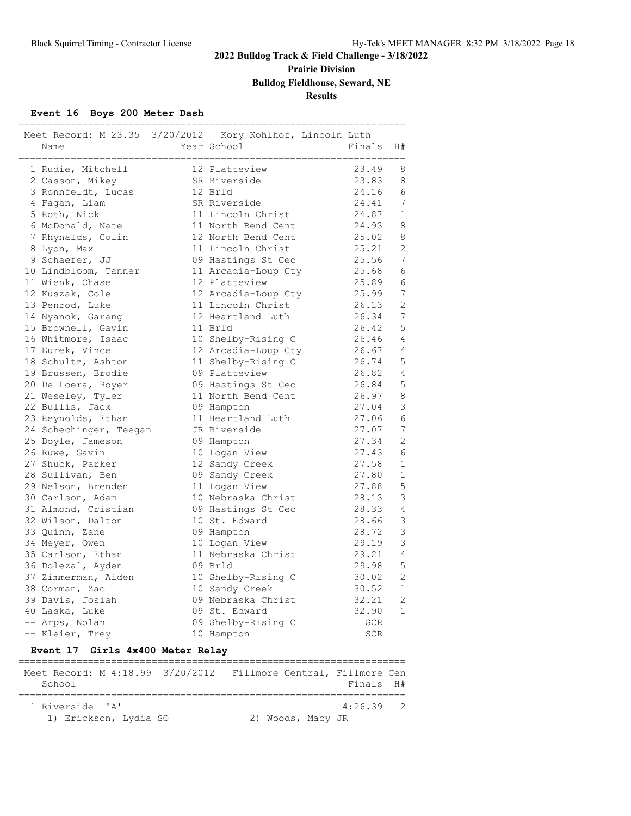# **Prairie Division**

# **Bulldog Fieldhouse, Seward, NE**

### **Results**

#### **Event 16 Boys 200 Meter Dash**

| Meet Record: M 23.35 3/20/2012 Kory Kohlhof, Lincoln Luth<br>Name | ==============================<br>Year School | Finals     | H#             |
|-------------------------------------------------------------------|-----------------------------------------------|------------|----------------|
| 1 Rudie, Mitchell                                                 | 12 Platteview                                 | 23.49      | 8              |
| 2 Casson, Mikey                                                   | SR Riverside                                  | 23.83      | 8              |
| 3 Ronnfeldt, Lucas                                                | 12 Brld                                       | 24.16      | 6              |
| 4 Fagan, Liam                                                     | SR Riverside                                  | 24.41      | 7              |
| 5 Roth, Nick                                                      | 11 Lincoln Christ                             | 24.87      | $\mathbf{1}$   |
| 6 McDonald, Nate                                                  | 11 North Bend Cent                            | 24.93      | 8              |
| 7 Rhynalds, Colin                                                 | 12 North Bend Cent                            | 25.02      | 8              |
| 8 Lyon, Max                                                       | 11 Lincoln Christ                             | 25.21      | $\overline{2}$ |
| 9 Schaefer, JJ                                                    | 09 Hastings St Cec                            | 25.56      | 7              |
| 10 Lindbloom, Tanner                                              | 11 Arcadia-Loup Cty                           | 25.68      | 6              |
| 11 Wienk, Chase                                                   | 12 Platteview                                 | 25.89      | 6              |
| 12 Kuszak, Cole                                                   | 12 Arcadia-Loup Cty                           | 25.99      | 7              |
| 13 Penrod, Luke                                                   | 11 Lincoln Christ                             | 26.13      | $\overline{2}$ |
| 14 Nyanok, Garang                                                 | 12 Heartland Luth                             | 26.34      | 7              |
| 15 Brownell, Gavin                                                | 11 Brld                                       | 26.42      | 5              |
| 16 Whitmore, Isaac                                                | 10 Shelby-Rising C                            | 26.46      | $\overline{4}$ |
| 17 Eurek, Vince                                                   | 12 Arcadia-Loup Cty                           | 26.67      | 4              |
| 18 Schultz, Ashton                                                | 11 Shelby-Rising C                            | 26.74      | 5              |
| 19 Brussen, Brodie                                                | 09 Platteview                                 | 26.82      | 4              |
| 20 De Loera, Royer                                                | 09 Hastings St Cec                            | 26.84      | 5              |
| 21 Weseley, Tyler                                                 | 11 North Bend Cent                            | 26.97      | 8              |
| 22 Bullis, Jack                                                   | 09 Hampton                                    | 27.04      | 3              |
| 23 Reynolds, Ethan                                                | 11 Heartland Luth                             | 27.06      | 6              |
| 24 Schechinger, Teegan                                            | JR Riverside                                  | 27.07      | 7              |
| 25 Doyle, Jameson                                                 | 09 Hampton                                    | 27.34      | 2              |
| 26 Ruwe, Gavin                                                    | 10 Logan View                                 | 27.43      | 6              |
| 27 Shuck, Parker                                                  | 12 Sandy Creek                                | 27.58      | $\mathbf{1}$   |
| 28 Sullivan, Ben                                                  | 09 Sandy Creek                                | 27.80      | $\mathbf 1$    |
| 29 Nelson, Brenden                                                | 11 Logan View                                 | 27.88      | 5              |
| 30 Carlson, Adam                                                  | 10 Nebraska Christ                            | 28.13      | 3              |
| 31 Almond, Cristian                                               | 09 Hastings St Cec                            | 28.33      | $\overline{4}$ |
| 32 Wilson, Dalton                                                 | 10 St. Edward                                 | 28.66      | $\mathsf 3$    |
| 33 Quinn, Zane                                                    | 09 Hampton                                    | 28.72      | 3              |
| 34 Meyer, Owen                                                    | 10 Logan View                                 | 29.19      | 3              |
| 35 Carlson, Ethan                                                 | 11 Nebraska Christ                            | 29.21      | 4              |
| 36 Dolezal, Ayden                                                 | 09 Brld                                       | 29.98      | 5              |
| 37 Zimmerman, Aiden                                               | 10 Shelby-Rising C                            | 30.02      | 2              |
| 38 Corman, Zac                                                    | 10 Sandy Creek                                | 30.52      | $\mathbf{1}$   |
| 39 Davis, Josiah                                                  | 09 Nebraska Christ                            | 32.21      | 2              |
| 40 Laska, Luke                                                    | 09 St. Edward                                 | 32.90      | $\mathbf{1}$   |
| -- Arps, Nolan                                                    | 09 Shelby-Rising C                            | SCR        |                |
| -- Kleier, Trey                                                   | 10 Hampton                                    | <b>SCR</b> |                |

#### **Event 17 Girls 4x400 Meter Relay**

| Meet Record: M 4:18.99 3/20/2012 Fillmore Central, Fillmore Cen<br>School |  |                   | Finals H#   |  |
|---------------------------------------------------------------------------|--|-------------------|-------------|--|
|                                                                           |  |                   |             |  |
| 1 Riverside 'A'                                                           |  |                   | $4:26.39$ 2 |  |
| 1) Erickson, Lydia SO                                                     |  | 2) Woods, Macy JR |             |  |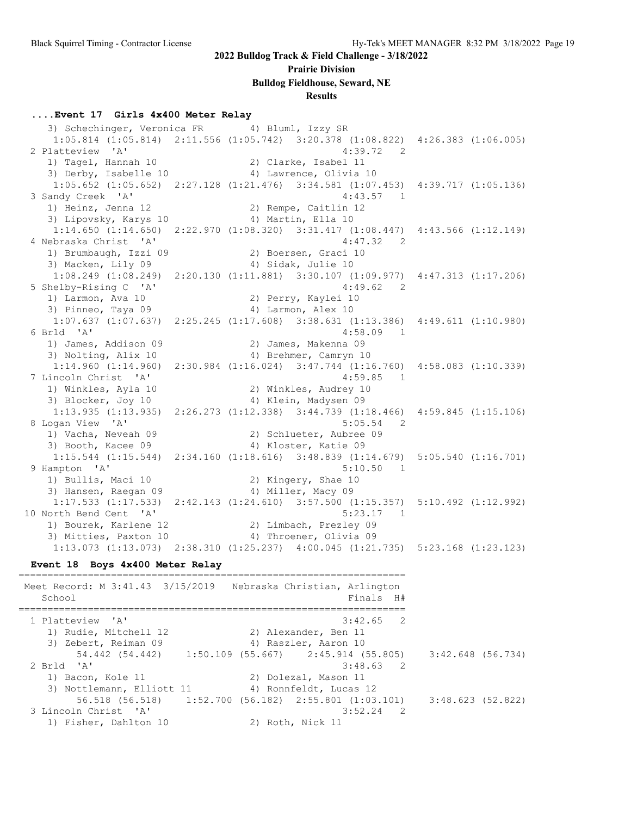#### **Prairie Division**

**Bulldog Fieldhouse, Seward, NE**

#### **Results**

#### **....Event 17 Girls 4x400 Meter Relay**

3) Schechinger, Veronica FR 4) Bluml, Izzy SR 1:05.814 (1:05.814) 2:11.556 (1:05.742) 3:20.378 (1:08.822) 4:26.383 (1:06.005) 2 Platteview 'A' 4:39.72 2<br>1) Tagel, Hannah 10 2) Clarke, Isabel 11 1) Tagel, Hannah 10 2) Clarke, Isabel 11 3) Derby, Isabelle 10 4) Lawrence, Olivia 10 1:05.652 (1:05.652) 2:27.128 (1:21.476) 3:34.581 (1:07.453) 4:39.717 (1:05.136) 3 Sandy Creek 'A' 4:43.57 1<br>
1) Heinz, Jenna 12 2) Rempe, Caitlin 12<br>
3) Linousky Kanus 10 1) Heinz, Jenna 12 2) Rempe, Caitlin 12 3) Lipovsky, Karys 10 (4) Martin, Ella 10 1:14.650 (1:14.650) 2:22.970 (1:08.320) 3:31.417 (1:08.447) 4:43.566 (1:12.149) 4 Nebraska Christ 'A' 4:47.32 2 1) Brumbaugh, Izzi 09 120 2) Boersen, Graci 10 3) Macken, Lily 09 4) Sidak, Julie 10 1:08.249 (1:08.249) 2:20.130 (1:11.881) 3:30.107 (1:09.977) 4:47.313 (1:17.206) 5 Shelby-Rising C 'A' 4:49.62 2 1) Larmon, Ava 10 2) Perry, Kaylei 10 3) Pinneo, Taya 09 (4) Larmon, Alex 10 1:07.637 (1:07.637) 2:25.245 (1:17.608) 3:38.631 (1:13.386) 4:49.611 (1:10.980) 6 Brld 'A' 4:58.09 1 1) James, Addison 09 2) James, Makenna 09 3) Nolting, Alix 10 4) Brehmer, Camryn 10 1:14.960 (1:14.960) 2:30.984 (1:16.024) 3:47.744 (1:16.760) 4:58.083 (1:10.339) 7 Lincoln Christ 'A' 4:59.85 1 1) Winkles, Ayla 10 2) Winkles, Audrey 10 3) Blocker, Joy 10 4) Klein, Madysen 09 1:13.935 (1:13.935) 2:26.273 (1:12.338) 3:44.739 (1:18.466) 4:59.845 (1:15.106) 8 Logan View 'A' 5:05.54 2 1) Vacha, Neveah 09 2) Schlueter, Aubree 09 3) Booth, Kacee 09 4) Kloster, Katie 09  $1:15.544$  (1:15.544) 2:34.160 (1:18.616) 3:48.839 (1:14.679) 5:05.540 (1:16.701)<br>ampton 'A' 5:10.50 1 9 Hampton 'A' 5:10.50 1 1) Bullis, Maci 10 2) Kingery, Shae 10 3) Hansen, Raegan 09 4) Miller, Macy 09 1:17.533 (1:17.533) 2:42.143 (1:24.610) 3:57.500 (1:15.357) 5:10.492 (1:12.992) 10 North Bend Cent 'A' 5:23.17 1 1) Bourek, Karlene 12 2) Limbach, Prezley 09 3) Mitties, Paxton 10 4) Throener, Olivia 09 1:13.073 (1:13.073) 2:38.310 (1:25.237) 4:00.045 (1:21.735) 5:23.168 (1:23.123)

#### **Event 18 Boys 4x400 Meter Relay** ===================================================================

 Meet Record: M 3:41.43 3/15/2019 Nebraska Christian, Arlington School and the set of the set of the set of the set of the set of the set of the set of the set of the set of the set of the set of the set of the set of the set of the set of the set of the set of the set of the set of th =================================================================== 1 Platteview 'A' 3:42.65 2 1) Rudie, Mitchell 12 2) Alexander, Ben 11 3) Zebert, Reiman 09 1988 (4) Raszler, Aaron 10 54.442 (54.442) 1:50.109 (55.667) 2:45.914 (55.805) 3:42.648 (56.734) 2 Brld 'A' 3:48.63 2 1) Bacon, Kole 11 2) Dolezal, Mason 11 3) Nottlemann, Elliott 11 4) Ronnfeldt, Lucas 12 56.518 (56.518) 1:52.700 (56.182) 2:55.801 (1:03.101) 3:48.623 (52.822) 3 Lincoln Christ 'A' 3:52.24 2 1) Fisher, Dahlton 10 2) Roth, Nick 11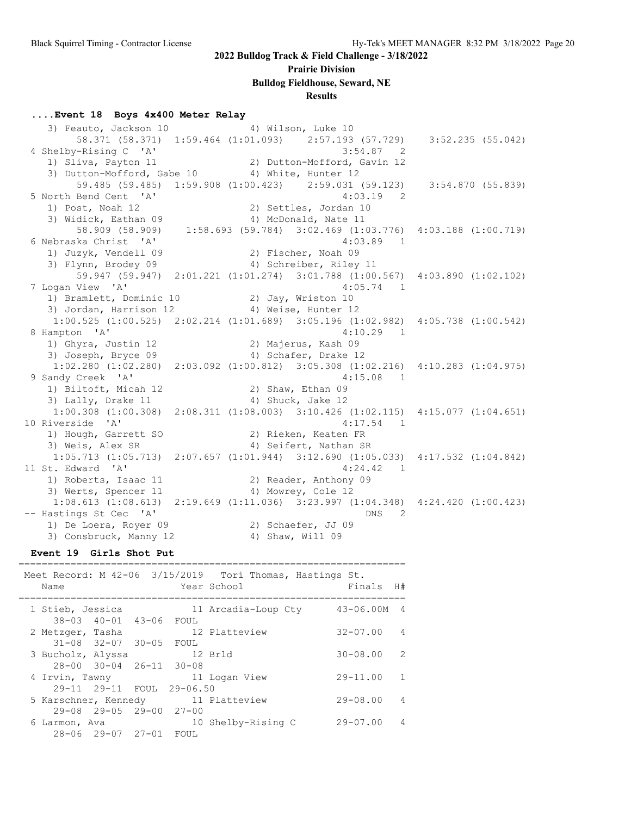#### **Prairie Division**

#### **Bulldog Fieldhouse, Seward, NE**

#### **Results**

#### **....Event 18 Boys 4x400 Meter Relay**

| 3) Feauto, Jackson 10 (4) Wilson, Luke 10                                                       |                      |                     |                       |                             |  |
|-------------------------------------------------------------------------------------------------|----------------------|---------------------|-----------------------|-----------------------------|--|
| 58.371 (58.371) 1:59.464 (1:01.093) 2:57.193 (57.729) 3:52.235 (55.042)                         |                      |                     |                       |                             |  |
| 4 Shelby-Rising C 'A'                                                                           |                      |                     |                       | 3:54.87 2                   |  |
| 1) Sliva, Payton 11                                                                             |                      |                     |                       | 2) Dutton-Mofford, Gavin 12 |  |
| 3) Dutton-Mofford, Gabe 10 4) White, Hunter 12                                                  |                      |                     |                       |                             |  |
| 59.485 (59.485) 1:59.908 (1:00.423) 2:59.031 (59.123) 3:54.870 (55.839)                         |                      |                     |                       |                             |  |
| 5 North Bend Cent 'A'                                                                           |                      |                     |                       | 4:03.19<br>$\overline{2}$   |  |
| 1) Post, Noah 12                                                                                |                      |                     | 2) Settles, Jordan 10 |                             |  |
| 3) Widick, Eathan 09                                                                            |                      |                     | 4) McDonald, Nate 11  |                             |  |
| 58.909 (58.909) 1:58.693 (59.784) 3:02.469 (1:03.776) 4:03.188 (1:00.719)                       |                      |                     |                       |                             |  |
| 6 Nebraska Christ 'A'                                                                           |                      |                     |                       | 4:03.89<br>$\overline{1}$   |  |
| 1) Juzyk, Vendell 09                                                                            |                      | 2) Fischer, Noah 09 |                       |                             |  |
| 3) Flynn, Brodey 09 (4) Schreiber, Riley 11                                                     |                      |                     |                       |                             |  |
| 59.947 (59.947) 2:01.221 (1:01.274) 3:01.788 (1:00.567) 4:03.890 (1:02.102)                     |                      |                     |                       |                             |  |
| 7 Logan View 'A'                                                                                |                      |                     |                       | $4:05.74$ 1                 |  |
| 1) Bramlett, Dominic 10 2) Jay, Wriston 10                                                      |                      |                     |                       |                             |  |
| 3) Jordan, Harrison 12 (4) Weise, Hunter 12                                                     |                      |                     |                       |                             |  |
| 1:00.525 (1:00.525) 2:02.214 (1:01.689) 3:05.196 (1:02.982) 4:05.738 (1:00.542)                 |                      |                     |                       |                             |  |
| 8 Hampton 'A'                                                                                   |                      |                     |                       | $4:10.29$ 1                 |  |
| 1) Ghyra, Justin 12                                                                             | 2) Majerus, Kash 09  |                     |                       |                             |  |
| 3) Joseph, Bryce 09                                                                             | 4) Schafer, Drake 12 |                     |                       |                             |  |
| $1:02.280$ (1:02.280) $2:03.092$ (1:00.812) $3:05.308$ (1:02.216) $4:10.283$ (1:04.975)         |                      |                     |                       |                             |  |
| 9 Sandy Creek 'A'                                                                               |                      |                     |                       | $4:15.08$ 1                 |  |
| 1) Biltoft, Micah 12                                                                            | 2) Shaw, Ethan 09    |                     |                       |                             |  |
| 3) Lally, Drake 11 (4) Shuck, Jake 12                                                           |                      |                     |                       |                             |  |
| $1:00.308$ $(1:00.308)$ $2:08.311$ $(1:08.003)$ $3:10.426$ $(1:02.115)$ $4:15.077$ $(1:04.651)$ |                      |                     |                       |                             |  |
| 10 Riverside 'A'                                                                                |                      |                     |                       | $4:17.54$ 1                 |  |
| 1) Hough, Garrett SO                                                                            | 2) Rieken, Keaten FR |                     |                       |                             |  |
| 3) Weis, Alex SR 4) Seifert, Nathan SR                                                          |                      |                     |                       |                             |  |
| 1:05.713 (1:05.713) 2:07.657 (1:01.944) 3:12.690 (1:05.033) 4:17.532 (1:04.842)                 |                      |                     |                       |                             |  |
| 11 St. Edward 'A'                                                                               |                      |                     |                       | 4:24.42 1                   |  |
| 1) Roberts, Isaac 11 (2) Reader, Anthony 09                                                     |                      |                     |                       |                             |  |
| 3) Werts, Spencer 11 (4) Mowrey, Cole 12                                                        |                      |                     |                       |                             |  |
| $1:08.613$ (1:08.613) 2:19.649 (1:11.036) 3:23.997 (1:04.348) 4:24.420 (1:00.423)               |                      |                     |                       |                             |  |
| -- Hastings St Cec 'A'                                                                          |                      |                     |                       | DNS<br>$\overline{2}$       |  |
| 1) De Loera, Royer 09                                                                           | 2) Schaefer, JJ 09   |                     |                       |                             |  |
| 3) Consbruck, Manny 12                                                                          |                      | 4) Shaw, Will 09    |                       |                             |  |

#### **Event 19 Girls Shot Put**

| Name                                 |                               |                           | Meet Record: M 42-06 3/15/2019 Tori Thomas, Hastings St.<br>Year School | Finals        | H#             |
|--------------------------------------|-------------------------------|---------------------------|-------------------------------------------------------------------------|---------------|----------------|
| 1 Stieb, Jessica                     |                               |                           | 11 Arcadia-Loup Cty                                                     | $43 - 06.00M$ | $\overline{4}$ |
| 2 Metzger, Tasha                     | 38-03 40-01 43-06 FOUL        |                           | 12 Platteview                                                           | $32 - 07.00$  | $\overline{4}$ |
| 3 Bucholz, Alyssa                    | $31 - 08$ $32 - 07$ $30 - 05$ | FOUL                      | 12 Brld                                                                 | $30 - 08.00$  | $\mathcal{P}$  |
|                                      | 28-00 30-04 26-11 30-08       |                           |                                                                         |               |                |
| 4 Irvin, Tawny                       |                               | 29-11 29-11 FOUL 29-06.50 | 11 Logan View                                                           | $29 - 11.00$  | $\mathbf{1}$   |
| 5 Karschner, Kennedy                 |                               |                           | 11 Platteview                                                           | $29 - 08.00$  | $\overline{4}$ |
| $29 - 08$ $29 - 05$<br>6 Larmon, Ava | $28 - 06$ $29 - 07$ $27 - 01$ | 29-00 27-00<br>FOUL       | 10 Shelby-Rising C                                                      | $29 - 07.00$  | 4              |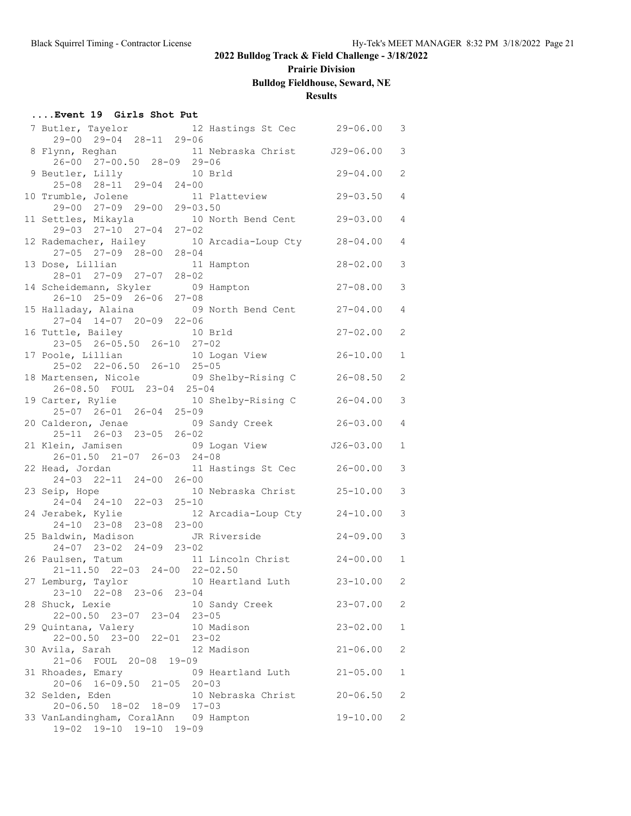# **Prairie Division**

# **Bulldog Fieldhouse, Seward, NE**

### **Results**

#### **....Event 19 Girls Shot Put**

| 7 Butler, Tayelor 12 Hastings St Cec 29-06.00                                                            |                              |               | 3              |
|----------------------------------------------------------------------------------------------------------|------------------------------|---------------|----------------|
| 29-00 29-04 28-11 29-06                                                                                  |                              |               |                |
| 8 Flynn, Reghan 11 Nebraska Christ J29-06.00<br>26-00 27-00.50 28-09 29-06                               |                              |               | 3              |
|                                                                                                          |                              |               |                |
| 9 Beutler, Lilly 10 Brld<br>25-08 28-11 29-04 24-00                                                      |                              | $29 - 04.00$  | $\overline{2}$ |
|                                                                                                          |                              |               |                |
| 10 Trumble, Jolene                                                                                       | 11 Platteview 29-03.50       |               | $\overline{4}$ |
| 29-00 27-09 29-00 29-03.50                                                                               |                              |               |                |
| 11 Settles, Mikayla 10 North Bend Cent 29-03.00                                                          |                              |               | $\overline{4}$ |
| 29-03 27-10 27-04 27-02<br>12 Rademacher, Hailey 10 Arcadia-Loup Cty 28-04.00<br>27-05 27-09 28-00 28-04 |                              |               |                |
|                                                                                                          |                              |               | $\overline{4}$ |
|                                                                                                          |                              |               |                |
| 13 Dose, Lillian 11 Hampton                                                                              |                              | $28 - 02.00$  | 3              |
| 28-01 27-09 27-07 28-02                                                                                  |                              |               |                |
| 14 Scheidemann, Skyler 09 Hampton                                                                        |                              | $27 - 08.00$  | 3              |
| 26-10 25-09 26-06 27-08                                                                                  |                              |               |                |
|                                                                                                          |                              |               | $\overline{4}$ |
| 15 Halladay, Alaina 09 North Bend Cent 27-04.00<br>27-04 14-07 20-09 22-06                               |                              |               |                |
|                                                                                                          |                              | $27 - 02.00$  | $\overline{2}$ |
| 16 Tuttle, Bailey 10 Brld<br>23-05 26-05.50 26-10 27-02                                                  |                              |               |                |
| 17 Poole, Lillian                                                                                        | 10 Logan View 26-10.00       |               | $\mathbf{1}$   |
| 25-02 22-06.50 26-10 25-05                                                                               |                              |               |                |
| 18 Martensen, Nicole 69 Shelby-Rising C 26-08.50                                                         |                              |               | $\overline{2}$ |
| 26-08.50 FOUL 23-04 25-04                                                                                |                              |               |                |
| 19 Carter, Rylie 10 Shelby-Rising C 26-04.00                                                             |                              |               | 3              |
| 25-07 26-01 26-04 25-09                                                                                  |                              |               |                |
| 20 Calderon, Jenae 69 Sandy Creek 26-03.00                                                               |                              |               | $\overline{4}$ |
| 25-11 26-03 23-05 26-02                                                                                  |                              |               |                |
|                                                                                                          |                              | $J26 - 03.00$ | $\mathbf{1}$   |
| 21 Klein, Jamisen 09 Logan View<br>26-01.50 21-07 26-03 24-08                                            |                              |               |                |
| 22 Head, Jordan 11 Hastings St Cec 26-00.00                                                              |                              |               | 3              |
| 24-03 22-11 24-00 26-00                                                                                  |                              |               |                |
|                                                                                                          |                              |               |                |
| 23 Seip, Hope                                                                                            | 10 Nebraska Christ 25-10.00  |               | 3              |
| 24-04 24-10 22-03 25-10                                                                                  |                              |               |                |
| 24 Jerabek, Kylie                                                                                        | 12 Arcadia-Loup Cty 24-10.00 |               | 3              |
| 24-10 23-08 23-08 23-00                                                                                  |                              |               |                |
| 25 Baldwin, Madison JR Riverside                                                                         |                              | $24 - 09.00$  | 3              |
| 24-07 23-02 24-09 23-02                                                                                  |                              |               |                |
| 26 Paulsen, Tatum 11 Lincoln Christ 24-00.00                                                             |                              |               | $\mathbf{1}$   |
| 21-11.50 22-03 24-00 22-02.50                                                                            |                              |               |                |
| 27 Lemburg, Taylor 10 Heartland Luth 23-10.00                                                            |                              |               | 2              |
| 23-10 22-08 23-06 23-04                                                                                  |                              |               |                |
| 28 Shuck, Lexie                                                                                          | 10 Sandy Creek               | $23 - 07.00$  | 2              |
| 22-00.50 23-07 23-04 23-05                                                                               |                              |               |                |
| 29 Quintana, Valery                                                                                      | 10 Madison                   | $23 - 02.00$  | $\mathbf 1$    |
| 22-00.50 23-00 22-01 23-02                                                                               |                              |               |                |
| 30 Avila, Sarah                                                                                          | 12 Madison                   | $21 - 06.00$  | $\overline{2}$ |
| 21-06 FOUL 20-08 19-09                                                                                   |                              |               |                |
| 31 Rhoades, Emary                                                                                        | 09 Heartland Luth            | $21 - 05.00$  | $\mathbf{1}$   |
| 20-06 16-09.50 21-05 20-03                                                                               |                              |               |                |
| 32 Selden, Eden                                                                                          | 10 Nebraska Christ 20-06.50  |               | 2              |
| 20-06.50 18-02 18-09 17-03                                                                               |                              |               |                |
| 33 VanLandingham, CoralAnn 09 Hampton                                                                    |                              | $19 - 10.00$  | 2              |
| 19-02 19-10 19-10 19-09                                                                                  |                              |               |                |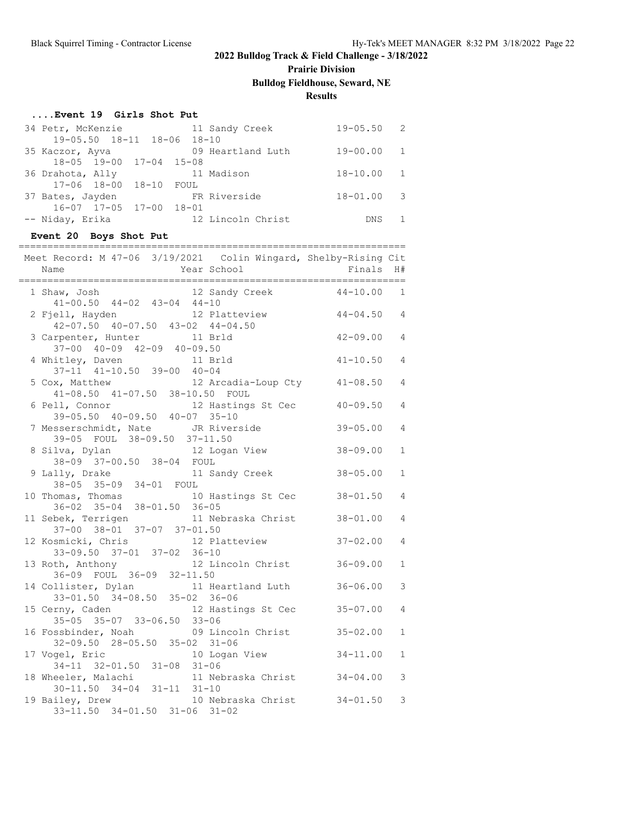# **Prairie Division**

**Bulldog Fieldhouse, Seward, NE**

### **Results**

#### **....Event 19 Girls Shot Put**

| 34 Petr, McKenzie                       | 11 Sandy Creek    | $19 - 05.50$ 2 |  |
|-----------------------------------------|-------------------|----------------|--|
| 19-05.50 18-11 18-06 18-10              |                   |                |  |
| 35 Kaczor, Ayva                         | 09 Heartland Luth | $19 - 00.00 1$ |  |
| 18-05 19-00 17-04 15-08                 |                   |                |  |
| 36 Drahota, Ally                        | 11 Madison        | $18 - 10.00$ 1 |  |
| 17-06 18-00 18-10 FOUL                  |                   |                |  |
| 37 Bates, Jayden                        | FR Riverside      | $18 - 01.00$ 3 |  |
| $16 - 07$ $17 - 05$ $17 - 00$ $18 - 01$ |                   |                |  |
| -- Niday, Erika                         | 12 Lincoln Christ | DNS.           |  |
|                                         |                   |                |  |

#### **Event 20 Boys Shot Put**

| Meet Record: M 47-06 3/19/2021 Colin Wingard, Shelby-Rising Cit<br>Name                                         | Year School                 | Finals H#      |                |
|-----------------------------------------------------------------------------------------------------------------|-----------------------------|----------------|----------------|
| 1 Shaw, Josh<br>$41-00.50$ $44-02$ $43-04$ $44-10$                                                              | 12 Sandy Creek              | $44 - 10.00$   | 1              |
| 2 Fjell, Hayden<br>$42-07.50$ $40-07.50$ $43-02$ $44-04.50$                                                     | 12 Platteview               | $44 - 04.50$ 4 |                |
| 3 Carpenter, Hunter 11 Brld<br>$37-00$ $40-09$ $42-09$ $40-09.50$                                               |                             | 42-09.00       | $\overline{4}$ |
| 4 Whitley, Daven 11 Brld<br>$37-11$ $41-10.50$ $39-00$ $40-04$                                                  |                             | $41 - 10.50$   | 4              |
| 5 Cox, Matthew 12 Arcadia-Loup Cty 41-08.50<br>41-08.50 41-07.50 38-10.50 FOUL                                  |                             |                | $\overline{4}$ |
| 6 Pell, Connor<br>:11, Connor                                   12 Hasti<br>39-05.50   40-09.50   40-07   35-10 | 12 Hastings St Cec 40-09.50 |                | 4              |
| 7 Messerschmidt, Nate JR Riverside<br>39-05 FOUL 38-09.50 37-11.50                                              |                             | $39 - 05.00$   | 4              |
| 8 Silva, Dylan 12 Logan View<br>38-09 37-00.50 38-04 FOUL                                                       |                             | $38 - 09.00$   | $\mathbf{1}$   |
| 9 Lally, Drake 11 Sandy Creek<br>38-05 35-09 34-01 FOUL                                                         |                             | $38 - 05.00$   | $\mathbf{1}$   |
| 10 Thomas, Thomas 10 Hastings St Cec<br>$36 - 02$ $35 - 04$ $38 - 01.50$ $36 - 05$                              |                             | $38 - 01.50$   | $\overline{4}$ |
| 11 Sebek, Terrigen 11 Nebraska Christ 38-01.00<br>$37-00$ $38-01$ $37-07$ $37-01.50$                            |                             |                | 4              |
| 12 Kosmicki, Chris 12 Platteview<br>$33-09.50$ $37-01$ $37-02$ $36-10$                                          |                             | $37 - 02.00$   | 4              |
| 13 Roth, Anthony<br>36-09 FOUL 36-09 32-11.50                                                                   | 12 Lincoln Christ           | $36 - 09.00$   | $\mathbf 1$    |
| 14 Collister, Dylan 11 Heartland Luth<br>33-01.50 34-08.50 35-02 36-06                                          |                             | $36 - 06.00$   | 3              |
| 15 Cerny, Caden 12 Hastings St Cec<br>35-05 35-07 33-06.50 33-06                                                |                             | $35 - 07.00$   | 4              |
| 16 Fossbinder, Noah and 09 Lincoln Christ 35-02.00<br>32-09.50 28-05.50 35-02 31-06                             |                             |                | $\mathbf{1}$   |
| 17 Vogel, Eric<br>$34-11$ $32-01.50$ $31-08$ $31-06$                                                            | 10 Logan View               | $34 - 11.00$   | $\mathbf{1}$   |
| 18 Wheeler, Malachi<br>$30 - 11.50$ $34 - 04$ $31 - 11$ $31 - 10$                                               | 11 Nebraska Christ 34-04.00 |                | 3              |
| 19 Bailey, Drew 10 Nebraska Christ 34-01.50<br>33-11.50 34-01.50 31-06 31-02                                    |                             |                | 3              |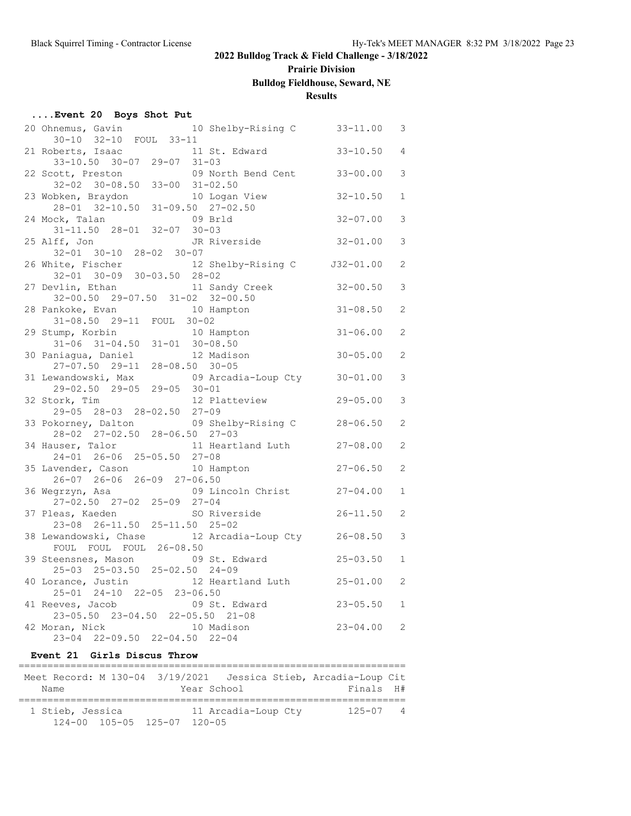# **Prairie Division**

# **Bulldog Fieldhouse, Seward, NE**

### **Results**

| Event 20 Boys Shot Put |  |  |  |
|------------------------|--|--|--|
|------------------------|--|--|--|

| 20 Ohnemus, Gavin 10 Shelby-Rising C                                |                              | 33-11.00     | 3                     |
|---------------------------------------------------------------------|------------------------------|--------------|-----------------------|
| 30-10 32-10 FOUL 33-11                                              |                              |              |                       |
| 21 Roberts, Isaac                                                   | 11 St. Edward                | $33 - 10.50$ | $\overline{4}$        |
| 33-10.50 30-07 29-07 31-03                                          |                              |              |                       |
| 22 Scott, Preston                                                   | 09 North Bend Cent 33-00.00  |              | 3                     |
| $32-02$ $30-08.50$ $33-00$ $31-02.50$                               |                              |              |                       |
|                                                                     | 10 Logan View                | $32 - 10.50$ | $\mathbf{1}$          |
| 23 Wobken, Braydon 10 Logan Vie<br>28-01 32-10.50 31-09.50 27-02.50 |                              |              |                       |
| 24 Mock, Talan                                                      | 09 Brld                      | $32 - 07.00$ | 3                     |
| $31 - 11.50$ $28 - 01$ $32 - 07$ $30 - 03$                          |                              |              |                       |
| 25 Alff, Jon                                                        | JR Riverside                 | $32 - 01.00$ | 3                     |
| 32-01 30-10 28-02 30-07                                             |                              |              |                       |
| 26 White, Fischer 12 Shelby-Rising C 32-01.00                       |                              |              | $\overline{2}$        |
| 32-01 30-09 30-03.50 28-02                                          |                              |              |                       |
| 27 Devlin, Ethan                                                    | 11 Sandy Creek               | $32 - 00.50$ | 3                     |
| 32-00.50 29-07.50 31-02 32-00.50                                    |                              |              |                       |
| 28 Pankoke, Evan                                                    | 10 Hampton                   | $31 - 08.50$ | 2                     |
| 31-08.50 29-11 FOUL 30-02                                           |                              |              |                       |
|                                                                     |                              | $31 - 06.00$ | 2                     |
| 29 Stump, Korbin 10 Hampton<br>31-06 31-04.50 31-01 30-08.50        |                              |              |                       |
|                                                                     |                              |              | $\mathbf{2}^{\prime}$ |
| 30 Paniagua, Daniel 12 Madis<br>27-07.50 29-11 28-08.50 30-05       | 12 Madison                   | $30 - 05.00$ |                       |
|                                                                     |                              |              |                       |
| 31 Lewandowski, Max                                                 | 09 Arcadia-Loup Cty 30-01.00 |              | 3                     |
| $29-02.50$ $29-05$ $29-05$ $30-01$                                  |                              |              |                       |
| 32 Stork, Tim                                                       | 12 Platteview                | $29 - 05.00$ | 3                     |
| 29-05 28-03 28-02.50 27-09                                          |                              |              |                       |
| 33 Pokorney, Dalton                                                 | 09 Shelby-Rising C 28-06.50  |              | $\overline{2}$        |
| 28-02 27-02.50 28-06.50 27-03                                       |                              |              |                       |
| 34 Hauser, Talor                                                    | 11 Heartland Luth 27-08.00   |              | 2                     |
| 24-01 26-06 25-05.50 27-08                                          |                              |              |                       |
| 35 Lavender, Cason                                                  | 10 Hampton                   | $27 - 06.50$ | $\overline{2}$        |
| $26-07$ $26-06$ $26-09$ $27-06.50$                                  |                              |              |                       |
| 36 Wegrzyn, Asa                                                     | 09 Lincoln Christ 27-04.00   |              | $\mathbf{1}$          |
| $27 - 02.50$ $27 - 02$ $25 - 09$ $27 - 04$                          |                              |              |                       |
| 37 Pleas, Kaeden SO Riverside                                       |                              | $26 - 11.50$ | $\overline{2}$        |
| 23-08 26-11.50 25-11.50 25-02                                       |                              |              |                       |
| 38 Lewandowski, Chase 12 Arcadia-Loup Cty 26-08.50                  |                              |              | 3                     |
| FOUL FOUL FOUL 26-08.50                                             |                              |              |                       |
| 39 Steensnes, Mason                                                 | 09 St. Edward                | $25 - 03.50$ | $\mathbf{1}$          |
| 25-03 25-03.50 25-02.50 24-09                                       |                              |              |                       |
| 40 Lorance, Justin 12 Heartland Luth 25-01.00                       |                              |              | 2                     |
| 25-01 24-10 22-05 23-06.50                                          |                              |              |                       |
| 41 Reeves, Jacob                                                    | 09 St. Edward                | $23 - 05.50$ | $\mathbf{1}$          |
| 23-05.50 23-04.50 22-05.50 21-08                                    |                              |              |                       |
| 42 Moran, Nick                                                      | 10 Madison                   | $23 - 04.00$ | 2                     |
| $23-04$ $22-09.50$ $22-04.50$ $22-04$                               |                              |              |                       |

#### **Event 21 Girls Discus Throw**

| Meet Record: M 130-04 3/19/2021 Jessica Stieb, Arcadia-Loup Cit |             |                     |              |  |
|-----------------------------------------------------------------|-------------|---------------------|--------------|--|
| Name                                                            | Year School |                     | Finals H#    |  |
|                                                                 |             |                     |              |  |
| 1 Stieb, Jessica                                                |             | 11 Arcadia-Loup Cty | $125 - 07$ 4 |  |
| 124-00 105-05 125-07 120-05                                     |             |                     |              |  |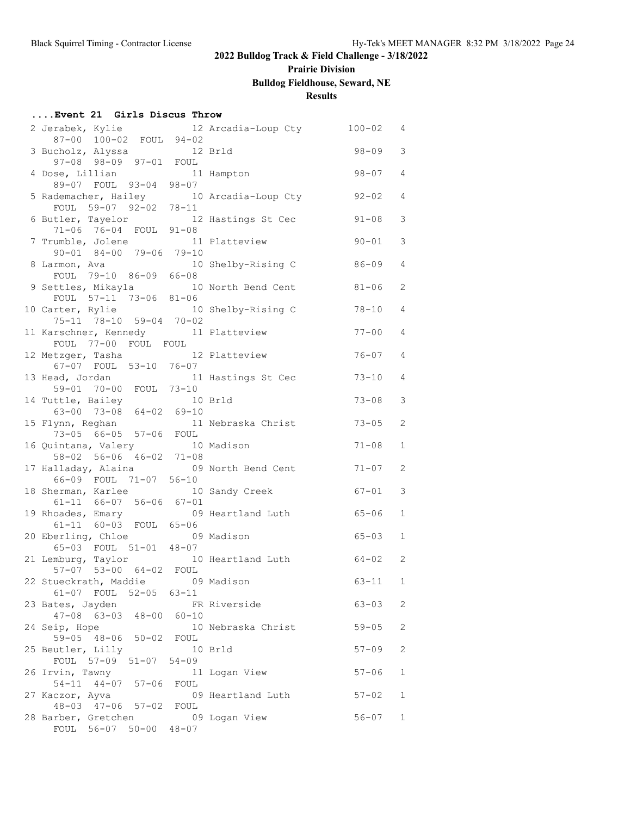# **Prairie Division**

# **Bulldog Fieldhouse, Seward, NE**

### **Results**

#### **....Event 21 Girls Discus Throw**

| 2 Jerabek, Kylie                             |           | 12 Arcadia-Loup Cty | $100 - 02$ | 4            |
|----------------------------------------------|-----------|---------------------|------------|--------------|
| 87-00 100-02 FOUL 94-02                      |           |                     |            |              |
| 3 Bucholz, Alyssa 12 Brld                    |           |                     | $98 - 09$  | 3            |
| 97-08 98-09 97-01 FOUL                       |           |                     | $98 - 07$  | 4            |
| 4 Dose, Lillian 11<br>89-07 FOUL 93-04 98-07 |           | 11 Hampton          |            |              |
| 5 Rademacher, Hailey 10 Arcadia-Loup Cty     |           |                     | $92 - 02$  | 4            |
| FOUL 59-07 92-02 78-11                       |           |                     |            |              |
| 6 Butler, Tayelor 12 Hastings St Cec         |           |                     | $91 - 08$  | 3            |
| $71-06$ $76-04$ $FOUL$ $91-08$               |           |                     |            |              |
| 7 Trumble, Jolene                            |           | 11 Platteview       | $90 - 01$  | 3            |
| $90 - 01$ $84 - 00$ $79 - 06$ $79 - 10$      |           |                     |            |              |
| 8 Larmon, Ava                                |           | 10 Shelby-Rising C  | 86-09      | 4            |
| FOUL 79-10 86-09 66-08                       |           |                     |            |              |
| 9 Settles, Mikayla 10 North Bend Cent        |           |                     | $81 - 06$  | 2            |
| FOUL 57-11 73-06 81-06                       |           |                     |            |              |
| 10 Carter, Rylie 10 Shelby-Rising C          |           |                     | $78 - 10$  | 4            |
| 75-11 78-10 59-04 70-02                      |           |                     |            |              |
| 11 Karschner, Kennedy 11 Platteview          |           |                     | $77 - 00$  | 4            |
| FOUL 77-00 FOUL FOUL                         |           |                     |            |              |
| 12 Metzger, Tasha                            |           | 12 Platteview       | $76 - 07$  | 4            |
| 67-07 FOUL 53-10 76-07                       |           |                     |            |              |
| 13 Head, Jordan<br>59-01 70-00 FOUL 73-10    |           | 11 Hastings St Cec  | $73 - 10$  | 4            |
| 14 Tuttle, Bailey                            |           | 10 Brld             | $73 - 08$  | 3            |
| 63-00 73-08 64-02 69-10                      |           |                     |            |              |
| 15 Flynn, Reghan 11 Nebraska Christ          |           |                     | $73 - 05$  | 2            |
| 73-05 66-05 57-06 FOUL                       |           |                     |            |              |
| 16 Quintana, Valery 10 Madison               |           |                     | $71 - 08$  | $\mathbf{1}$ |
| $58 - 02$ $56 - 06$ $46 - 02$ $71 - 08$      |           |                     |            |              |
| 17 Halladay, Alaina 69 North Bend Cent       |           |                     | $71 - 07$  | 2            |
| 66-09 FOUL 71-07 56-10                       |           |                     |            |              |
| 18 Sherman, Karlee                           |           | 10 Sandy Creek      | 67-01      | 3            |
| $61-11$ $66-07$ $56-06$ $67-01$              |           |                     |            |              |
| 19 Rhoades, Emary                            |           | 09 Heartland Luth   | 65-06      | $\mathbf{1}$ |
| 61-11 60-03 FOUL 65-06                       |           |                     |            |              |
| 20 Eberling, Chloe 69 Madison                |           |                     | 65-03      | 1            |
| 65-03 FOUL 51-01 48-07                       |           |                     |            |              |
| 21 Lemburg, Taylor 10 Heartland Luth         |           |                     | $64 - 02$  | 2            |
| 57-07 53-00 64-02 FOUL                       |           |                     |            |              |
| 22 Stueckrath, Maddie 69 Madison             |           |                     | $63 - 11$  | $\mathbf{1}$ |
| 61-07 FOUL 52-05 63-11                       |           |                     |            |              |
| 23 Bates, Jayden<br>47-08 63-03 48-00 60-10  |           | FR Riverside        | $63 - 03$  | 2            |
|                                              |           | 10 Nebraska Christ  | $59 - 05$  | 2            |
| 24 Seip, Hope<br>59-05 48-06 50-02           | FOUL      |                     |            |              |
| 25 Beutler, Lilly                            |           | 10 Brld             | $57 - 09$  | 2            |
| FOUL 57-09 51-07                             | $54 - 09$ |                     |            |              |
| 26 Irvin, Tawny                              |           | 11 Logan View       | $57 - 06$  | 1            |
| 54-11 44-07 57-06                            | FOUL      |                     |            |              |
| 27 Kaczor, Ayva                              |           | 09 Heartland Luth   | $57 - 02$  | 1            |
| $48 - 03$ $47 - 06$ $57 - 02$                | FOUL      |                     |            |              |
| 28 Barber, Gretchen                          |           | 09 Logan View       | $56 - 07$  | 1            |
| FOUL 56-07 50-00 48-07                       |           |                     |            |              |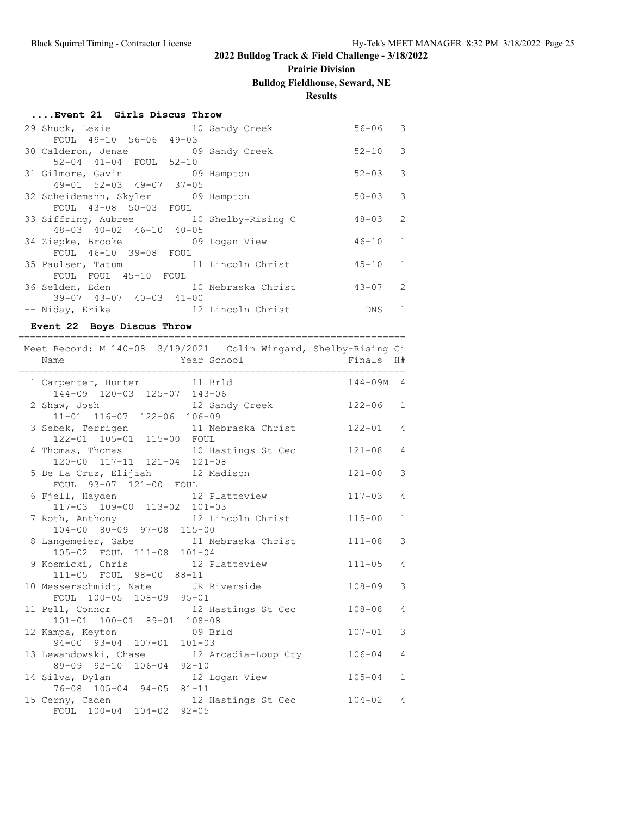# **Prairie Division**

# **Bulldog Fieldhouse, Seward, NE**

#### **Results**

| Event 21 Girls Discus Throw |  |  |  |
|-----------------------------|--|--|--|
|-----------------------------|--|--|--|

|  | 29 Shuck, Lexie                         | 10 Sandy Creek | $56 - 06$   | $\overline{\phantom{a}}$ |
|--|-----------------------------------------|----------------|-------------|--------------------------|
|  | FOUL 49-10 56-06 49-03                  |                |             |                          |
|  | 30 Calderon, Jenae 69 Sandy Creek       |                | $52 - 10$ 3 |                          |
|  | 52-04 41-04 FOUL 52-10                  |                |             |                          |
|  | 31 Gilmore, Gavin 09 Hampton            |                | $52 - 03$ 3 |                          |
|  | $49 - 01$ $52 - 03$ $49 - 07$ $37 - 05$ |                |             |                          |
|  | 32 Scheidemann, Skyler 09 Hampton       |                | $50 - 03$ 3 |                          |
|  | FOUL 43-08 50-03 FOUL                   |                |             |                          |
|  | 33 Siffring, Aubree 10 Shelby-Rising C  |                | $48 - 03$ 2 |                          |
|  | $48 - 03$ $40 - 02$ $46 - 10$ $40 - 05$ |                |             |                          |
|  | 34 Ziepke, Brooke 69 Logan View         |                | $46 - 10$ 1 |                          |
|  | FOUL 46-10 39-08 FOUL                   |                |             |                          |
|  | 35 Paulsen, Tatum 11 Lincoln Christ     |                | $45 - 10$ 1 |                          |
|  | FOUL FOUL 45-10 FOUL                    |                |             |                          |
|  | 36 Selden, Eden 10 Nebraska Christ      |                | $43 - 07$ 2 |                          |
|  | $39-07$ $43-07$ $40-03$ $41-00$         |                |             |                          |
|  | -- Niday, Erika 12 Lincoln Christ       |                | DNS.        | 1                        |

### **Event 22 Boys Discus Throw**

| :==========<br>Meet Record: M 140-08 3/19/2021 Colin Wingard, Shelby-Rising Ci | ____________________ |              |
|--------------------------------------------------------------------------------|----------------------|--------------|
| Year School<br>Name                                                            | Finals               | H#           |
| 1 Carpenter, Hunter 11 Brld<br>144-09 120-03 125-07 143-06                     | 144-09M              | 4            |
| 2 Shaw, Josh 12 Sandy Creek<br>11-01 116-07 122-06 106-09                      | $122 - 06$           | $\mathbf{1}$ |
| 3 Sebek, Terrigen 11 Nebraska Christ 122-01<br>122-01 105-01 115-00 FOUL       |                      | 4            |
| 4 Thomas, Thomas 10 Hastings St Cec 121-08<br>120-00 117-11 121-04 121-08      |                      | 4            |
| 5 De La Cruz, Elijiah 12 Madison<br>FOUL 93-07 121-00 FOUL                     | $121 - 00$           | 3            |
| 6 Fjell, Hayden 12 Platteview<br>117-03 109-00 113-02 101-03                   | $117 - 03$           | 4            |
| 7 Roth, Anthony 12 Lincoln Christ<br>104-00 80-09 97-08 115-00                 | $115 - 00$           | $\mathbf{1}$ |
| 8 Langemeier, Gabe 11 Nebraska Christ<br>105-02 FOUL 111-08 101-04             | $111 - 08$           | 3            |
| 9 Kosmicki, Chris 12 Platteview<br>111-05 FOUL 98-00 88-11                     | $111 - 05$           | 4            |
| 10 Messerschmidt, Nate JR Riverside<br>FOUL 100-05 108-09 95-01                | $108 - 09$           | 3            |
| 11 Pell, Connor<br>101-01 100-01 89-01 108-08<br>108-08                        | $108 - 08$           | 4            |
| 12 Kampa, Keyton 09 Brld<br>94-00 93-04 107-01 101-03                          | $107 - 01$           | 3            |
| 13 Lewandowski, Chase 12 Arcadia-Loup Cty<br>89-09 92-10 106-04 92-10          | $106 - 04$           | 4            |
| 14 Silva, Dylan 12 Logan View<br>76-08 105-04 94-05 81-11                      | $105 - 04$           | $\mathbf{1}$ |
| 15 Cerny, Caden 12 Hastings St Cec<br>FOUL 100-04 104-02 92-05                 | $104 - 02$           | 4            |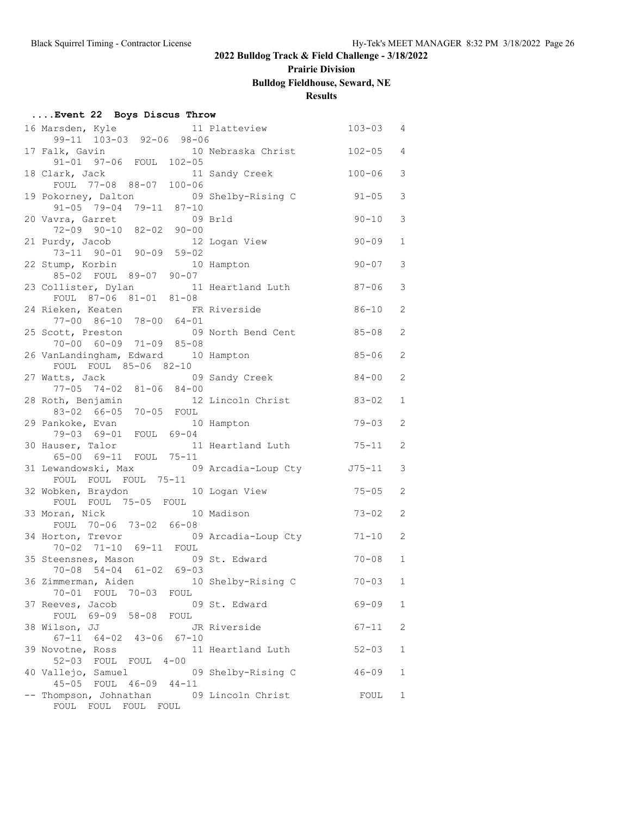# **Prairie Division**

# **Bulldog Fieldhouse, Seward, NE**

### **Results**

| 16 Marsden, Kyle 11 Platteview                                                                              |                     | $103 - 03$ | $\overline{4}$ |
|-------------------------------------------------------------------------------------------------------------|---------------------|------------|----------------|
| 99-11 103-03 92-06 98-06                                                                                    |                     |            |                |
| ilk, Gavin 10 Nebraska Christ 102-05<br>91-01 97-06 FOUL 102-05<br>17 Falk, Gavin                           |                     |            | 4              |
|                                                                                                             |                     | 100-06     | 3              |
| 18 Clark, Jack 11 Sandy Creek<br>FOUL 77-08 88-07 100-06                                                    |                     |            |                |
| 19 Pokorney, Dalton 09 Shelby-Rising C                                                                      |                     | $91 - 05$  | 3              |
| $91-05$ 79-04 79-11 87-10                                                                                   |                     |            |                |
|                                                                                                             |                     |            |                |
| 09 Brld<br>20 Vavra, Garret                                                                                 |                     | $90 - 10$  | 3              |
| 72-09 90-10 82-02 90-00                                                                                     |                     |            |                |
| 12 Logan View<br>21 Purdy, Jacob                                                                            |                     | $90 - 09$  | $\mathbf{1}$   |
| 73-11 90-01 90-09 59-02<br>22 Stump, Korbin 10 Hampton                                                      |                     |            |                |
|                                                                                                             |                     | $90 - 07$  | 3              |
| 85-02 FOUL 89-07 90-07                                                                                      |                     |            |                |
| 23 Collister, Dylan 11 Heartland Luth 87-06                                                                 |                     |            | 3              |
| FOUL 87-06 81-01 81-08                                                                                      |                     |            |                |
|                                                                                                             |                     | 86-10      | 2              |
| 24 Rieken, Keaten FR Riverside<br>77-00 86-10 78-00 64-01                                                   |                     |            |                |
| 25 Scott, Preston 09 North Bend Cent 85-08                                                                  |                     |            | 2              |
| $70-00$ $60-09$ $71-09$ $85-08$                                                                             |                     |            |                |
|                                                                                                             |                     |            |                |
| 26 VanLandingham, Edward 10 Hampton                                                                         |                     | $85 - 06$  | 2              |
| FOUL FOUL 85-06 82-10                                                                                       |                     |            |                |
| 27 Watts, Jack                                                                                              | 09 Sandy Creek      | 84-00      | 2              |
| 77-05 74-02 81-06 84-00                                                                                     |                     |            |                |
| 28 Roth, Benjamin 12 Lincoln Christ                                                                         |                     | $83 - 02$  | $\mathbf{1}$   |
| 83-02 66-05 70-05 FOUL                                                                                      |                     |            |                |
| 29 Pankoke, Evan                                                                                            | 10 Hampton          | $79 - 03$  | 2              |
| 79-03 69-01 FOUL 69-04                                                                                      |                     |            |                |
|                                                                                                             |                     | $75 - 11$  | 2              |
|                                                                                                             |                     |            |                |
| 30 Hauser, Talor 11 Heartland Luth 55-00 69-11 FOUL 75-11<br>31 Lewandowski, Max 69 Arcadia-Loup Cty 575-11 |                     |            | 3              |
| FOUL FOUL FOUL 75-11                                                                                        |                     |            |                |
|                                                                                                             |                     |            |                |
| 32 Wobken, Braydon 10 Logan View                                                                            |                     | $75 - 05$  | 2              |
| FOUL FOUL 75-05 FOUL                                                                                        |                     |            |                |
| 33 Moran, Nick                                                                                              | 10 Madison          | $73 - 02$  | 2              |
| FOUL 70-06 73-02 66-08                                                                                      |                     |            |                |
| 34 Horton, Trevor                                                                                           | 09 Arcadia-Loup Cty | $71 - 10$  | 2              |
| 70-02 71-10 69-11 FOUL                                                                                      |                     |            |                |
| 35 Steensnes, Mason 09 St. Edward                                                                           |                     | $70 - 08$  | $\mathbf{1}$   |
| 70-08 54-04 61-02 69-03                                                                                     |                     |            |                |
| 36 Zimmerman, Aiden 10 Shelby-Rising C                                                                      |                     | $70 - 03$  | $\mathbf{1}$   |
| 70-01 FOUL 70-03<br>FOUL                                                                                    |                     |            |                |
| 37 Reeves, Jacob                                                                                            | 09 St. Edward       | 69-09      | 1              |
| FOUL 69-09 58-08<br>FOUL                                                                                    |                     |            |                |
|                                                                                                             |                     |            |                |
| 38 Wilson, JJ                                                                                               | JR Riverside        | $67 - 11$  | 2              |
| $67-11$ $64-02$ $43-06$<br>$67 - 10$                                                                        |                     |            |                |
| 39 Novotne, Ross                                                                                            | 11 Heartland Luth   | $52 - 03$  | 1              |
| 52-03 FOUL FOUL 4-00                                                                                        |                     |            |                |
| 40 Vallejo, Samuel                                                                                          | 09 Shelby-Rising C  | $46 - 09$  | 1              |
| 45-05 FOUL 46-09 44-11                                                                                      |                     |            |                |
| -- Thompson, Johnathan                                                                                      | 09 Lincoln Christ   | FOUL       | 1              |
| FOUL FOUL FOUL FOUL                                                                                         |                     |            |                |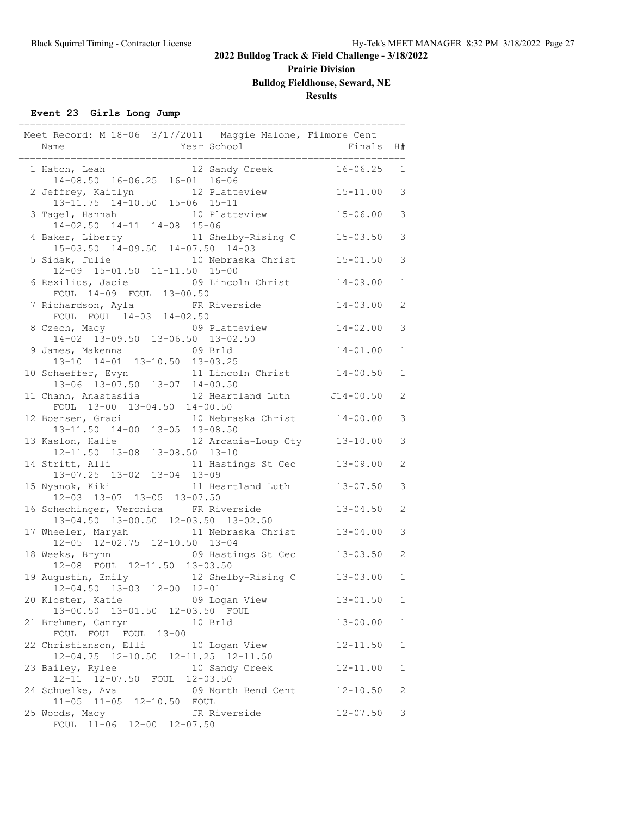# **Prairie Division**

### **Bulldog Fieldhouse, Seward, NE**

#### **Results**

### **Event 23 Girls Long Jump**

| Meet Record: M 18-06 3/17/2011 Maggie Malone, Filmore Cent                                                                         |                |              |
|------------------------------------------------------------------------------------------------------------------------------------|----------------|--------------|
| Year School<br>Name<br>____________________________________                                                                        | Finals         | H#           |
| ---------------------------------<br>1 Hatch, Leah 12 Sandy Creek<br>14-08.50 16-06.25 16-01 16-06                                 | 16-06.25       | 1            |
| 2 Jeffrey, Kaitlyn 12 Platteview<br>13-11.75 14-10.50 15-06 15-11                                                                  | $15 - 11.00$ 3 |              |
| 10 Platteview<br>3 Tagel, Hannah<br>$14-02.50$ $14-11$ $14-08$ $15-06$                                                             | $15 - 06.00$   | 3            |
| 4 Baker, Liberty 11 Shelby-Rising C 15-03.50<br>15-03.50 14-09.50 14-07.50 14-03                                                   |                | 3            |
| 5 Sidak, Julie 10 Nebraska Christ 15-01.50<br>12-09 15-01.50 11-11.50 15-00                                                        |                | 3            |
| 6 Rexilius, Jacie 09 Lincoln Christ<br>FOUL 14-09 FOUL 13-00.50                                                                    | $14 - 09.00$   | $\mathbf 1$  |
| 7 Richardson, Ayla FR Riverside<br>FOUL FOUL 14-03 14-02.50                                                                        | $14 - 03.00$   | 2            |
| 8 Czech, Macy 09 Plattevie<br>14-02 13-09.50 13-06.50 13-02.50<br>09 Platteview                                                    | $14 - 02.00$   | 3            |
| 9 James, Makenna<br>09 Brld<br>$13-10$ $14-01$ $13-10.50$ $13-03.25$                                                               | $14 - 01.00$   | $\mathbf{1}$ |
| 10 Schaeffer, Evyn 11 Lincoln Christ 14-00.50<br>13-06 13-07.50 13-07 14-00.50<br>11 Chanh, Anastasiia 12 Heartland Luth J14-00.50 |                | $\mathbf{1}$ |
| FOUL 13-00 13-04.50 14-00.50                                                                                                       |                | 2            |
| 12 Boersen, Graci 10 Nebraska Christ 14-00.00<br>$13-11.50$ $14-00$ $13-05$ $13-08.50$                                             |                | 3            |
| 13 Kaslon, Halie 12 Arcadia-Loup Cty 13-10.00<br>12-11.50 13-08 13-08.50 13-10                                                     |                | 3            |
| 14 Stritt, Alli 11 Hastings St Cec<br>13-07.25 13-02 13-04 13-09                                                                   | $13 - 09.00$   | 2            |
| 15 Nyanok, Kiki 11 Heartland Luth<br>12-03 13-07 13-05 13-07.50                                                                    | $13 - 07.50$   | 3            |
| 16 Schechinger, Veronica FR Riverside<br>13-04.50 13-00.50 12-03.50 13-02.50                                                       | $13 - 04.50$   | 2            |
| 17 Wheeler, Maryah 11 Nebraska Christ 13-04.00<br>12-05 12-02.75 12-10.50 13-04                                                    |                | 3            |
| 18 Weeks, Brynn 69 Hastings St Cec 13-03.50<br>12-08 FOUL 12-11.50 13-03.50                                                        |                | 2            |
| 19 Augustin, Emily 12 Shelby-Rising C<br>12-04.50 13-03 12-00 12-01                                                                | $13 - 03.00$   | $\mathbf{1}$ |
| 20 Kloster, Katie<br>09 Logan View<br>13-00.50 13-01.50 12-03.50 FOUL                                                              | $13 - 01.50$   | $\mathbf{1}$ |
| 21 Brehmer, Camryn<br>10 Brld<br>FOUL FOUL FOUL 13-00                                                                              | $13 - 00.00$   | $\mathbf{1}$ |
| 22 Christianson, Elli 10 Logan View<br>12-04.75 12-10.50 12-11.25 12-11.50                                                         | $12 - 11.50$   | 1            |
| 23 Bailey, Rylee<br>10 Sandy Creek<br>12-11 12-07.50 FOUL 12-03.50                                                                 | $12 - 11.00$   | 1            |
| 09 North Bend Cent<br>24 Schuelke, Ava<br>11-05 11-05 12-10.50 FOUL                                                                | $12 - 10.50$   | 2            |
| 25 Woods, Macy<br>JR Riverside<br>FOUL 11-06 12-00 12-07.50                                                                        | $12 - 07.50$   | 3            |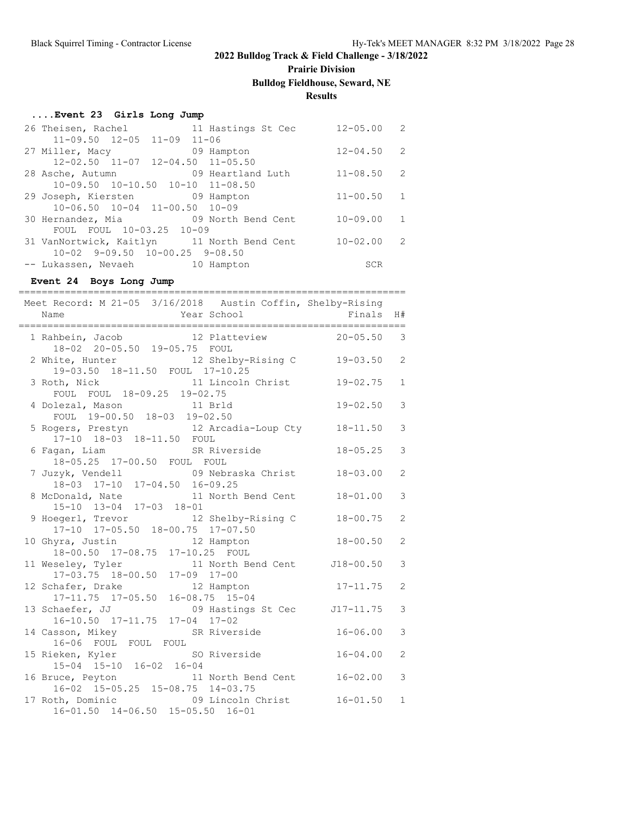# **Prairie Division**

# **Bulldog Fieldhouse, Seward, NE**

### **Results**

#### **....Event 23 Girls Long Jump**

| 26 Theisen, Rachel 11 Hastings St Cec      |            | $12 - 05.00$   | 2                        |
|--------------------------------------------|------------|----------------|--------------------------|
| $11-09.50$ $12-05$ $11-09$ $11-06$         |            |                |                          |
| 27 Miller, Macy                            | 09 Hampton | 12-04.50       | $\overline{\phantom{a}}$ |
| $12-02.50$ $11-07$ $12-04.50$ $11-05.50$   |            |                |                          |
| 28 Asche, Autumn 09 Heartland Luth         |            | $11 - 08.50$   | $\overline{2}$           |
| $10-09.50$ $10-10.50$ $10-10$ $11-08.50$   |            |                |                          |
| 29 Joseph, Kiersten 69 Hampton             |            | $11 - 00.50$   | $\overline{1}$           |
| 10-06.50 10-04 11-00.50 10-09              |            |                |                          |
| 30 Hernandez, Mia 69 North Bend Cent       |            | $10 - 09.00 1$ |                          |
| FOUL FOUL 10-03.25 10-09                   |            |                |                          |
| 31 VanNortwick, Kaitlyn 11 North Bend Cent |            | $10 - 02.00$   | $\overline{2}$           |
| $10-02$ 9-09.50 10-00.25 9-08.50           |            |                |                          |
| -- Lukassen, Nevaeh 10 Hampton             |            | SCR            |                          |

#### **Event 24 Boys Long Jump**

| Meet Record: M 21-05 3/16/2018 Austin Coffin, Shelby-Rising                      |              |                |
|----------------------------------------------------------------------------------|--------------|----------------|
| Year School<br>Name                                                              | Finals       | H#             |
| ----------------------------------                                               |              | ------         |
| 1 Rahbein, Jacob 12 Platteview 20-05.50 3                                        |              |                |
| 18-02 20-05.50 19-05.75 FOUL                                                     |              |                |
| 2 White, Hunter 12 Shelby-Rising C                                               | $19 - 03.50$ | 2              |
| 19-03.50 18-11.50 FOUL 17-10.25                                                  |              |                |
| 11 Lincoln Christ<br>3 Roth, Nick                                                | $19 - 02.75$ | $\mathbf{1}$   |
| FOUL FOUL 18-09.25 19-02.75                                                      |              |                |
| 4 Dolezal, Mason 11 Brld                                                         | $19 - 02.50$ | 3              |
| FOUL 19-00.50 18-03 19-02.50                                                     |              |                |
| 5 Rogers, Prestyn 12 Arcadia-Loup Cty 18-11.50                                   |              | 3              |
| 17-10 18-03 18-11.50 FOUL                                                        |              |                |
| 6 Fagan, Liam SR Riverside                                                       | $18 - 05.25$ | 3              |
| 18-05.25 17-00.50 FOUL FOUL                                                      |              |                |
| 7 Juzyk, Vendell (09 Nebraska Christ 18-03.00                                    |              | 2              |
| 18-03 17-10 17-04.50 16-09.25                                                    |              |                |
| 8 McDonald, Nate 11 North Bend Cent                                              | $18 - 01.00$ | 3              |
| 15-10 13-04 17-03 18-01                                                          |              |                |
|                                                                                  | $18 - 00.75$ | 2              |
| 9 Hoegerl, Trevor 12 Shelby-Rising C<br>17-10 17-05.50 18-00.75 17-07.50         |              |                |
|                                                                                  |              |                |
| 10 Ghyra, Justin 12 Hampton                                                      | $18 - 00.50$ | 2              |
| 18-00.50 17-08.75 17-10.25 FOUL                                                  |              |                |
| 11 Weseley, Tyler 11 North Bend Cent J18-00.50<br>17-03.75 18-00.50 17-09 17-00  |              | 3              |
|                                                                                  |              |                |
| 12 Schafer, Drake 12 Hampton<br>17-11.75 17-05.50 16-08.75 15-04                 | $17 - 11.75$ | 2              |
|                                                                                  |              |                |
| 13 Schaefer, JJ 09 Hastings St Cec J17-11.75                                     |              | 3              |
| 16-10.50 17-11.75 17-04 17-02                                                    |              |                |
| 14 Casson, Mikey SR Riverside                                                    | $16 - 06.00$ | 3              |
| 16-06 FOUL FOUL FOUL                                                             |              |                |
| 15 Rieken, Kyler SO Riverside                                                    | $16 - 04.00$ | $\overline{c}$ |
| 15-04 15-10 16-02 16-04                                                          |              |                |
|                                                                                  |              | 3              |
| 16 Bruce, Peyton 11 North Bend Cent 16-02.00<br>16-02 15-05.25 15-08.75 14-03.75 |              |                |
| 17 Roth, Dominic 09 Lincoln Christ                                               | $16 - 01.50$ | $\mathbf{1}$   |
| 16-01.50 14-06.50 15-05.50 16-01                                                 |              |                |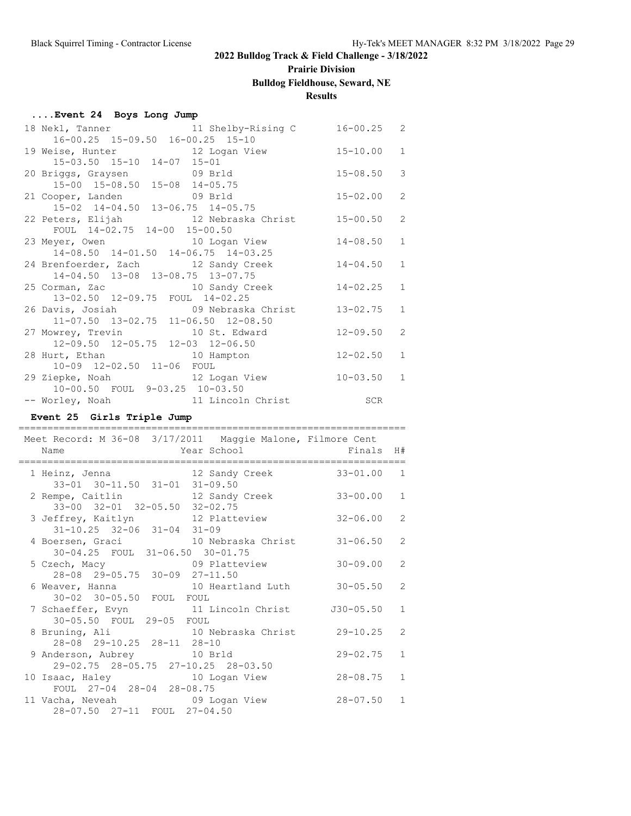# **Prairie Division**

#### **Bulldog Fieldhouse, Seward, NE**

**Results**

| Event 24 Boys Long Jump |  |  |  |  |
|-------------------------|--|--|--|--|
|-------------------------|--|--|--|--|

| 18 Nekl, Tanner                                                | 11 Shelby-Rising C 16-00.25 2 |              |               |
|----------------------------------------------------------------|-------------------------------|--------------|---------------|
| 16-00.25 15-09.50 16-00.25 15-10                               |                               |              |               |
| 19 Weise, Hunter 12 Logan View 15-10.00                        |                               |              | $\mathbf{1}$  |
| 15-03.50 15-10 14-07 15-01                                     |                               |              |               |
| 20 Briggs, Graysen 69 Brld                                     |                               | $15 - 08.50$ | $\mathcal{S}$ |
| 15-00 15-08.50 15-08 14-05.75                                  |                               |              |               |
| 21 Cooper, Landen 69 Brld                                      |                               | $15 - 02.00$ | 2             |
| 15-02 14-04.50 13-06.75 14-05.75                               |                               |              |               |
| 22 Peters, Elijah 12 Nebraska Christ 15-00.50                  |                               |              | 2             |
| FOUL 14-02.75 14-00 15-00.50                                   |                               |              |               |
| 23 Meyer, Owen 10 Logan View 14-08.50                          |                               |              | $\mathbf{1}$  |
| 14-08.50 14-01.50 14-06.75 14-03.25                            |                               |              |               |
| 24 Brenfoerder, Zach andy Creek 14-04.50                       |                               |              | $\mathbf{1}$  |
| 14-04.50 13-08 13-08.75 13-07.75                               |                               |              |               |
| 25 Corman, Zac and 25 Corman, Zac and 20 Sandy Creek 214-02.25 |                               |              | $\mathbf{1}$  |
| 13-02.50 12-09.75 FOUL 14-02.25                                |                               |              |               |
| 26 Davis, Josiah (19 Nebraska Christ 13-02.75                  |                               |              | $\mathbf{1}$  |
| 11-07.50 13-02.75 11-06.50 12-08.50                            |                               |              |               |
| 27 Mowrey, Trevin 10 St. Edward 12-09.50                       |                               |              | 2             |
| 12-09.50 12-05.75 12-03 12-06.50                               |                               |              |               |
| 28 Hurt, Ethan 10 Hampton                                      |                               | $12 - 02.50$ | $\mathbf{1}$  |
| 10-09 12-02.50 11-06 FOUL                                      |                               |              |               |
| 29 Ziepke, Noah 12 Logan View 10-03.50                         |                               |              | $\mathbf{1}$  |
| 10-00.50 FOUL 9-03.25 10-03.50                                 |                               |              |               |
| -- Worley, Noah 11 Lincoln Christ SCR                          |                               |              |               |

#### **Event 25 Girls Triple Jump**

=================================================================== Meet Record: M 36-08 3/17/2011 Maggie Malone, Filmore Cent Name  $Year School$  Finals H# =================================================================== 1 Heinz, Jenna 12 Sandy Creek 33-01.00 1 33-01 30-11.50 31-01 31-09.50 2 Rempe, Caitlin 12 Sandy Creek 33-00.00 1 33-00 32-01 32-05.50 32-02.75 3 Jeffrey, Kaitlyn 12 Platteview 32-06.00 2 31-10.25 32-06 31-04 31-09 4 Boersen, Graci 10 Nebraska Christ 31-06.50 2 30-04.25 FOUL 31-06.50 30-01.75 5 Czech, Macy 09 Platteview 30-09.00 2 28-08 29-05.75 30-09 27-11.50 6 Weaver, Hanna  $10$  Heartland Luth  $30-05.50$  2 30-02 30-05.50 FOUL FOUL 7 Schaeffer, Evyn 11 Lincoln Christ J30-05.50 1 30-05.50 FOUL 29-05 FOUL 8 Bruning, Ali 10 Nebraska Christ 29-10.25 2<br>28-08 29-10.25 28-11 28-10 28-08 29-10.25 28-11 28-10 9 Anderson, Aubrey 10 Brld 29-02.75 1 29-02.75 28-05.75 27-10.25 28-03.50 10 Isaac, Haley 10 Logan View 28-08.75 1 FOUL 27-04 28-04 28-08.75 11 Vacha, Neveah 09 Logan View 28-07.50 1 28-07.50 27-11 FOUL 27-04.50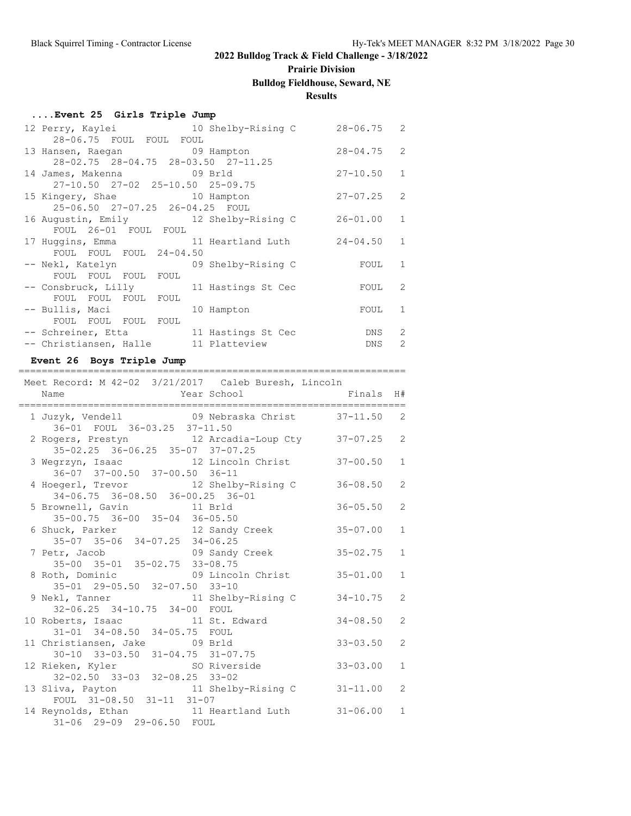# **Prairie Division**

# **Bulldog Fieldhouse, Seward, NE**

### **Results**

#### **....Event 25 Girls Triple Jump**

| 12 Perry, Kaylei                         | 10 Shelby-Rising C | 28-06.75     | $\mathcal{L}$ |
|------------------------------------------|--------------------|--------------|---------------|
| 28-06.75 FOUL FOUL FOUL                  |                    |              |               |
| 13 Hansen, Raegan 69 Hampton             |                    | $28 - 04.75$ | 2             |
| 28-02.75 28-04.75 28-03.50 27-11.25      |                    |              |               |
| 14 James, Makenna 69 Brld                |                    | $27 - 10.50$ | 1             |
| $27-10.50$ $27-02$ $25-10.50$ $25-09.75$ |                    |              |               |
| 15 Kingery, Shae 10 Hampton              |                    | $27 - 07.25$ | 2             |
| 25-06.50 27-07.25 26-04.25 FOUL          |                    |              |               |
| 16 Augustin, Emily 12 Shelby-Rising C    |                    | $26 - 01.00$ | $\mathbf{1}$  |
| FOUL 26-01 FOUL FOUL                     |                    |              |               |
| 17 Huggins, Emma 11 Heartland Luth       |                    | $24 - 04.50$ | 1             |
| FOUL FOUL FOUL 24-04.50                  |                    |              |               |
| -- Nekl, Katelyn 69 Shelby-Rising C      |                    | FOUL         | 1             |
| FOUL FOUL FOUL FOUL                      |                    |              |               |
| -- Consbruck, Lilly 11 Hastings St Cec   |                    | FOUL         | 2             |
| FOUL FOUL FOUL FOUL                      |                    |              |               |
| -- Bullis, Maci                          | 10 Hampton         | FOUL         | 1             |
| FOUL FOUL FOUL FOUL                      |                    |              |               |
| -- Schreiner, Etta 11 Hastings St Cec    |                    | DNS          | 2             |
| -- Christiansen, Halle 11 Platteview     |                    | DNS          | $\mathcal{P}$ |

#### **Event 26 Boys Triple Jump**

| Meet Record: M 42-02 3/21/2017 Caleb Buresh, Lincoln |                       |              |                |
|------------------------------------------------------|-----------------------|--------------|----------------|
| Name                                                 | Year School Finals H# |              |                |
| .================================                    |                       |              |                |
| 1 Juzyk, Vendell 69 Nebraska Christ 37-11.50         |                       |              | 2              |
| 36-01 FOUL 36-03.25 37-11.50                         |                       |              |                |
| 2 Rogers, Prestyn 12 Arcadia-Loup Cty 37-07.25 2     |                       |              |                |
| 35-02.25 36-06.25 35-07 37-07.25                     |                       |              |                |
| 3 Wegrzyn, Isaac 12 Lincoln Christ 37-00.50          |                       |              | $\mathbf{1}$   |
| 36-07 37-00.50 37-00.50 36-11                        |                       |              |                |
| 4 Hoegerl, Trevor 12 Shelby-Rising C 36-08.50        |                       |              | $\overline{2}$ |
| 34-06.75 36-08.50 36-00.25 36-01                     |                       |              |                |
| 5 Brownell, Gavin 11 Brld                            |                       | $36 - 05.50$ | 2              |
| $35 - 00.75$ $36 - 00$ $35 - 04$ $36 - 05.50$        |                       |              |                |
| 6 Shuck, Parker 12 Sandy Creek                       |                       | $35 - 07.00$ | $\mathbf{1}$   |
| 35-07 35-06 34-07.25 34-06.25                        |                       |              |                |
| 7 Petr, Jacob 35-02.75                               |                       |              | $\mathbf{1}$   |
| 35-00 35-01 35-02.75 33-08.75                        |                       |              |                |
| 8 Roth, Dominic and 09 Lincoln Christ 35-01.00       |                       |              | $\mathbf{1}$   |
| 35-01 29-05.50 32-07.50 33-10                        |                       |              |                |
| 9 Nekl, Tanner 11 Shelby-Rising C 34-10.75           |                       |              | $\overline{2}$ |
| 32-06.25 34-10.75 34-00 FOUL                         |                       |              |                |
| 10 Roberts, Isaac 11 St. Edward 34-08.50             |                       |              | 2              |
| 31-01 34-08.50 34-05.75 FOUL                         |                       |              |                |
| 11 Christiansen, Jake 09 Brld                        |                       | $33 - 03.50$ | $\overline{2}$ |
| 30-10 33-03.50 31-04.75 31-07.75                     |                       |              |                |
| 12 Rieken, Kyler SO Riverside                        |                       | $33 - 03.00$ | $\mathbf{1}$   |
| $32 - 02.50$ $33 - 03$ $32 - 08.25$ $33 - 02$        |                       |              |                |
| 13 Sliva, Payton 11 Shelby-Rising C 31-11.00         |                       |              | $\overline{2}$ |
| FOUL 31-08.50 31-11 31-07                            |                       |              |                |
| 14 Reynolds, Ethan 11 Heartland Luth 31-06.00        |                       |              | $\mathbf{1}$   |
| 31-06 29-09 29-06.50 FOUL                            |                       |              |                |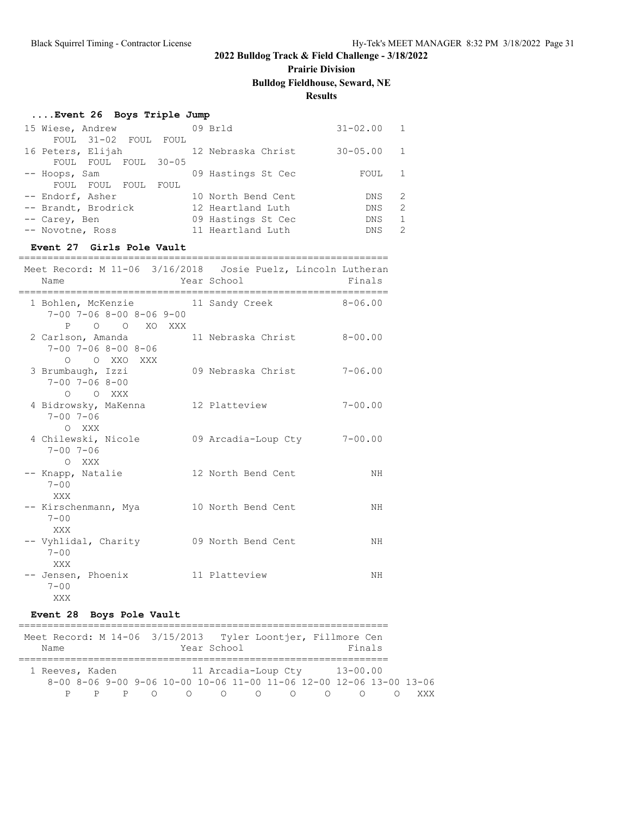# **Prairie Division**

### **Bulldog Fieldhouse, Seward, NE**

### **Results**

### **....Event 26 Boys Triple Jump**

| 15 Wiese, Andrew    |                      |            |      | 09 Brld            | $31 - 02.00$ |   |
|---------------------|----------------------|------------|------|--------------------|--------------|---|
|                     | FOUL 31-02 FOUL FOUL |            |      |                    |              |   |
| 16 Peters, Elijah   |                      |            |      | 12 Nebraska Christ | $30 - 05.00$ |   |
| FOUL                | FOUL                 | FOUL 30-05 |      |                    |              |   |
| -- Hoops, Sam       |                      |            |      | 09 Hastings St Cec | FOUL         |   |
| FOUL                | FOUL                 | FOUL       | FOUL |                    |              |   |
| -- Endorf, Asher    |                      |            |      | 10 North Bend Cent | DNS.         | 2 |
| -- Brandt, Brodrick |                      |            |      | 12 Heartland Luth  | DNS.         | 2 |
| -- Carey, Ben       |                      |            |      | 09 Hastings St Cec | <b>DNS</b>   |   |
| -- Novotne, Ross    |                      |            |      | 11 Heartland Luth  | <b>DNS</b>   | 2 |
|                     |                      |            |      |                    |              |   |

#### **Event 27 Girls Pole Vault**

| ============                                                                                                              |                             |             |
|---------------------------------------------------------------------------------------------------------------------------|-----------------------------|-------------|
| Meet Record: M 11-06 3/16/2018 Josie Puelz, Lincoln Lutheran<br>Name                                                      | Year School                 | Finals      |
| 1 Bohlen, McKenzie             11 Sandy Creek               8-06.00<br>$7-00$ $7-06$ $8-00$ $8-06$ $9-00$<br>P O O XO XXX |                             |             |
| 2 Carlson, Amanda 11 Nebraska Christ 8-00.00<br>$7 - 00$ $7 - 06$ $8 - 00$ $8 - 06$<br>O O XXO XXX                        |                             |             |
| 3 Brumbaugh, Izzi<br>$7 - 00$ $7 - 06$ $8 - 00$<br>O O XXX                                                                | 09 Nebraska Christ 7-06.00  |             |
| 4 Bidrowsky, MaKenna 12 Platteview<br>$7 - 00$ $7 - 06$<br>O XXX                                                          |                             | $7 - 00.00$ |
| 4 Chilewski, Nicole<br>$7 - 00$ $7 - 06$<br>O XXX                                                                         | 09 Arcadia-Loup Cty 7-00.00 |             |
| -- Knapp, Natalie 12 North Bend Cent<br>$7 - 00$<br>XXX                                                                   |                             | NH          |
| -- Kirschenmann, Mya<br>$7 - 00$<br>XXX                                                                                   | 10 North Bend Cent          | ΝH          |
| -- Vyhlidal, Charity 69 North Bend Cent<br>$7 - 00$<br>XXX                                                                |                             | NH          |
| -- Jensen, Phoenix<br>11 Platteview<br>$7 - 00$<br>XXX                                                                    |                             | NH          |

#### **Event 28 Boys Pole Vault**

| Meet Record: M 14-06 3/15/2013 Tyler Loontjer, Fillmore Cen |  |                                                                     |                     |                  |           |              |     |
|-------------------------------------------------------------|--|---------------------------------------------------------------------|---------------------|------------------|-----------|--------------|-----|
| Name                                                        |  |                                                                     | Year School         |                  |           | Finals       |     |
|                                                             |  |                                                                     |                     |                  |           |              |     |
| 1 Reeves, Kaden                                             |  |                                                                     | 11 Arcadia-Loup Cty |                  |           | $13 - 00.00$ |     |
|                                                             |  | 8-00 8-06 9-00 9-06 10-00 10-06 11-00 11-06 12-00 12-06 13-00 13-06 |                     |                  |           |              |     |
|                                                             |  |                                                                     |                     | $\left( \right)$ | $\bigcap$ |              | YYY |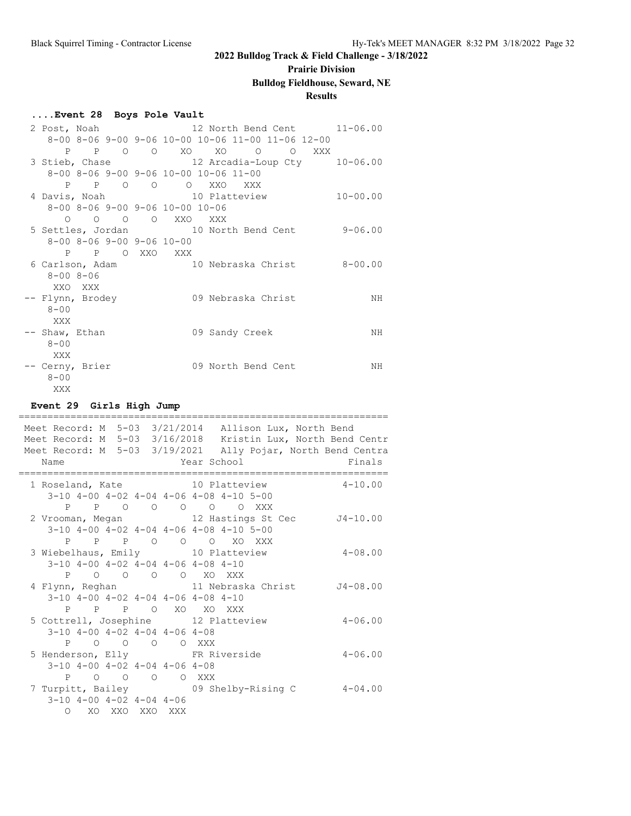# **Prairie Division**

# **Bulldog Fieldhouse, Seward, NE**

### **Results**

#### **....Event 28 Boys Pole Vault**

|                  |                             |  |                                                         |                    |  | 2 Post, Noah 12 North Bend Cent 11-06.00           |
|------------------|-----------------------------|--|---------------------------------------------------------|--------------------|--|----------------------------------------------------|
|                  |                             |  | 8-00 8-06 9-00 9-06 10-00 10-06 11-00 11-06 12-00       |                    |  |                                                    |
|                  |                             |  | P P O O XO XO O O XXX                                   |                    |  |                                                    |
|                  |                             |  |                                                         |                    |  | 3 Stieb, Chase 12 Arcadia-Loup Cty 10-06.00        |
|                  |                             |  | 8-00 8-06 9-00 9-06 10-00 10-06 11-00                   |                    |  |                                                    |
|                  |                             |  | P P O O O XXO XXX                                       |                    |  |                                                    |
|                  |                             |  | 4 Davis, Noah 10 Platteview                             |                    |  | $10 - 00.00$                                       |
|                  |                             |  | $8 - 00$ $8 - 06$ $9 - 00$ $9 - 06$ $10 - 00$ $10 - 06$ |                    |  |                                                    |
|                  | $0\qquad 0\qquad 0\qquad 0$ |  | XXO XXX                                                 |                    |  |                                                    |
|                  |                             |  |                                                         |                    |  | 5 Settles, Jordan 10 North Bend Cent 9-06.00       |
|                  |                             |  | $8-00$ $8-06$ $9-00$ $9-06$ $10-00$                     |                    |  |                                                    |
|                  |                             |  | P P O XXO XXX                                           |                    |  |                                                    |
|                  |                             |  |                                                         |                    |  | 6 Carlson, Adam (a) 10 Nebraska Christ (a) 8-00.00 |
| $8 - 008 - 06$   |                             |  |                                                         |                    |  |                                                    |
| XXO XXX          |                             |  |                                                         |                    |  |                                                    |
| -- Flynn, Brodey |                             |  |                                                         | 09 Nebraska Christ |  | NΗ                                                 |
| $8 - 00$         |                             |  |                                                         |                    |  |                                                    |
| XXX              |                             |  |                                                         |                    |  |                                                    |
| -- Shaw, Ethan   |                             |  |                                                         | 09 Sandy Creek     |  | NH                                                 |
| $8 - 00$         |                             |  |                                                         |                    |  |                                                    |
| XXX              |                             |  |                                                         |                    |  |                                                    |
| -- Cerny, Brier  |                             |  |                                                         | 09 North Bend Cent |  | NH                                                 |
| $8 - 00$         |                             |  |                                                         |                    |  |                                                    |
| XXX              |                             |  |                                                         |                    |  |                                                    |

### **Event 29 Girls High Jump**

| Name |                                    |  | Meet Record: M 5-03 3/21/2014 Allison Lux, North Bend<br>Meet Record: M 5-03 3/16/2018 Kristin Lux, North Bend Centr<br>Meet Record: M 5-03 3/19/2021 Ally Pojar, North Bend Centra<br>Year School Theory<br>Finals |
|------|------------------------------------|--|---------------------------------------------------------------------------------------------------------------------------------------------------------------------------------------------------------------------|
|      |                                    |  |                                                                                                                                                                                                                     |
|      |                                    |  | 1 Roseland, Kate 10 Platteview<br>$4 - 10.00$                                                                                                                                                                       |
|      |                                    |  | 3-10 4-00 4-02 4-04 4-06 4-08 4-10 5-00                                                                                                                                                                             |
|      |                                    |  | P P O O O O O XXX                                                                                                                                                                                                   |
|      |                                    |  | 2 Vrooman, Megan 12 Hastings St Cec J4-10.00                                                                                                                                                                        |
|      |                                    |  | $3-10$ 4-00 4-02 4-04 4-06 4-08 4-10 5-00                                                                                                                                                                           |
|      |                                    |  | P P P O O O XO XXX                                                                                                                                                                                                  |
|      |                                    |  | 3 Wiebelhaus, Emily 10 Platteview<br>$4 - 08.00$                                                                                                                                                                    |
|      |                                    |  | $3-10$ $4-00$ $4-02$ $4-04$ $4-06$ $4-08$ $4-10$                                                                                                                                                                    |
|      |                                    |  | P O O O O XO XXX                                                                                                                                                                                                    |
|      |                                    |  | 4 Flynn, Reghan 11 Nebraska Christ J4-08.00                                                                                                                                                                         |
|      |                                    |  | $3-10$ 4-00 4-02 4-04 4-06 4-08 4-10                                                                                                                                                                                |
|      |                                    |  | P P P O XO XO XXX                                                                                                                                                                                                   |
|      |                                    |  | 5 Cottrell, Josephine 12 Platteview<br>$4 - 06.00$                                                                                                                                                                  |
|      |                                    |  | $3-10$ $4-00$ $4-02$ $4-04$ $4-06$ $4-08$                                                                                                                                                                           |
| P    |                                    |  | O O O O XXX                                                                                                                                                                                                         |
|      |                                    |  | 5 Henderson, Elly FR Riverside<br>$4 - 06.00$                                                                                                                                                                       |
|      |                                    |  | $3-10$ $4-00$ $4-02$ $4-04$ $4-06$ $4-08$                                                                                                                                                                           |
| P    |                                    |  | O O O O XXX                                                                                                                                                                                                         |
|      |                                    |  | 7 Turpitt, Bailey 69 Shelby-Rising C<br>$4 - 04$ , 00                                                                                                                                                               |
|      | $3-10$ $4-00$ $4-02$ $4-04$ $4-06$ |  |                                                                                                                                                                                                                     |
|      | O XO XXO XXO XXX                   |  |                                                                                                                                                                                                                     |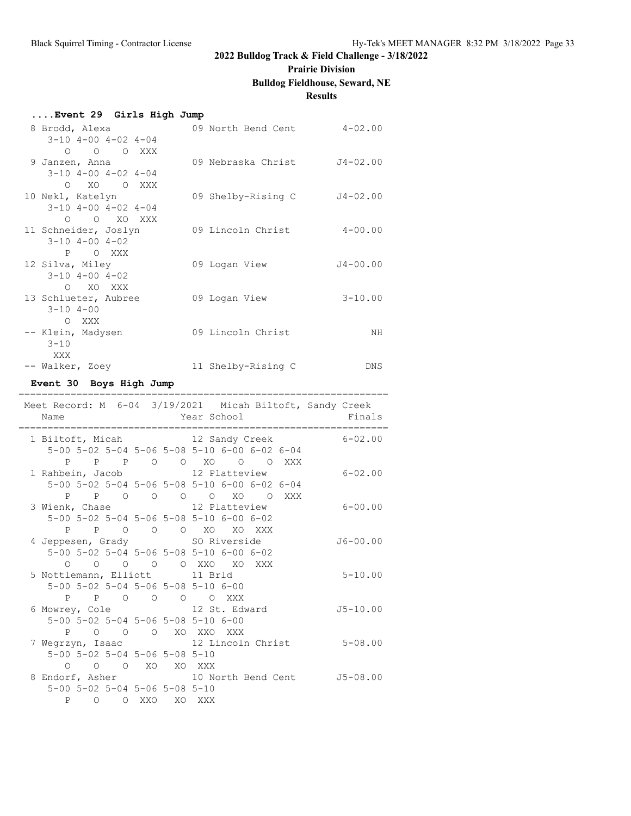#### **Prairie Division**

#### **Bulldog Fieldhouse, Seward, NE**

|                                                                      |                             | <b>Results</b> |
|----------------------------------------------------------------------|-----------------------------|----------------|
| Event 29 Girls High Jump                                             |                             |                |
| 8 Brodd, Alexa                                                       | 09 North Bend Cent 4-02.00  |                |
| $3-10$ $4-00$ $4-02$ $4-04$                                          |                             |                |
| $O$ $O$ $O$ $XXX$                                                    |                             |                |
| 9 Janzen, Anna                                                       | 09 Nebraska Christ J4-02.00 |                |
| $3-10$ $4-00$ $4-02$ $4-04$<br>XO<br>$\bigcap$<br>O XXX              |                             |                |
| 10 Nekl, Katelyn                                                     | 09 Shelby-Rising C          | $J4 - 02.00$   |
| $3-10$ $4-00$ $4-02$ $4-04$                                          |                             |                |
| O O XO XXX                                                           |                             |                |
| 11 Schneider, Joslyn                                                 | 09 Lincoln Christ 4-00.00   |                |
| $3 - 10$ $4 - 00$ $4 - 02$                                           |                             |                |
| P OXXX                                                               |                             |                |
| 12 Silva, Miley                                                      | 09 Logan View               | J4-00.00       |
| $3 - 10$ $4 - 00$ $4 - 02$<br>O XO XXX                               |                             |                |
| 13 Schlueter, Aubree                                                 | 09 Logan View               | $3 - 10.00$    |
| $3 - 10$ 4-00                                                        |                             |                |
| O XXX                                                                |                             |                |
| -- Klein, Madysen                                                    | 09 Lincoln Christ           | NH             |
| $3 - 10$                                                             |                             |                |
| XXX                                                                  |                             |                |
| -- Walker, Zoey                                                      | 11 Shelby-Rising C          | DNS.           |
| Event 30 Boys High Jump                                              |                             |                |
| Meet Record: M 6-04 3/19/2021 Micah Biltoft, Sandy Creek             |                             |                |
| Name                                                                 | Year School                 | Finals         |
|                                                                      |                             |                |
| 1 Biltoft, Micah 12 Sandy Creek                                      |                             | $6 - 02.00$    |
| 5-00 5-02 5-04 5-06 5-08 5-10 6-00 6-02 6-04<br>P P P O O XO O O XXX |                             |                |
| 1 Rahbein, Jacob 12 Platteview                                       |                             | $6 - 02.00$    |
| 5-00 5-02 5-04 5-06 5-08 5-10 6-00 6-02 6-04                         |                             |                |

P P O O O O XO O XXX

5-00 5-02 5-04 5-06 5-08 5-10 6-00 6-02

5-00 5-02 5-04 5-06 5-08 5-10 6-00 6-02

P P O O O XO XO XXX

O O O O O XXO XO XXX

 5-00 5-02 5-04 5-06 5-08 5-10 6-00 P P O O O O XXX

 5-00 5-02 5-04 5-06 5-08 5-10 6-00 P O O O XO XXO XXX

 5-00 5-02 5-04 5-06 5-08 5-10 O O O XO XO XXX

 5-00 5-02 5-04 5-06 5-08 5-10 P O O XXO XO XXX

3 Wienk, Chase 12 Platteview 6-00.00

4 Jeppesen, Grady SO Riverside J6-00.00

5 Nottlemann, Elliott 11 Brld 5-10.00

6 Mowrey, Cole 12 St. Edward J5-10.00

7 Wegrzyn, Isaac 12 Lincoln Christ 5-08.00

8 Endorf, Asher 10 North Bend Cent J5-08.00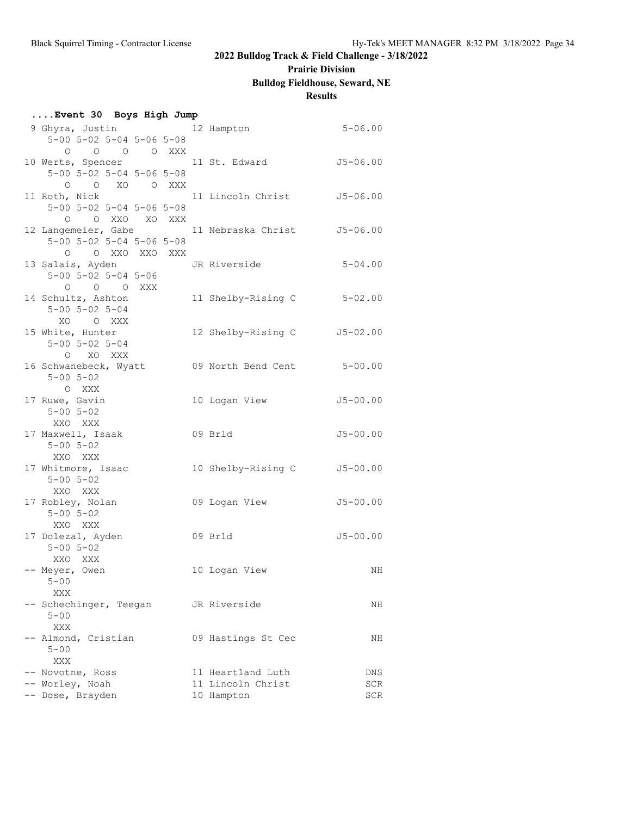#### **Prairie Division**

### **Bulldog Fieldhouse, Seward, NE**

### **Results**

| Event 30 Boys High Jump                      |  |                                                  |              |
|----------------------------------------------|--|--------------------------------------------------|--------------|
| 9 Ghyra, Justin 12 Hampton                   |  |                                                  | $5 - 06.00$  |
| $5-00$ $5-02$ $5-04$ $5-06$ $5-08$           |  |                                                  |              |
| 0 0 0 0 XXX                                  |  |                                                  |              |
| 10 Werts, Spencer 11 St. Edward              |  |                                                  | J5-06.00     |
| $5 - 00$ $5 - 02$ $5 - 04$ $5 - 06$ $5 - 08$ |  |                                                  |              |
| O O XO O XXX                                 |  |                                                  |              |
| 11 Roth, Nick                                |  | 11 Lincoln Christ 55-06.00                       |              |
| $5 - 00$ $5 - 02$ $5 - 04$ $5 - 06$ $5 - 08$ |  |                                                  |              |
| O OXXO XOXXX                                 |  |                                                  |              |
|                                              |  | 12 Langemeier, Gabe 11 Nebraska Christ 5-06.00   |              |
| $5 - 00$ $5 - 02$ $5 - 04$ $5 - 06$ $5 - 08$ |  |                                                  |              |
| O OXXOXXOXXX                                 |  |                                                  |              |
| 13 Salais, Ayden                             |  | JR Riverside                                     | $5 - 04.00$  |
| $5 - 00$ $5 - 02$ $5 - 04$ $5 - 06$          |  |                                                  |              |
| O O O XXX                                    |  |                                                  |              |
| 14 Schultz, Ashton                           |  | 11 Shelby-Rising C                               | $5 - 02.00$  |
| $5 - 00$ $5 - 02$ $5 - 04$                   |  |                                                  |              |
| XO OXXX                                      |  |                                                  |              |
| 15 White, Hunter                             |  | 12 Shelby-Rising C J5-02.00                      |              |
| $5 - 00$ $5 - 02$ $5 - 04$                   |  |                                                  |              |
| O XO XXX                                     |  |                                                  |              |
|                                              |  | 16 Schwanebeck, Wyatt 69 North Bend Cent 5-00.00 |              |
| $5 - 00$ $5 - 02$                            |  |                                                  |              |
| O XXX                                        |  |                                                  |              |
| 17 Ruwe, Gavin                               |  | 10 Logan View                                    | J5-00.00     |
| $5 - 00$ $5 - 02$                            |  |                                                  |              |
| XXO XXX                                      |  |                                                  |              |
| 17 Maxwell, Isaak                            |  | 09 Brld                                          | J5-00.00     |
| $5 - 00$ $5 - 02$                            |  |                                                  |              |
| XXO XXX                                      |  |                                                  |              |
| 17 Whitmore, Isaac                           |  | 10 Shelby-Rising C                               | $J5 - 00.00$ |
| $5 - 00$ $5 - 02$                            |  |                                                  |              |
| XXO XXX                                      |  |                                                  |              |
| 17 Robley, Nolan                             |  | 09 Logan View                                    | $J5 - 00.00$ |
| $5 - 00$ $5 - 02$                            |  |                                                  |              |
| XXO XXX                                      |  |                                                  |              |
| 17 Dolezal, Ayden                            |  | 09 Brld                                          | J5-00.00     |
| $5 - 00$ $5 - 02$                            |  |                                                  |              |
|                                              |  |                                                  |              |
| XXO XXX                                      |  |                                                  |              |
| -- Meyer, Owen                               |  | 10 Logan View                                    | ΝH           |
| $5 - 00$                                     |  |                                                  |              |
| XXX                                          |  |                                                  |              |
| -- Schechinger, Teegan                       |  | JR Riverside                                     | NH           |
| $5 - 00$                                     |  |                                                  |              |
| XXX                                          |  |                                                  |              |
| -- Almond, Cristian                          |  | 09 Hastings St Cec                               | NH           |
| $5 - 00$                                     |  |                                                  |              |
| XXX                                          |  |                                                  |              |
| -- Novotne, Ross                             |  | 11 Heartland Luth                                | DNS          |
| -- Worley, Noah                              |  | 11 Lincoln Christ                                | SCR          |
| -- Dose, Brayden                             |  | 10 Hampton                                       | SCR          |